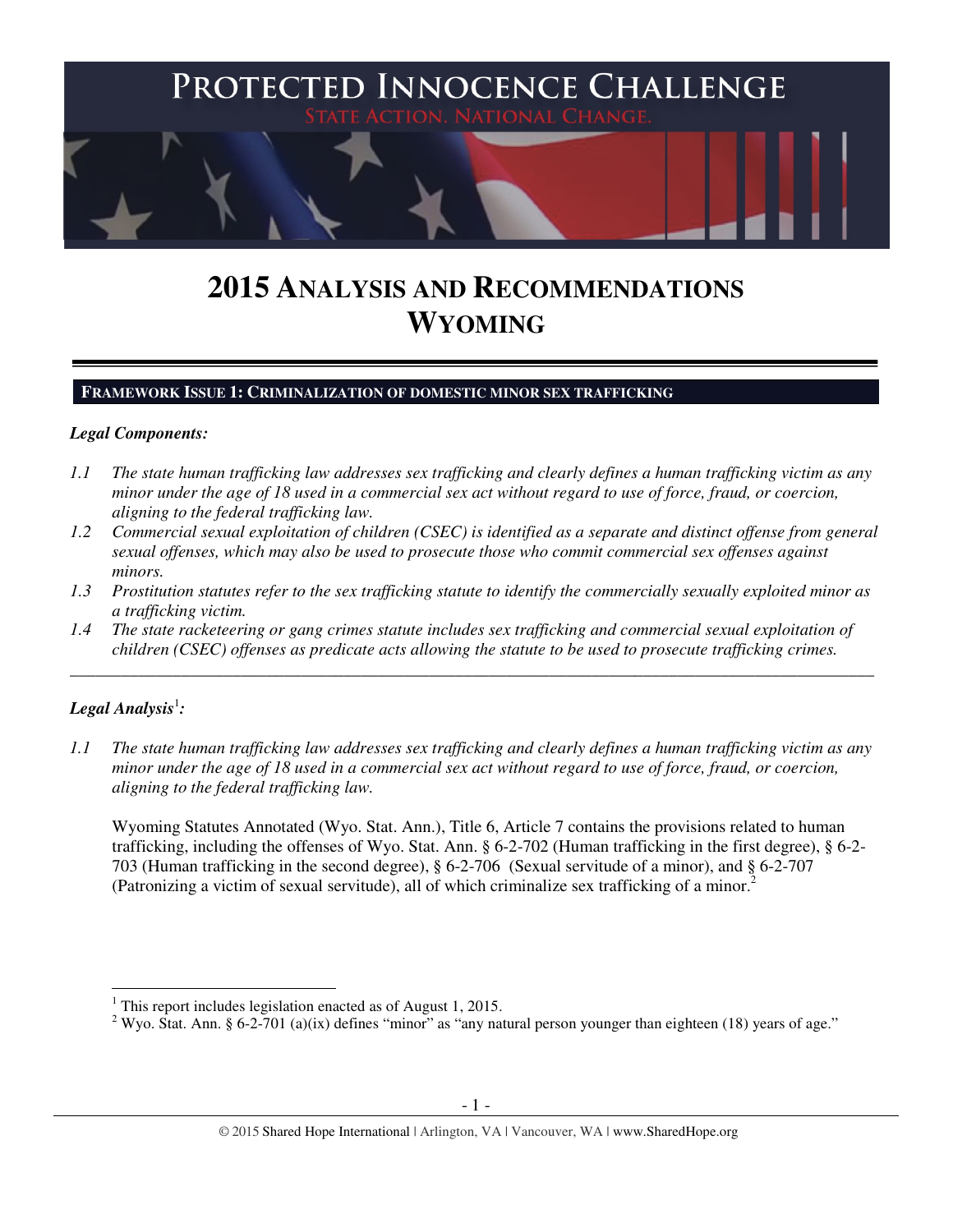

# **2015 ANALYSIS AND RECOMMENDATIONS WYOMING**

#### **FRAMEWORK ISSUE 1: CRIMINALIZATION OF DOMESTIC MINOR SEX TRAFFICKING**

#### *Legal Components:*

- *1.1 The state human trafficking law addresses sex trafficking and clearly defines a human trafficking victim as any minor under the age of 18 used in a commercial sex act without regard to use of force, fraud, or coercion, aligning to the federal trafficking law.*
- *1.2 Commercial sexual exploitation of children (CSEC) is identified as a separate and distinct offense from general sexual offenses, which may also be used to prosecute those who commit commercial sex offenses against minors.*
- *1.3 Prostitution statutes refer to the sex trafficking statute to identify the commercially sexually exploited minor as a trafficking victim.*
- *1.4 The state racketeering or gang crimes statute includes sex trafficking and commercial sexual exploitation of children (CSEC) offenses as predicate acts allowing the statute to be used to prosecute trafficking crimes.*

\_\_\_\_\_\_\_\_\_\_\_\_\_\_\_\_\_\_\_\_\_\_\_\_\_\_\_\_\_\_\_\_\_\_\_\_\_\_\_\_\_\_\_\_\_\_\_\_\_\_\_\_\_\_\_\_\_\_\_\_\_\_\_\_\_\_\_\_\_\_\_\_\_\_\_\_\_\_\_\_\_\_\_\_\_\_\_\_\_\_\_\_\_\_

## $\bm{\mathit{Legal\, Analysis}^{\text{!}}:}$

l

*1.1 The state human trafficking law addresses sex trafficking and clearly defines a human trafficking victim as any minor under the age of 18 used in a commercial sex act without regard to use of force, fraud, or coercion, aligning to the federal trafficking law.* 

Wyoming Statutes Annotated (Wyo. Stat. Ann.), Title 6, Article 7 contains the provisions related to human trafficking, including the offenses of Wyo. Stat. Ann. § 6-2-702 (Human trafficking in the first degree), § 6-2- 703 (Human trafficking in the second degree), § 6-2-706 (Sexual servitude of a minor), and § 6-2-707 (Patronizing a victim of sexual servitude), all of which criminalize sex trafficking of a minor.<sup>2</sup>

<sup>&</sup>lt;sup>1</sup> This report includes legislation enacted as of August 1, 2015.

<sup>&</sup>lt;sup>2</sup> Wyo. Stat. Ann. § 6-2-701 (a)(ix) defines "minor" as "any natural person younger than eighteen (18) years of age."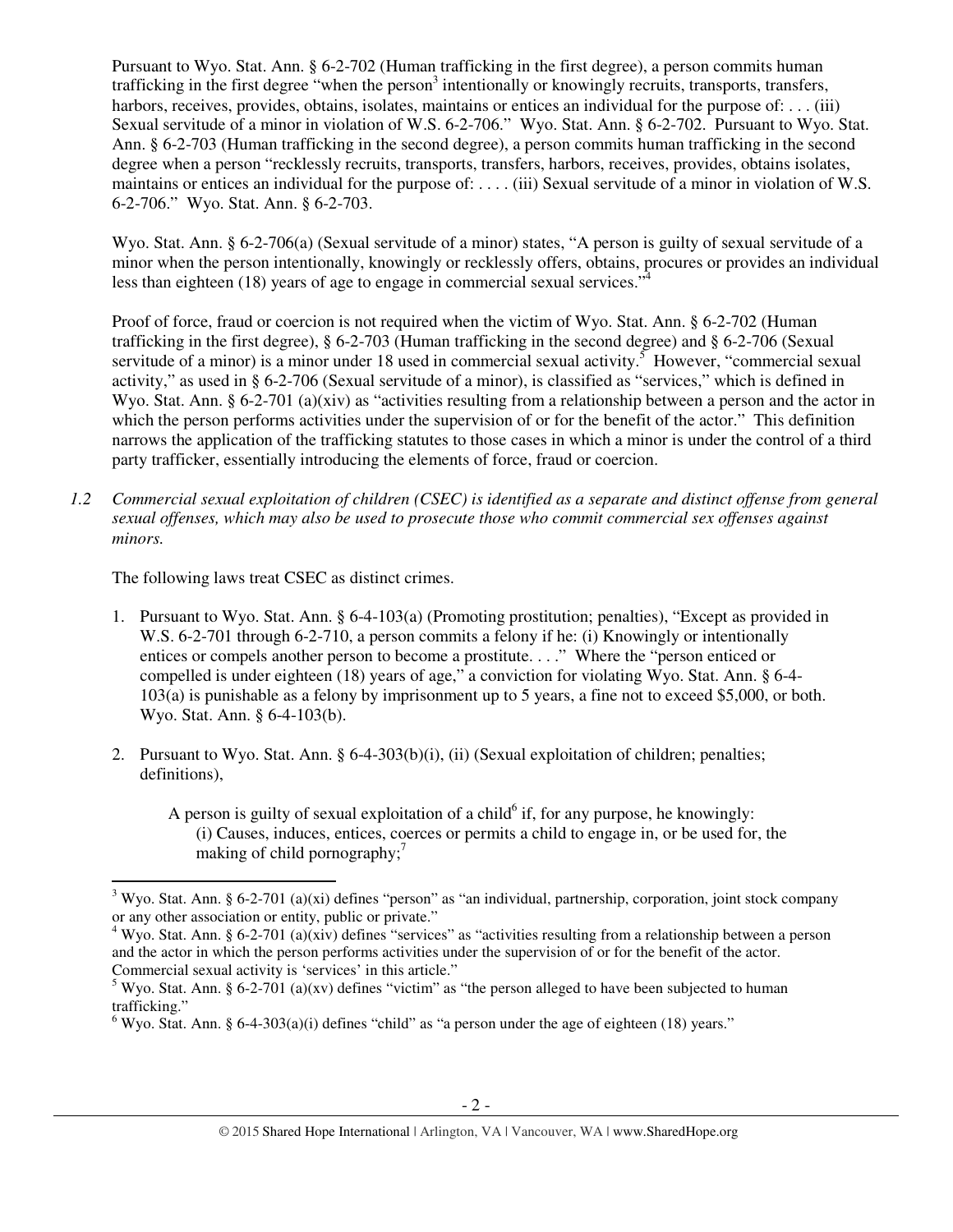Pursuant to Wyo. Stat. Ann. § 6-2-702 (Human trafficking in the first degree), a person commits human trafficking in the first degree "when the person<sup>3</sup> intentionally or knowingly recruits, transports, transfers, harbors, receives, provides, obtains, isolates, maintains or entices an individual for the purpose of: . . . (iii) Sexual servitude of a minor in violation of W.S. 6-2-706." Wyo. Stat. Ann. § 6-2-702. Pursuant to Wyo. Stat. Ann. § 6-2-703 (Human trafficking in the second degree), a person commits human trafficking in the second degree when a person "recklessly recruits, transports, transfers, harbors, receives, provides, obtains isolates, maintains or entices an individual for the purpose of: . . . . (iii) Sexual servitude of a minor in violation of W.S. 6-2-706." Wyo. Stat. Ann. § 6-2-703.

Wyo. Stat. Ann. § 6-2-706(a) (Sexual servitude of a minor) states, "A person is guilty of sexual servitude of a minor when the person intentionally, knowingly or recklessly offers, obtains, procures or provides an individual less than eighteen (18) years of age to engage in commercial sexual services."

Proof of force, fraud or coercion is not required when the victim of Wyo. Stat. Ann. § 6-2-702 (Human trafficking in the first degree), § 6-2-703 (Human trafficking in the second degree) and § 6-2-706 (Sexual servitude of a minor) is a minor under 18 used in commercial sexual activity.<sup>5</sup> However, "commercial sexual activity," as used in § 6-2-706 (Sexual servitude of a minor), is classified as "services," which is defined in Wyo. Stat. Ann. § 6-2-701 (a)(xiv) as "activities resulting from a relationship between a person and the actor in which the person performs activities under the supervision of or for the benefit of the actor." This definition narrows the application of the trafficking statutes to those cases in which a minor is under the control of a third party trafficker, essentially introducing the elements of force, fraud or coercion.

*1.2 Commercial sexual exploitation of children (CSEC) is identified as a separate and distinct offense from general sexual offenses, which may also be used to prosecute those who commit commercial sex offenses against minors.* 

The following laws treat CSEC as distinct crimes.

 $\overline{a}$ 

- 1. Pursuant to Wyo. Stat. Ann. § 6-4-103(a) (Promoting prostitution; penalties), "Except as provided in W.S. 6-2-701 through 6-2-710, a person commits a felony if he: (i) Knowingly or intentionally entices or compels another person to become a prostitute. . . ." Where the "person enticed or compelled is under eighteen (18) years of age," a conviction for violating Wyo. Stat. Ann. § 6-4- 103(a) is punishable as a felony by imprisonment up to 5 years, a fine not to exceed \$5,000, or both. Wyo. Stat. Ann. § 6-4-103(b).
- 2. Pursuant to Wyo. Stat. Ann. § 6-4-303(b)(i), (ii) (Sexual exploitation of children; penalties; definitions),
	- A person is guilty of sexual exploitation of a child $<sup>6</sup>$  if, for any purpose, he knowingly:</sup> (i) Causes, induces, entices, coerces or permits a child to engage in, or be used for, the making of child pornography; $\frac{7}{7}$

 $3$  Wyo. Stat. Ann. § 6-2-701 (a)(xi) defines "person" as "an individual, partnership, corporation, joint stock company or any other association or entity, public or private."

<sup>&</sup>lt;sup>4</sup> Wyo. Stat. Ann. § 6-2-701 (a)(xiv) defines "services" as "activities resulting from a relationship between a person and the actor in which the person performs activities under the supervision of or for the benefit of the actor. Commercial sexual activity is 'services' in this article."

<sup>&</sup>lt;sup>5</sup> Wyo. Stat. Ann. § 6-2-701 (a)(xv) defines "victim" as "the person alleged to have been subjected to human trafficking."

<sup>&</sup>lt;sup>6</sup> Wyo. Stat. Ann. § 6-4-303(a)(i) defines "child" as "a person under the age of eighteen (18) years."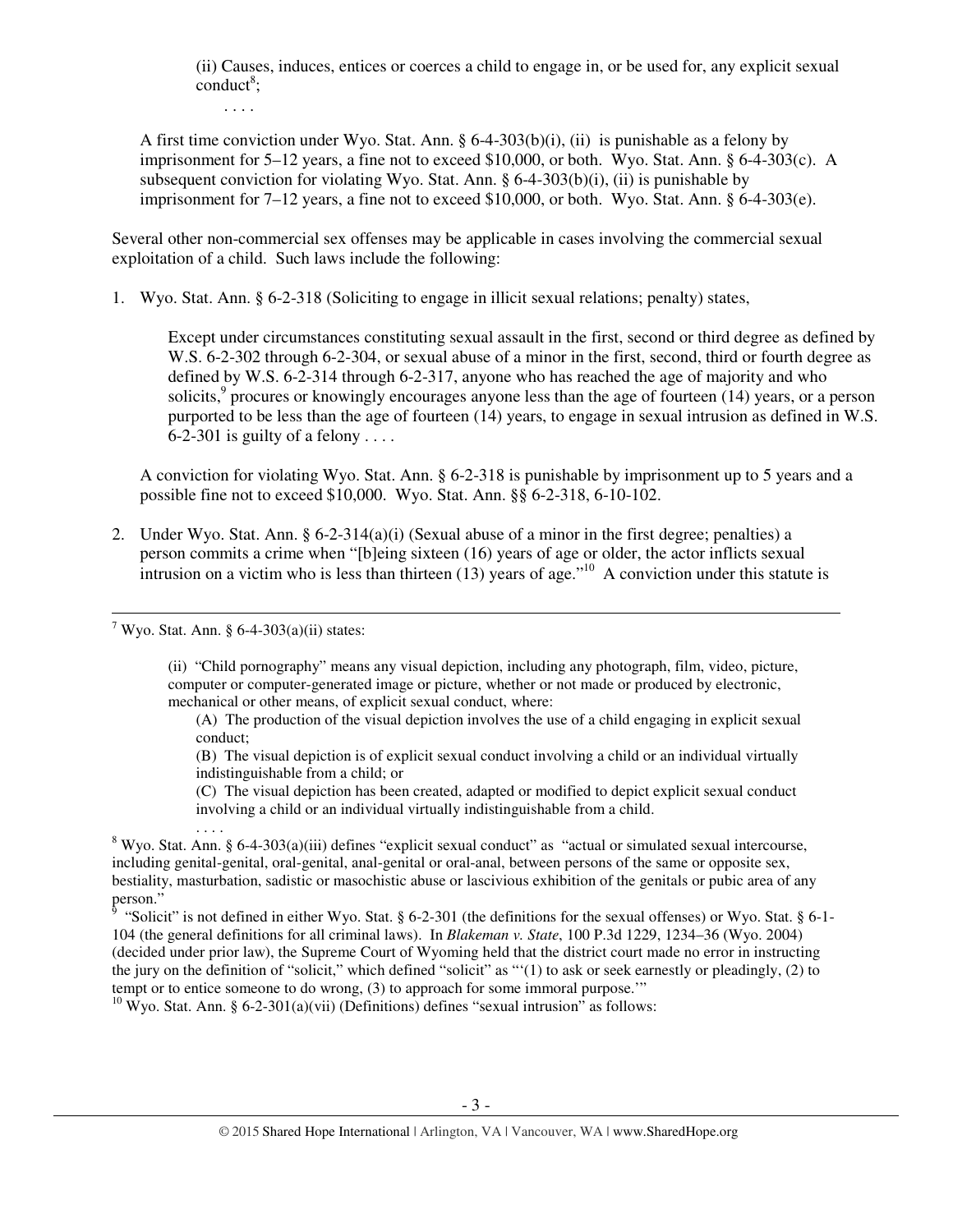(ii) Causes, induces, entices or coerces a child to engage in, or be used for, any explicit sexual  $\text{conduct}^8$ ;

. . . .

A first time conviction under Wyo. Stat. Ann. § 6-4-303(b)(i), (ii) is punishable as a felony by imprisonment for  $5-12$  years, a fine not to exceed \$10,000, or both. Wyo. Stat. Ann. § 6-4-303(c). A subsequent conviction for violating Wyo. Stat. Ann. § 6-4-303(b)(i), (ii) is punishable by imprisonment for  $7-12$  years, a fine not to exceed \$10,000, or both. Wyo. Stat. Ann. § 6-4-303(e).

Several other non-commercial sex offenses may be applicable in cases involving the commercial sexual exploitation of a child. Such laws include the following:

1. Wyo. Stat. Ann. § 6-2-318 (Soliciting to engage in illicit sexual relations; penalty) states,

Except under circumstances constituting sexual assault in the first, second or third degree as defined by W.S. 6-2-302 through 6-2-304, or sexual abuse of a minor in the first, second, third or fourth degree as defined by W.S. 6-2-314 through 6-2-317, anyone who has reached the age of majority and who solicits, $9$  procures or knowingly encourages anyone less than the age of fourteen (14) years, or a person purported to be less than the age of fourteen (14) years, to engage in sexual intrusion as defined in W.S. 6-2-301 is guilty of a felony ....

A conviction for violating Wyo. Stat. Ann. § 6-2-318 is punishable by imprisonment up to 5 years and a possible fine not to exceed \$10,000. Wyo. Stat. Ann. §§ 6-2-318, 6-10-102.

2. Under Wyo. Stat. Ann. § 6-2-314(a)(i) (Sexual abuse of a minor in the first degree; penalties) a person commits a crime when "[b]eing sixteen (16) years of age or older, the actor inflicts sexual intrusion on a victim who is less than thirteen (13) years of age."<sup>10</sup> A conviction under this statute is

<sup>7</sup> Wyo. Stat. Ann. § 6-4-303(a)(ii) states:

. . . .

 $\overline{a}$ 

(ii) "Child pornography" means any visual depiction, including any photograph, film, video, picture, computer or computer-generated image or picture, whether or not made or produced by electronic, mechanical or other means, of explicit sexual conduct, where:

(A) The production of the visual depiction involves the use of a child engaging in explicit sexual conduct;

(B) The visual depiction is of explicit sexual conduct involving a child or an individual virtually indistinguishable from a child; or

(C) The visual depiction has been created, adapted or modified to depict explicit sexual conduct involving a child or an individual virtually indistinguishable from a child.

<sup>8</sup> Wyo. Stat. Ann. § 6-4-303(a)(iii) defines "explicit sexual conduct" as "actual or simulated sexual intercourse, including genital-genital, oral-genital, anal-genital or oral-anal, between persons of the same or opposite sex, bestiality, masturbation, sadistic or masochistic abuse or lascivious exhibition of the genitals or pubic area of any person."<br><sup>9</sup> "Solici

 "Solicit" is not defined in either Wyo. Stat. § 6-2-301 (the definitions for the sexual offenses) or Wyo. Stat. § 6-1- 104 (the general definitions for all criminal laws). In *Blakeman v. State*, 100 P.3d 1229, 1234–36 (Wyo. 2004) (decided under prior law), the Supreme Court of Wyoming held that the district court made no error in instructing the jury on the definition of "solicit," which defined "solicit" as "'(1) to ask or seek earnestly or pleadingly, (2) to tempt or to entice someone to do wrong, (3) to approach for some immoral purpose.'"

<sup>10</sup> Wyo. Stat. Ann. § 6-2-301(a)(vii) (Definitions) defines "sexual intrusion" as follows: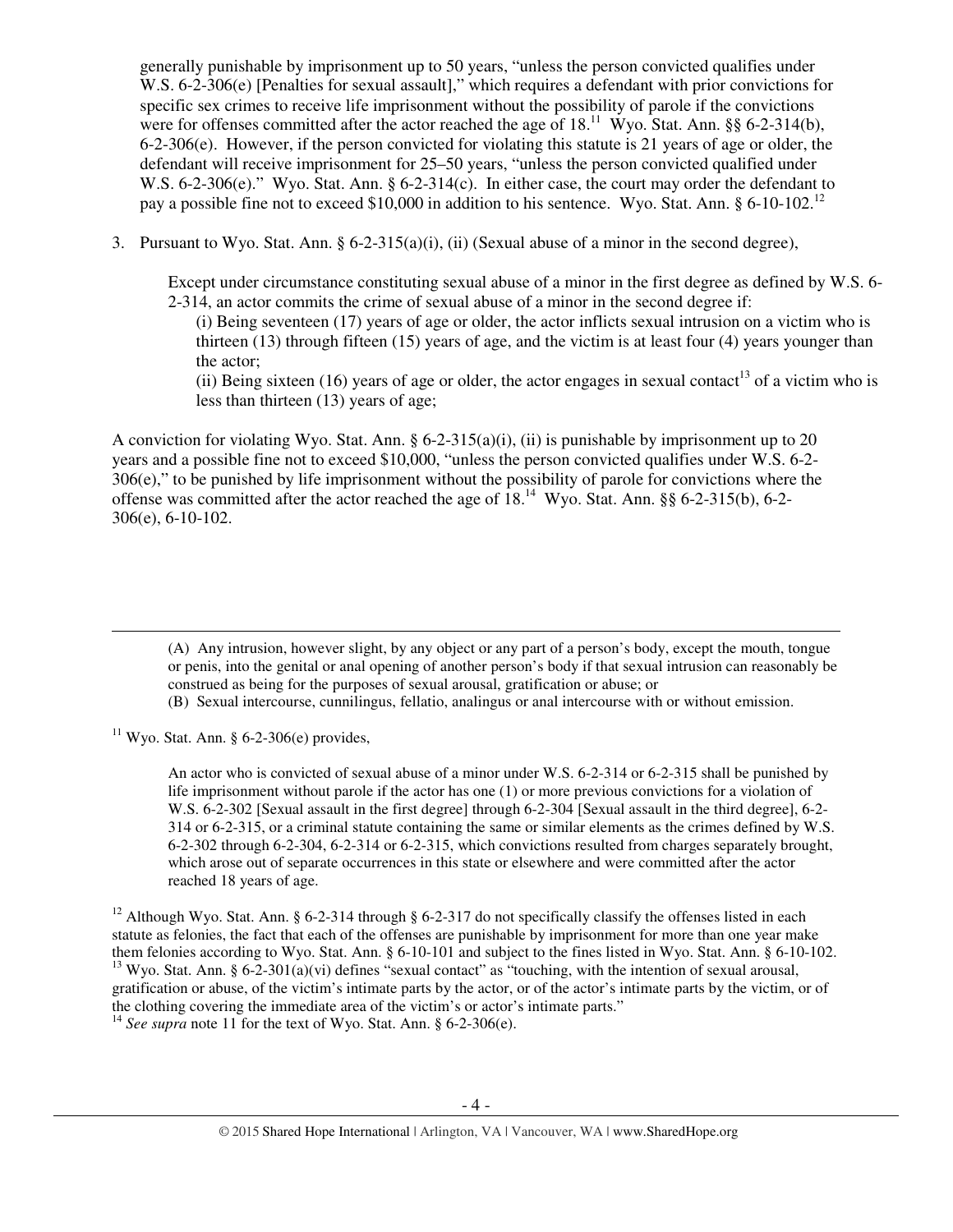generally punishable by imprisonment up to 50 years, "unless the person convicted qualifies under W.S. 6-2-306(e) [Penalties for sexual assault]," which requires a defendant with prior convictions for specific sex crimes to receive life imprisonment without the possibility of parole if the convictions were for offenses committed after the actor reached the age of  $18$ .<sup>11</sup> Wyo. Stat. Ann. §§ 6-2-314(b), 6-2-306(e). However, if the person convicted for violating this statute is 21 years of age or older, the defendant will receive imprisonment for 25–50 years, "unless the person convicted qualified under W.S. 6-2-306(e)." Wyo. Stat. Ann. § 6-2-314(c). In either case, the court may order the defendant to pay a possible fine not to exceed \$10,000 in addition to his sentence. Wyo. Stat. Ann.  $\S 6\t-10\t-102$ .<sup>12</sup>

3. Pursuant to Wyo. Stat. Ann.  $\S 6-2-315(a)(i)$ , (ii) (Sexual abuse of a minor in the second degree),

Except under circumstance constituting sexual abuse of a minor in the first degree as defined by W.S. 6- 2-314, an actor commits the crime of sexual abuse of a minor in the second degree if:

(i) Being seventeen (17) years of age or older, the actor inflicts sexual intrusion on a victim who is thirteen (13) through fifteen (15) years of age, and the victim is at least four (4) years younger than the actor;

(ii) Being sixteen (16) years of age or older, the actor engages in sexual contact<sup>13</sup> of a victim who is less than thirteen (13) years of age;

A conviction for violating Wyo. Stat. Ann. § 6-2-315(a)(i), (ii) is punishable by imprisonment up to 20 years and a possible fine not to exceed \$10,000, "unless the person convicted qualifies under W.S. 6-2- 306(e)," to be punished by life imprisonment without the possibility of parole for convictions where the offense was committed after the actor reached the age of  $18<sup>14</sup>$  Wyo. Stat. Ann. §§ 6-2-315(b), 6-2-306(e), 6-10-102.

(A) Any intrusion, however slight, by any object or any part of a person's body, except the mouth, tongue or penis, into the genital or anal opening of another person's body if that sexual intrusion can reasonably be construed as being for the purposes of sexual arousal, gratification or abuse; or

(B) Sexual intercourse, cunnilingus, fellatio, analingus or anal intercourse with or without emission.

<sup>11</sup> Wyo. Stat. Ann. § 6-2-306(e) provides,

 $\overline{a}$ 

An actor who is convicted of sexual abuse of a minor under W.S. 6-2-314 or 6-2-315 shall be punished by life imprisonment without parole if the actor has one (1) or more previous convictions for a violation of W.S. 6-2-302 [Sexual assault in the first degree] through 6-2-304 [Sexual assault in the third degree], 6-2- 314 or 6-2-315, or a criminal statute containing the same or similar elements as the crimes defined by W.S. 6-2-302 through 6-2-304, 6-2-314 or 6-2-315, which convictions resulted from charges separately brought, which arose out of separate occurrences in this state or elsewhere and were committed after the actor reached 18 years of age.

<sup>12</sup> Although Wyo. Stat. Ann. § 6-2-314 through § 6-2-317 do not specifically classify the offenses listed in each statute as felonies, the fact that each of the offenses are punishable by imprisonment for more than one year make them felonies according to Wyo. Stat. Ann. § 6-10-101 and subject to the fines listed in Wyo. Stat. Ann. § 6-10-102.  $13$  Wyo. Stat. Ann. § 6-2-301(a)(vi) defines "sexual contact" as "touching, with the intention of sexual arousal, gratification or abuse, of the victim's intimate parts by the actor, or of the actor's intimate parts by the victim, or of the clothing covering the immediate area of the victim's or actor's intimate parts."

<sup>14</sup> See supra note 11 for the text of Wyo. Stat. Ann. § 6-2-306(e).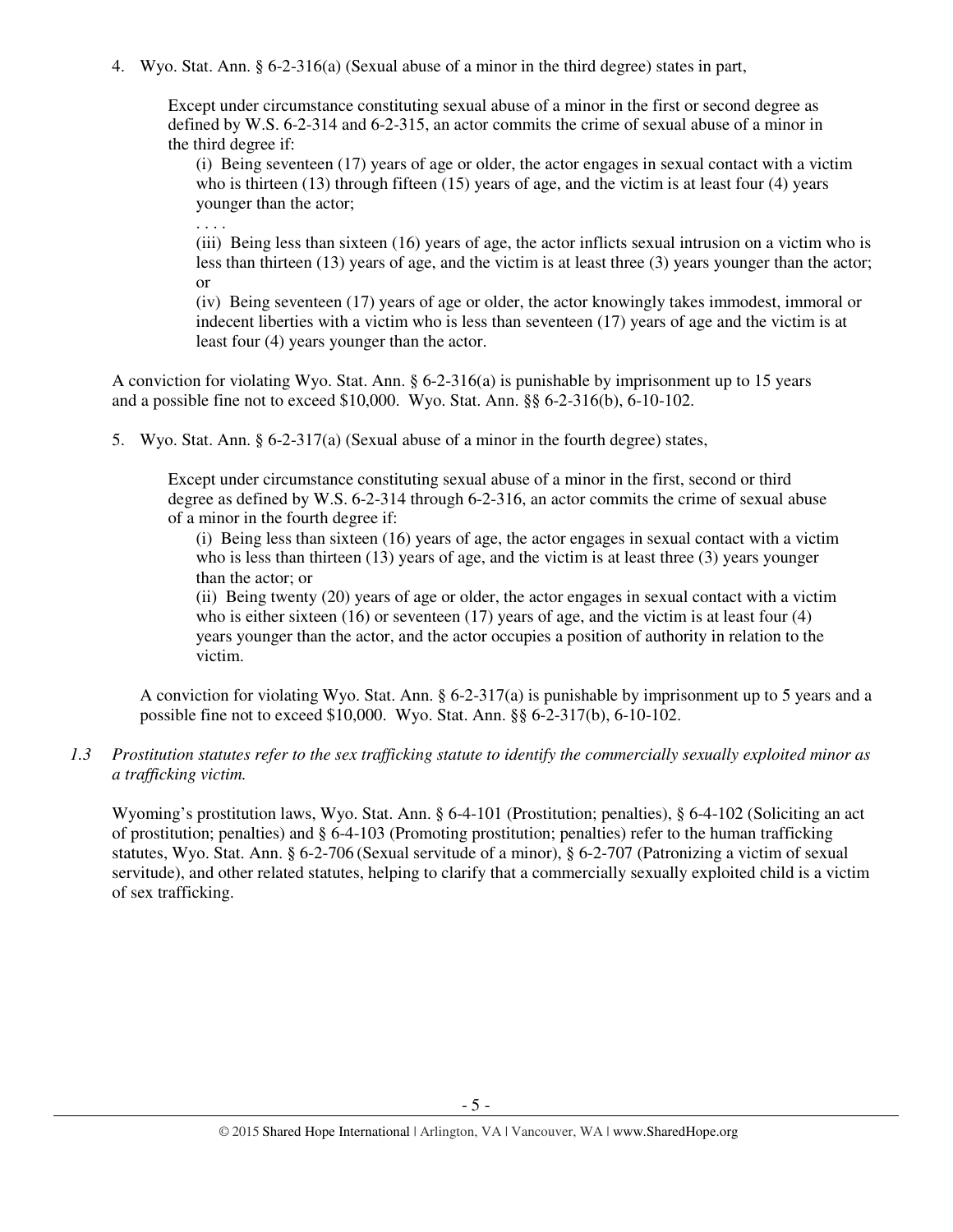4. Wyo. Stat. Ann. § 6-2-316(a) (Sexual abuse of a minor in the third degree) states in part,

Except under circumstance constituting sexual abuse of a minor in the first or second degree as defined by W.S. 6-2-314 and 6-2-315, an actor commits the crime of sexual abuse of a minor in the third degree if:

(i) Being seventeen (17) years of age or older, the actor engages in sexual contact with a victim who is thirteen (13) through fifteen (15) years of age, and the victim is at least four (4) years younger than the actor;

. . . .

(iii) Being less than sixteen (16) years of age, the actor inflicts sexual intrusion on a victim who is less than thirteen (13) years of age, and the victim is at least three (3) years younger than the actor; or

(iv) Being seventeen (17) years of age or older, the actor knowingly takes immodest, immoral or indecent liberties with a victim who is less than seventeen (17) years of age and the victim is at least four (4) years younger than the actor.

A conviction for violating Wyo. Stat. Ann. § 6-2-316(a) is punishable by imprisonment up to 15 years and a possible fine not to exceed \$10,000. Wyo. Stat. Ann. §§ 6-2-316(b), 6-10-102.

5. Wyo. Stat. Ann. § 6-2-317(a) (Sexual abuse of a minor in the fourth degree) states,

Except under circumstance constituting sexual abuse of a minor in the first, second or third degree as defined by W.S. 6-2-314 through 6-2-316, an actor commits the crime of sexual abuse of a minor in the fourth degree if:

(i) Being less than sixteen (16) years of age, the actor engages in sexual contact with a victim who is less than thirteen (13) years of age, and the victim is at least three (3) years younger than the actor; or

(ii) Being twenty (20) years of age or older, the actor engages in sexual contact with a victim who is either sixteen (16) or seventeen (17) years of age, and the victim is at least four (4) years younger than the actor, and the actor occupies a position of authority in relation to the victim.

A conviction for violating Wyo. Stat. Ann. § 6-2-317(a) is punishable by imprisonment up to 5 years and a possible fine not to exceed \$10,000. Wyo. Stat. Ann. §§ 6-2-317(b), 6-10-102.

*1.3 Prostitution statutes refer to the sex trafficking statute to identify the commercially sexually exploited minor as a trafficking victim.* 

Wyoming's prostitution laws, Wyo. Stat. Ann. § 6-4-101 (Prostitution; penalties), § 6-4-102 (Soliciting an act of prostitution; penalties) and § 6-4-103 (Promoting prostitution; penalties) refer to the human trafficking statutes, Wyo. Stat. Ann. § 6-2-706 (Sexual servitude of a minor), § 6-2-707 (Patronizing a victim of sexual servitude), and other related statutes, helping to clarify that a commercially sexually exploited child is a victim of sex trafficking.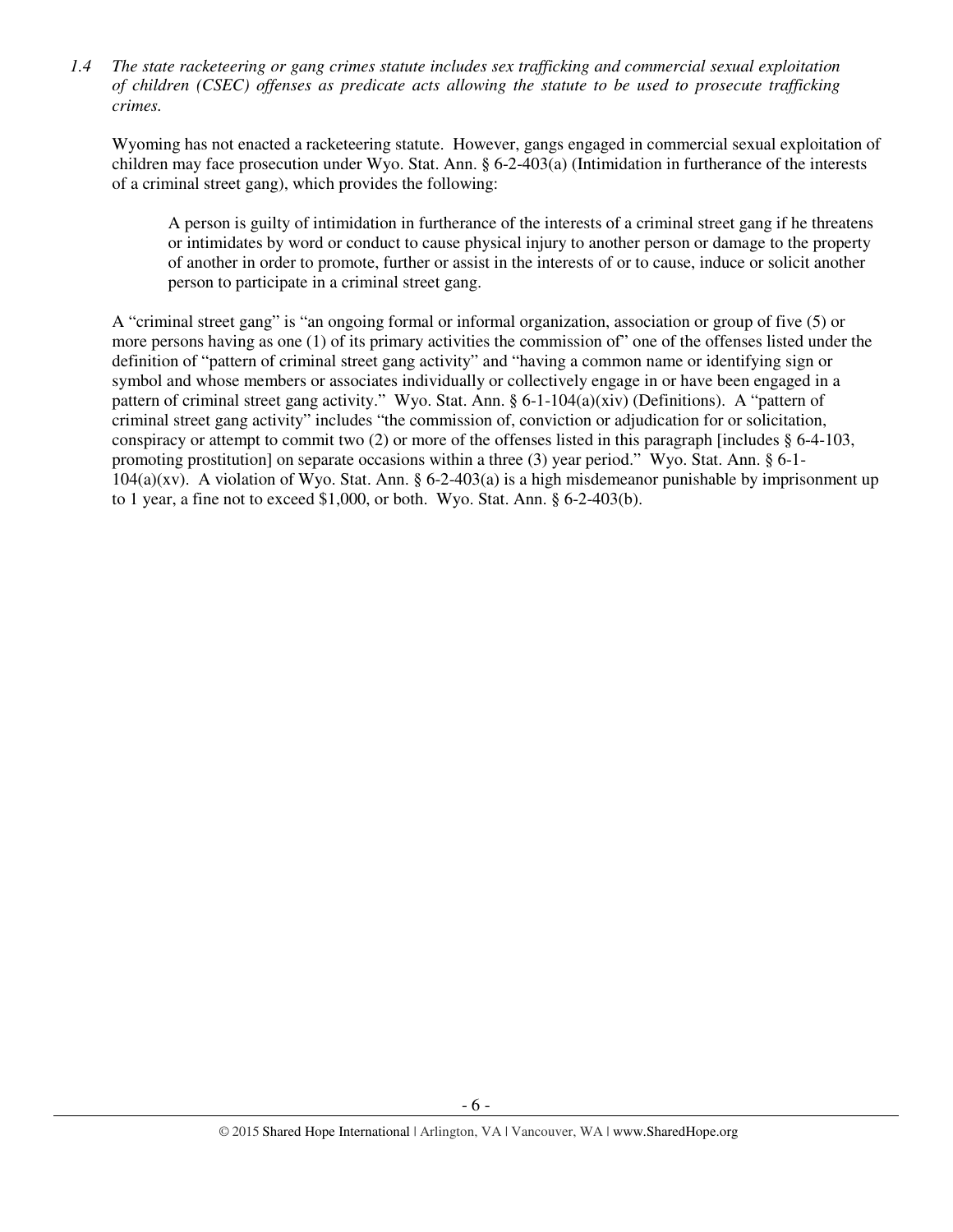*1.4 The state racketeering or gang crimes statute includes sex trafficking and commercial sexual exploitation of children (CSEC) offenses as predicate acts allowing the statute to be used to prosecute trafficking crimes.* 

Wyoming has not enacted a racketeering statute. However, gangs engaged in commercial sexual exploitation of children may face prosecution under Wyo. Stat. Ann. § 6-2-403(a) (Intimidation in furtherance of the interests of a criminal street gang), which provides the following:

A person is guilty of intimidation in furtherance of the interests of a criminal street gang if he threatens or intimidates by word or conduct to cause physical injury to another person or damage to the property of another in order to promote, further or assist in the interests of or to cause, induce or solicit another person to participate in a criminal street gang.

A "criminal street gang" is "an ongoing formal or informal organization, association or group of five (5) or more persons having as one (1) of its primary activities the commission of" one of the offenses listed under the definition of "pattern of criminal street gang activity" and "having a common name or identifying sign or symbol and whose members or associates individually or collectively engage in or have been engaged in a pattern of criminal street gang activity." Wyo. Stat. Ann. § 6-1-104(a)(xiv) (Definitions). A "pattern of criminal street gang activity" includes "the commission of, conviction or adjudication for or solicitation, conspiracy or attempt to commit two  $(2)$  or more of the offenses listed in this paragraph [includes  $\S 6-4-103$ , promoting prostitution] on separate occasions within a three (3) year period." Wyo. Stat. Ann. § 6-1-  $104(a)(xv)$ . A violation of Wyo. Stat. Ann. § 6-2-403(a) is a high misdemeanor punishable by imprisonment up to 1 year, a fine not to exceed \$1,000, or both. Wyo. Stat. Ann. § 6-2-403(b).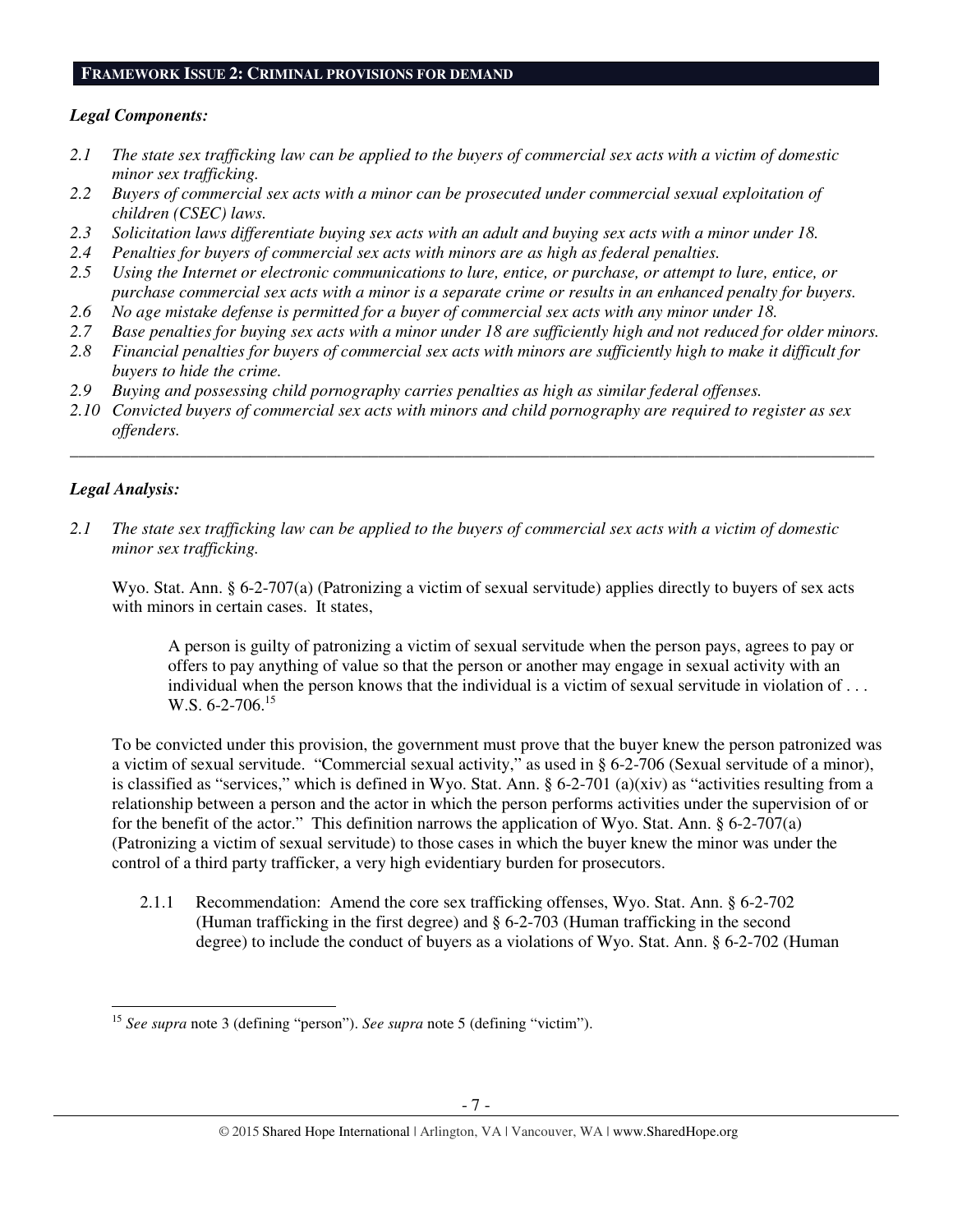#### **FRAMEWORK ISSUE 2: CRIMINAL PROVISIONS FOR DEMAND**

#### *Legal Components:*

- *2.1 The state sex trafficking law can be applied to the buyers of commercial sex acts with a victim of domestic minor sex trafficking.*
- *2.2 Buyers of commercial sex acts with a minor can be prosecuted under commercial sexual exploitation of children (CSEC) laws.*
- *2.3 Solicitation laws differentiate buying sex acts with an adult and buying sex acts with a minor under 18.*
- *2.4 Penalties for buyers of commercial sex acts with minors are as high as federal penalties.*
- *2.5 Using the Internet or electronic communications to lure, entice, or purchase, or attempt to lure, entice, or purchase commercial sex acts with a minor is a separate crime or results in an enhanced penalty for buyers.*
- *2.6 No age mistake defense is permitted for a buyer of commercial sex acts with any minor under 18.*
- *2.7 Base penalties for buying sex acts with a minor under 18 are sufficiently high and not reduced for older minors.*
- *2.8 Financial penalties for buyers of commercial sex acts with minors are sufficiently high to make it difficult for buyers to hide the crime.*
- *2.9 Buying and possessing child pornography carries penalties as high as similar federal offenses.*
- *2.10 Convicted buyers of commercial sex acts with minors and child pornography are required to register as sex offenders.*

\_\_\_\_\_\_\_\_\_\_\_\_\_\_\_\_\_\_\_\_\_\_\_\_\_\_\_\_\_\_\_\_\_\_\_\_\_\_\_\_\_\_\_\_\_\_\_\_\_\_\_\_\_\_\_\_\_\_\_\_\_\_\_\_\_\_\_\_\_\_\_\_\_\_\_\_\_\_\_\_\_\_\_\_\_\_\_\_\_\_\_\_\_\_

## *Legal Analysis:*

l

*2.1 The state sex trafficking law can be applied to the buyers of commercial sex acts with a victim of domestic minor sex trafficking.* 

Wyo. Stat. Ann. § 6-2-707(a) (Patronizing a victim of sexual servitude) applies directly to buyers of sex acts with minors in certain cases. It states,

A person is guilty of patronizing a victim of sexual servitude when the person pays, agrees to pay or offers to pay anything of value so that the person or another may engage in sexual activity with an individual when the person knows that the individual is a victim of sexual servitude in violation of . . . W.S.  $6-2-706$ .<sup>15</sup>

To be convicted under this provision, the government must prove that the buyer knew the person patronized was a victim of sexual servitude. "Commercial sexual activity," as used in § 6-2-706 (Sexual servitude of a minor), is classified as "services," which is defined in Wyo. Stat. Ann.  $\S 6-2-701$  (a)(xiv) as "activities resulting from a relationship between a person and the actor in which the person performs activities under the supervision of or for the benefit of the actor." This definition narrows the application of Wyo. Stat. Ann. § 6-2-707(a) (Patronizing a victim of sexual servitude) to those cases in which the buyer knew the minor was under the control of a third party trafficker, a very high evidentiary burden for prosecutors.

2.1.1 Recommendation: Amend the core sex trafficking offenses, Wyo. Stat. Ann. § 6-2-702 (Human trafficking in the first degree) and § 6-2-703 (Human trafficking in the second degree) to include the conduct of buyers as a violations of Wyo. Stat. Ann. § 6-2-702 (Human

<sup>15</sup> *See supra* note 3 (defining "person"). *See supra* note 5 (defining "victim").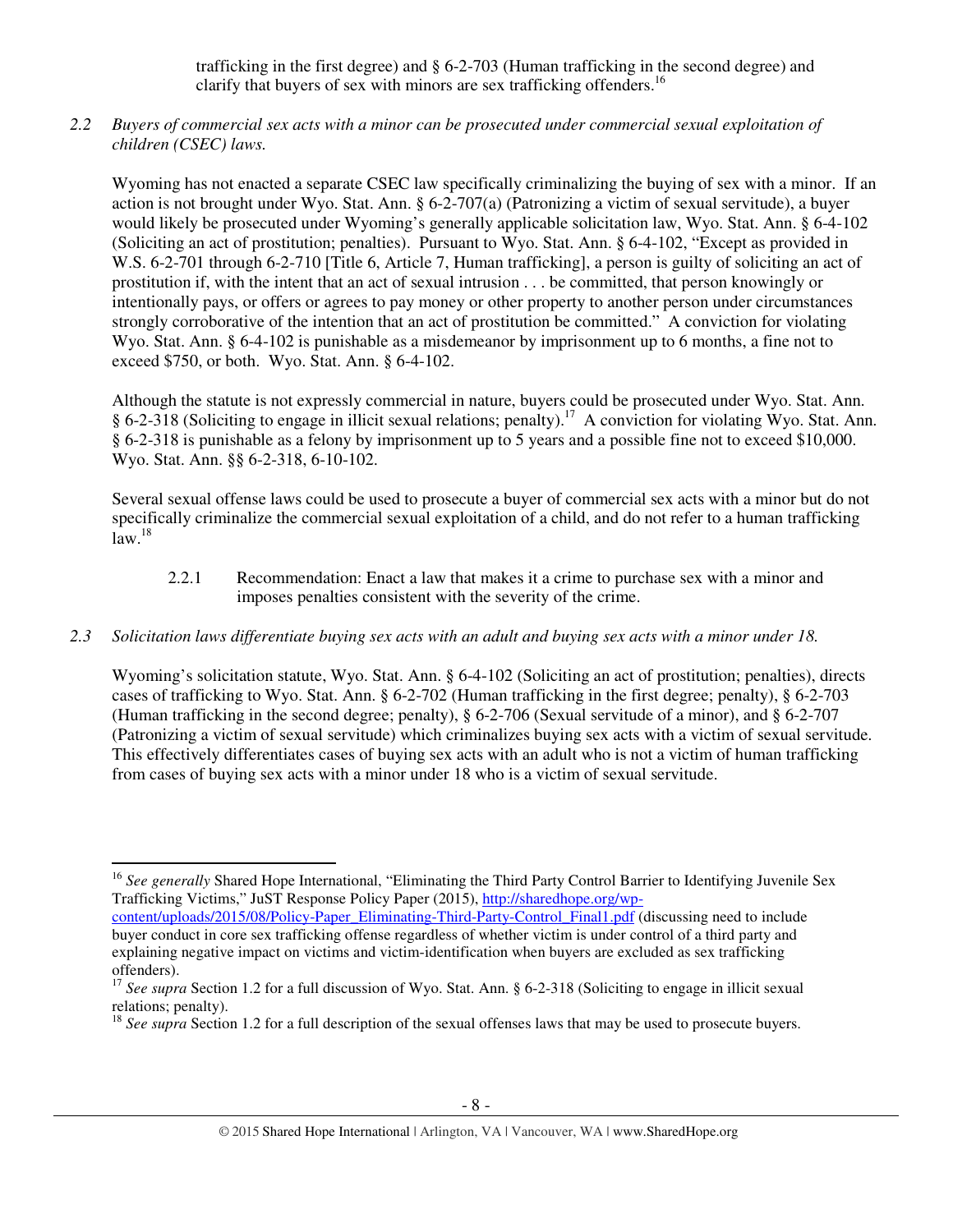trafficking in the first degree) and § 6-2-703 (Human trafficking in the second degree) and clarify that buyers of sex with minors are sex trafficking offenders.<sup>16</sup>

*2.2 Buyers of commercial sex acts with a minor can be prosecuted under commercial sexual exploitation of children (CSEC) laws.* 

Wyoming has not enacted a separate CSEC law specifically criminalizing the buying of sex with a minor. If an action is not brought under Wyo. Stat. Ann. § 6-2-707(a) (Patronizing a victim of sexual servitude), a buyer would likely be prosecuted under Wyoming's generally applicable solicitation law, Wyo. Stat. Ann. § 6-4-102 (Soliciting an act of prostitution; penalties). Pursuant to Wyo. Stat. Ann. § 6-4-102, "Except as provided in W.S. 6-2-701 through 6-2-710 [Title 6, Article 7, Human trafficking], a person is guilty of soliciting an act of prostitution if, with the intent that an act of sexual intrusion . . . be committed, that person knowingly or intentionally pays, or offers or agrees to pay money or other property to another person under circumstances strongly corroborative of the intention that an act of prostitution be committed." A conviction for violating Wyo. Stat. Ann. § 6-4-102 is punishable as a misdemeanor by imprisonment up to 6 months, a fine not to exceed \$750, or both. Wyo. Stat. Ann. § 6-4-102.

Although the statute is not expressly commercial in nature, buyers could be prosecuted under Wyo. Stat. Ann. § 6-2-318 (Soliciting to engage in illicit sexual relations; penalty).<sup>17</sup> A conviction for violating Wyo. Stat. Ann. § 6-2-318 is punishable as a felony by imprisonment up to 5 years and a possible fine not to exceed \$10,000. Wyo. Stat. Ann. §§ 6-2-318, 6-10-102.

Several sexual offense laws could be used to prosecute a buyer of commercial sex acts with a minor but do not specifically criminalize the commercial sexual exploitation of a child, and do not refer to a human trafficking  $law.<sup>18</sup>$ 

2.2.1 Recommendation: Enact a law that makes it a crime to purchase sex with a minor and imposes penalties consistent with the severity of the crime.

## *2.3 Solicitation laws differentiate buying sex acts with an adult and buying sex acts with a minor under 18.*

Wyoming's solicitation statute, Wyo. Stat. Ann. § 6-4-102 (Soliciting an act of prostitution; penalties), directs cases of trafficking to Wyo. Stat. Ann. § 6-2-702 (Human trafficking in the first degree; penalty), § 6-2-703 (Human trafficking in the second degree; penalty), § 6-2-706 (Sexual servitude of a minor), and § 6-2-707 (Patronizing a victim of sexual servitude) which criminalizes buying sex acts with a victim of sexual servitude. This effectively differentiates cases of buying sex acts with an adult who is not a victim of human trafficking from cases of buying sex acts with a minor under 18 who is a victim of sexual servitude.

l

<sup>&</sup>lt;sup>16</sup> See generally Shared Hope International, "Eliminating the Third Party Control Barrier to Identifying Juvenile Sex Trafficking Victims," JuST Response Policy Paper (2015), http://sharedhope.org/wp-

content/uploads/2015/08/Policy-Paper\_Eliminating-Third-Party-Control\_Final1.pdf (discussing need to include buyer conduct in core sex trafficking offense regardless of whether victim is under control of a third party and explaining negative impact on victims and victim-identification when buyers are excluded as sex trafficking offenders).

<sup>&</sup>lt;sup>17</sup> See supra Section 1.2 for a full discussion of Wyo. Stat. Ann. § 6-2-318 (Soliciting to engage in illicit sexual relations; penalty).

<sup>&</sup>lt;sup>18</sup> *See supra* Section 1.2 for a full description of the sexual offenses laws that may be used to prosecute buyers.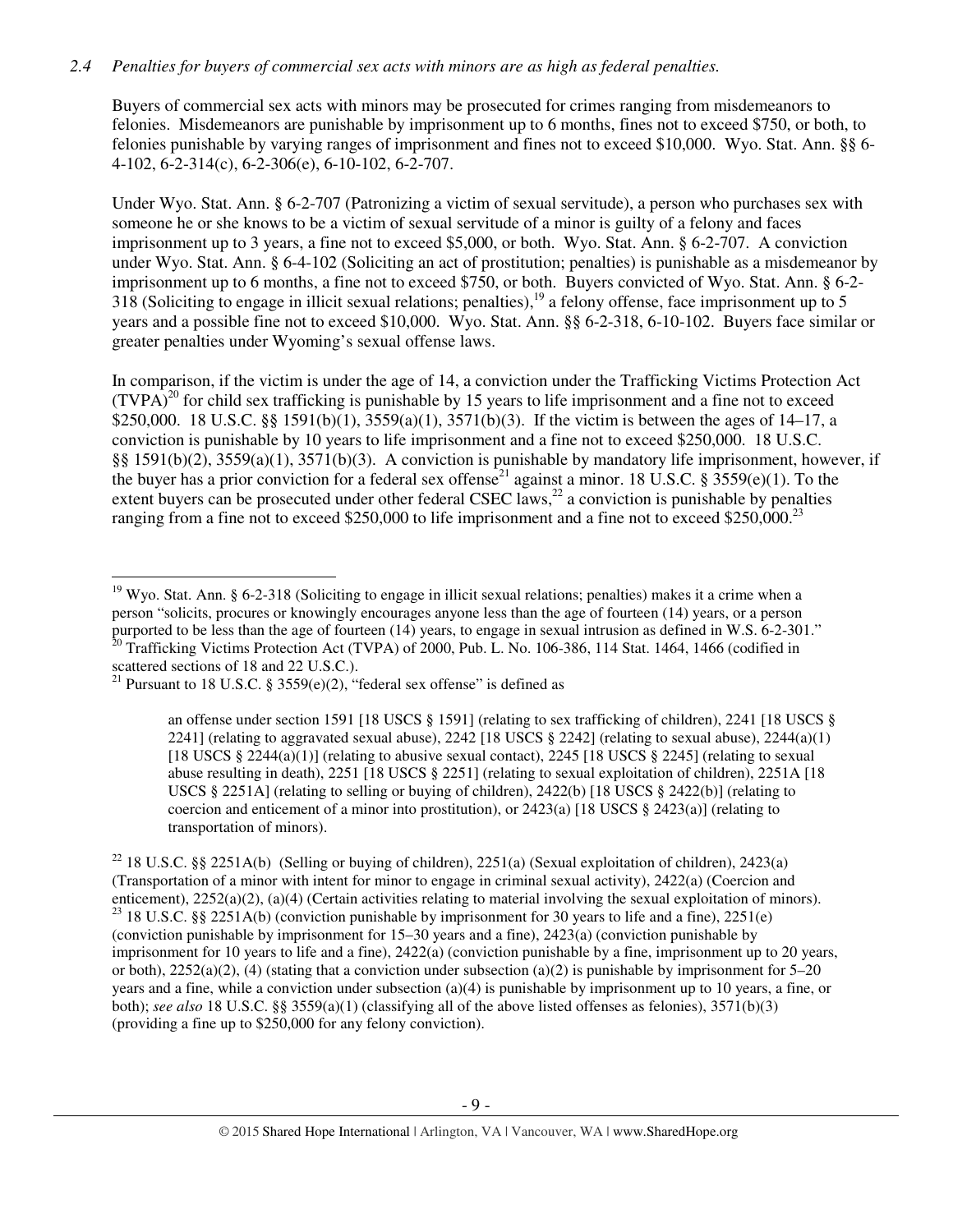## *2.4 Penalties for buyers of commercial sex acts with minors are as high as federal penalties.*

Buyers of commercial sex acts with minors may be prosecuted for crimes ranging from misdemeanors to felonies. Misdemeanors are punishable by imprisonment up to 6 months, fines not to exceed \$750, or both, to felonies punishable by varying ranges of imprisonment and fines not to exceed \$10,000. Wyo. Stat. Ann. §§ 6- 4-102, 6-2-314(c), 6-2-306(e), 6-10-102, 6-2-707.

Under Wyo. Stat. Ann. § 6-2-707 (Patronizing a victim of sexual servitude), a person who purchases sex with someone he or she knows to be a victim of sexual servitude of a minor is guilty of a felony and faces imprisonment up to 3 years, a fine not to exceed \$5,000, or both. Wyo. Stat. Ann. § 6-2-707. A conviction under Wyo. Stat. Ann. § 6-4-102 (Soliciting an act of prostitution; penalties) is punishable as a misdemeanor by imprisonment up to 6 months, a fine not to exceed \$750, or both. Buyers convicted of Wyo. Stat. Ann. § 6-2- 318 (Soliciting to engage in illicit sexual relations; penalties),<sup>19</sup> a felony offense, face imprisonment up to 5 years and a possible fine not to exceed \$10,000. Wyo. Stat. Ann. §§ 6-2-318, 6-10-102. Buyers face similar or greater penalties under Wyoming's sexual offense laws.

In comparison, if the victim is under the age of 14, a conviction under the Trafficking Victims Protection Act  $(TVPA)<sup>20</sup>$  for child sex trafficking is punishable by 15 years to life imprisonment and a fine not to exceed \$250,000. 18 U.S.C. §§ 1591(b)(1), 3559(a)(1), 3571(b)(3). If the victim is between the ages of 14–17, a conviction is punishable by 10 years to life imprisonment and a fine not to exceed \$250,000. 18 U.S.C. §§ 1591(b)(2), 3559(a)(1), 3571(b)(3). A conviction is punishable by mandatory life imprisonment, however, if the buyer has a prior conviction for a federal sex offense<sup>21</sup> against a minor. 18 U.S.C. § 3559(e)(1). To the extent buyers can be prosecuted under other federal CSEC laws, $^{22}$  a conviction is punishable by penalties ranging from a fine not to exceed \$250,000 to life imprisonment and a fine not to exceed \$250,000.<sup>23</sup>

 $\overline{a}$ 

an offense under section 1591 [18 USCS § 1591] (relating to sex trafficking of children), 2241 [18 USCS § 2241] (relating to aggravated sexual abuse), 2242 [18 USCS  $\S$  2242] (relating to sexual abuse), 2244(a)(1) [18 USCS § 2244(a)(1)] (relating to abusive sexual contact), 2245 [18 USCS § 2245] (relating to sexual abuse resulting in death), 2251 [18 USCS § 2251] (relating to sexual exploitation of children), 2251A [18 USCS § 2251A] (relating to selling or buying of children), 2422(b) [18 USCS § 2422(b)] (relating to coercion and enticement of a minor into prostitution), or  $2423(a)$  [18 USCS § 2423(a)] (relating to transportation of minors).

<sup>22</sup> 18 U.S.C. §§ 2251A(b) (Selling or buying of children), 2251(a) (Sexual exploitation of children), 2423(a) (Transportation of a minor with intent for minor to engage in criminal sexual activity), 2422(a) (Coercion and enticement), 2252(a)(2), (a)(4) (Certain activities relating to material involving the sexual exploitation of minors). <sup>23</sup> 18 U.S.C. §§ 2251A(b) (conviction punishable by imprisonment for 30 years to life and a fine), 2251(e) (conviction punishable by imprisonment for 15–30 years and a fine), 2423(a) (conviction punishable by imprisonment for 10 years to life and a fine), 2422(a) (conviction punishable by a fine, imprisonment up to 20 years, or both),  $2252(a)(2)$ , (4) (stating that a conviction under subsection (a)(2) is punishable by imprisonment for 5–20 years and a fine, while a conviction under subsection (a)(4) is punishable by imprisonment up to 10 years, a fine, or both); *see also* 18 U.S.C. §§ 3559(a)(1) (classifying all of the above listed offenses as felonies), 3571(b)(3) (providing a fine up to \$250,000 for any felony conviction).

<sup>&</sup>lt;sup>19</sup> Wyo. Stat. Ann. § 6-2-318 (Soliciting to engage in illicit sexual relations; penalties) makes it a crime when a person "solicits, procures or knowingly encourages anyone less than the age of fourteen (14) years, or a person purported to be less than the age of fourteen (14) years, to engage in sexual intrusion as defined in W.S. 6-2-301."  $20$  Trafficking Victims Protection Act (TVPA) of 2000, Pub. L. No. 106-386, 114 Stat. 1464, 1466 (codified in scattered sections of 18 and 22 U.S.C.).

<sup>&</sup>lt;sup>21</sup> Pursuant to 18 U.S.C. § 3559(e)(2), "federal sex offense" is defined as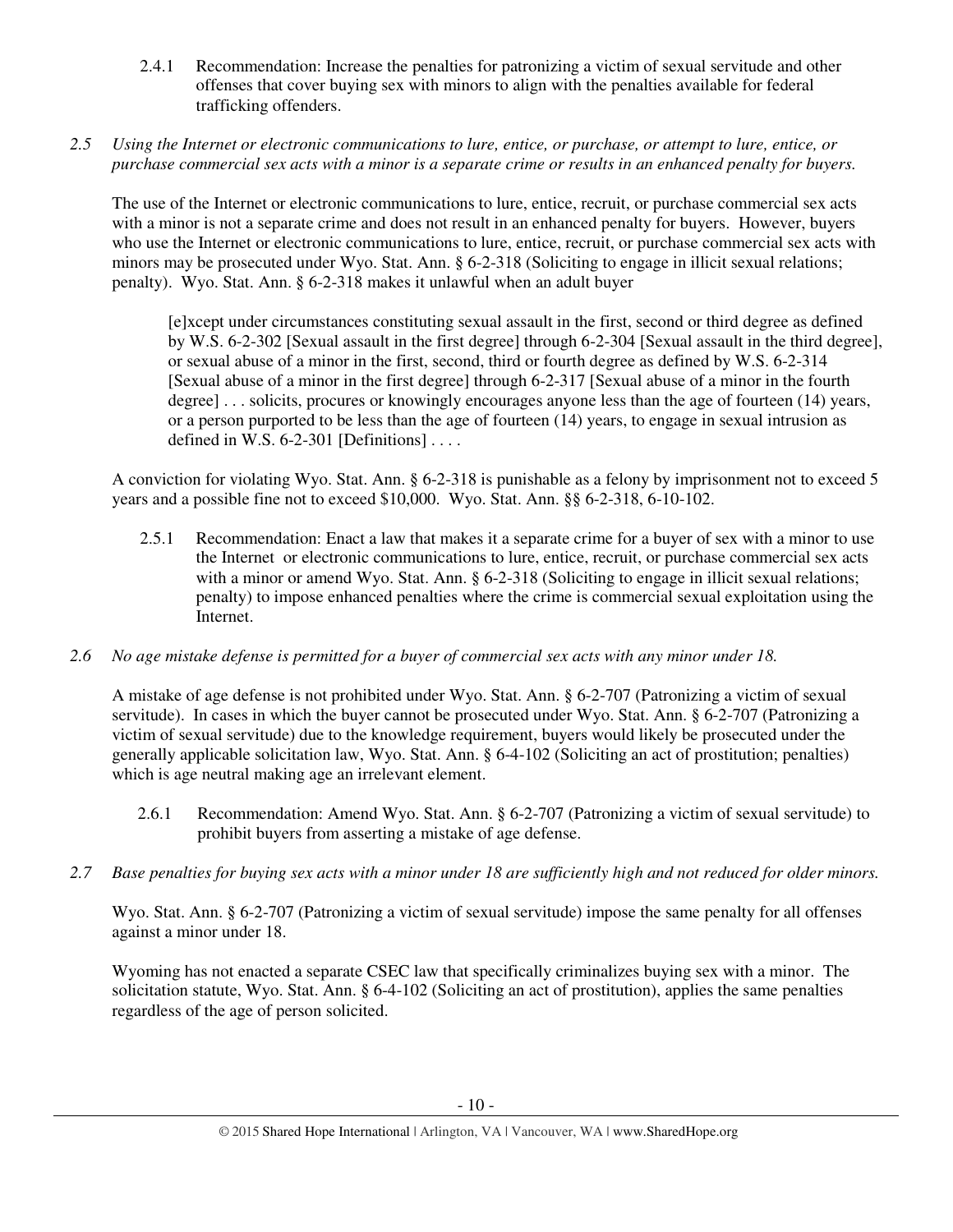- 2.4.1 Recommendation: Increase the penalties for patronizing a victim of sexual servitude and other offenses that cover buying sex with minors to align with the penalties available for federal trafficking offenders.
- *2.5 Using the Internet or electronic communications to lure, entice, or purchase, or attempt to lure, entice, or purchase commercial sex acts with a minor is a separate crime or results in an enhanced penalty for buyers.*

The use of the Internet or electronic communications to lure, entice, recruit, or purchase commercial sex acts with a minor is not a separate crime and does not result in an enhanced penalty for buyers. However, buyers who use the Internet or electronic communications to lure, entice, recruit, or purchase commercial sex acts with minors may be prosecuted under Wyo. Stat. Ann. § 6-2-318 (Soliciting to engage in illicit sexual relations; penalty). Wyo. Stat. Ann. § 6-2-318 makes it unlawful when an adult buyer

[e]xcept under circumstances constituting sexual assault in the first, second or third degree as defined by W.S. 6-2-302 [Sexual assault in the first degree] through 6-2-304 [Sexual assault in the third degree], or sexual abuse of a minor in the first, second, third or fourth degree as defined by W.S. 6-2-314 [Sexual abuse of a minor in the first degree] through 6-2-317 [Sexual abuse of a minor in the fourth degree] . . . solicits, procures or knowingly encourages anyone less than the age of fourteen (14) years, or a person purported to be less than the age of fourteen (14) years, to engage in sexual intrusion as defined in W.S.  $6-2-301$  [Definitions] ...

A conviction for violating Wyo. Stat. Ann. § 6-2-318 is punishable as a felony by imprisonment not to exceed 5 years and a possible fine not to exceed \$10,000. Wyo. Stat. Ann. §§ 6-2-318, 6-10-102.

- 2.5.1 Recommendation: Enact a law that makes it a separate crime for a buyer of sex with a minor to use the Internet or electronic communications to lure, entice, recruit, or purchase commercial sex acts with a minor or amend Wyo. Stat. Ann. § 6-2-318 (Soliciting to engage in illicit sexual relations; penalty) to impose enhanced penalties where the crime is commercial sexual exploitation using the Internet.
- *2.6 No age mistake defense is permitted for a buyer of commercial sex acts with any minor under 18.*

A mistake of age defense is not prohibited under Wyo. Stat. Ann. § 6-2-707 (Patronizing a victim of sexual servitude). In cases in which the buyer cannot be prosecuted under Wyo. Stat. Ann. § 6-2-707 (Patronizing a victim of sexual servitude) due to the knowledge requirement, buyers would likely be prosecuted under the generally applicable solicitation law, Wyo. Stat. Ann. § 6-4-102 (Soliciting an act of prostitution; penalties) which is age neutral making age an irrelevant element.

- 2.6.1 Recommendation: Amend Wyo. Stat. Ann. § 6-2-707 (Patronizing a victim of sexual servitude) to prohibit buyers from asserting a mistake of age defense.
- *2.7 Base penalties for buying sex acts with a minor under 18 are sufficiently high and not reduced for older minors.*

Wyo. Stat. Ann. § 6-2-707 (Patronizing a victim of sexual servitude) impose the same penalty for all offenses against a minor under 18.

Wyoming has not enacted a separate CSEC law that specifically criminalizes buying sex with a minor. The solicitation statute, Wyo. Stat. Ann. § 6-4-102 (Soliciting an act of prostitution), applies the same penalties regardless of the age of person solicited.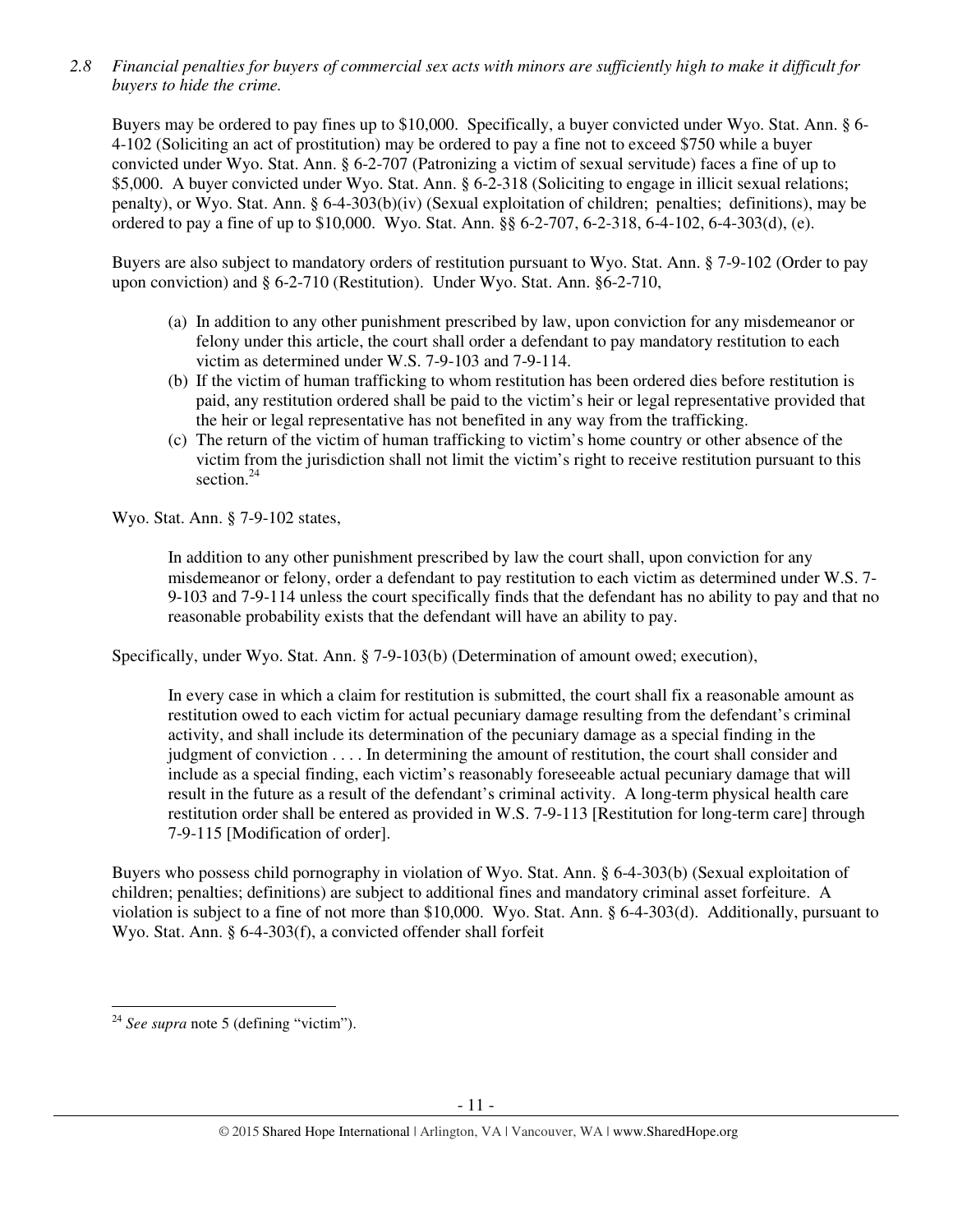*2.8 Financial penalties for buyers of commercial sex acts with minors are sufficiently high to make it difficult for buyers to hide the crime.* 

Buyers may be ordered to pay fines up to \$10,000. Specifically, a buyer convicted under Wyo. Stat. Ann. § 6- 4-102 (Soliciting an act of prostitution) may be ordered to pay a fine not to exceed \$750 while a buyer convicted under Wyo. Stat. Ann. § 6-2-707 (Patronizing a victim of sexual servitude) faces a fine of up to \$5,000. A buyer convicted under Wyo. Stat. Ann. § 6-2-318 (Soliciting to engage in illicit sexual relations; penalty), or Wyo. Stat. Ann. § 6-4-303(b)(iv) (Sexual exploitation of children; penalties; definitions), may be ordered to pay a fine of up to \$10,000. Wyo. Stat. Ann. §§ 6-2-707, 6-2-318, 6-4-102, 6-4-303(d), (e).

Buyers are also subject to mandatory orders of restitution pursuant to Wyo. Stat. Ann. § 7-9-102 (Order to pay upon conviction) and § 6-2-710 (Restitution). Under Wyo. Stat. Ann. §6-2-710,

- (a) In addition to any other punishment prescribed by law, upon conviction for any misdemeanor or felony under this article, the court shall order a defendant to pay mandatory restitution to each victim as determined under W.S. 7-9-103 and 7-9-114.
- (b) If the victim of human trafficking to whom restitution has been ordered dies before restitution is paid, any restitution ordered shall be paid to the victim's heir or legal representative provided that the heir or legal representative has not benefited in any way from the trafficking.
- (c) The return of the victim of human trafficking to victim's home country or other absence of the victim from the jurisdiction shall not limit the victim's right to receive restitution pursuant to this section.<sup>24</sup>

Wyo. Stat. Ann. § 7-9-102 states,

In addition to any other punishment prescribed by law the court shall, upon conviction for any misdemeanor or felony, order a defendant to pay restitution to each victim as determined under W.S. 7- 9-103 and 7-9-114 unless the court specifically finds that the defendant has no ability to pay and that no reasonable probability exists that the defendant will have an ability to pay.

Specifically, under Wyo. Stat. Ann. § 7-9-103(b) (Determination of amount owed; execution),

In every case in which a claim for restitution is submitted, the court shall fix a reasonable amount as restitution owed to each victim for actual pecuniary damage resulting from the defendant's criminal activity, and shall include its determination of the pecuniary damage as a special finding in the judgment of conviction . . . . In determining the amount of restitution, the court shall consider and include as a special finding, each victim's reasonably foreseeable actual pecuniary damage that will result in the future as a result of the defendant's criminal activity. A long-term physical health care restitution order shall be entered as provided in W.S. 7-9-113 [Restitution for long-term care] through 7-9-115 [Modification of order].

Buyers who possess child pornography in violation of Wyo. Stat. Ann. § 6-4-303(b) (Sexual exploitation of children; penalties; definitions) are subject to additional fines and mandatory criminal asset forfeiture. A violation is subject to a fine of not more than \$10,000. Wyo. Stat. Ann. § 6-4-303(d). Additionally, pursuant to Wyo. Stat. Ann. § 6-4-303(f), a convicted offender shall forfeit

l

<sup>24</sup> *See supra* note 5 (defining "victim").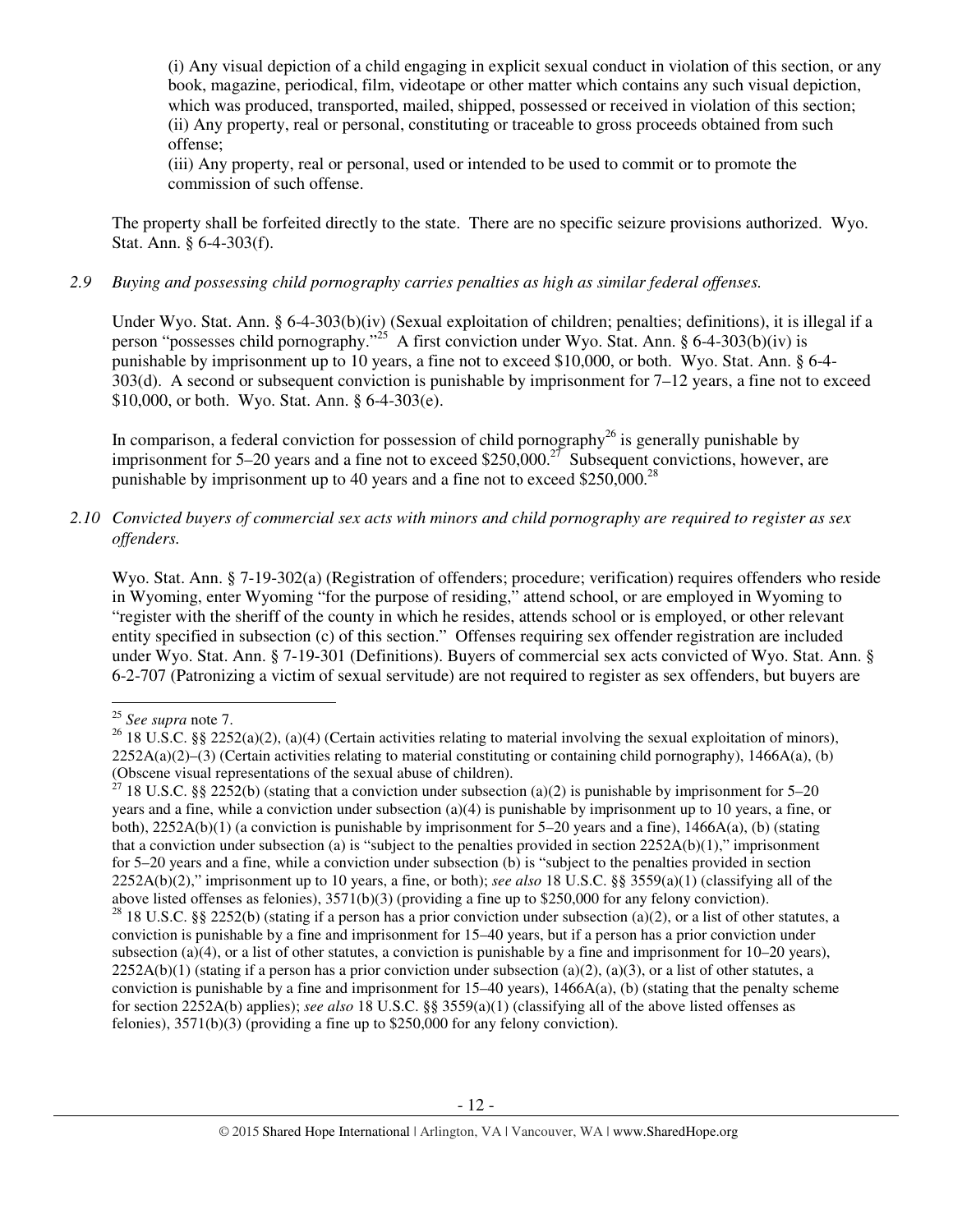(i) Any visual depiction of a child engaging in explicit sexual conduct in violation of this section, or any book, magazine, periodical, film, videotape or other matter which contains any such visual depiction, which was produced, transported, mailed, shipped, possessed or received in violation of this section; (ii) Any property, real or personal, constituting or traceable to gross proceeds obtained from such offense;

(iii) Any property, real or personal, used or intended to be used to commit or to promote the commission of such offense.

The property shall be forfeited directly to the state. There are no specific seizure provisions authorized. Wyo. Stat. Ann. § 6-4-303(f).

## *2.9 Buying and possessing child pornography carries penalties as high as similar federal offenses.*

Under Wyo. Stat. Ann. § 6-4-303(b)(iv) (Sexual exploitation of children; penalties; definitions), it is illegal if a person "possesses child pornography."<sup>25</sup> A first conviction under Wyo. Stat. Ann. § 6-4-303(b)(iv) is punishable by imprisonment up to 10 years, a fine not to exceed \$10,000, or both. Wyo. Stat. Ann. § 6-4- 303(d). A second or subsequent conviction is punishable by imprisonment for 7–12 years, a fine not to exceed \$10,000, or both. Wyo. Stat. Ann. § 6-4-303(e).

In comparison, a federal conviction for possession of child pornography<sup>26</sup> is generally punishable by imprisonment for 5–20 years and a fine not to exceed \$250,000.<sup>27</sup> Subsequent convictions, however, are punishable by imprisonment up to 40 years and a fine not to exceed \$250,000.<sup>28</sup>

*2.10 Convicted buyers of commercial sex acts with minors and child pornography are required to register as sex offenders.* 

Wyo. Stat. Ann. § 7-19-302(a) (Registration of offenders; procedure; verification) requires offenders who reside in Wyoming, enter Wyoming "for the purpose of residing," attend school, or are employed in Wyoming to "register with the sheriff of the county in which he resides, attends school or is employed, or other relevant entity specified in subsection (c) of this section." Offenses requiring sex offender registration are included under Wyo. Stat. Ann. § 7-19-301 (Definitions). Buyers of commercial sex acts convicted of Wyo. Stat. Ann. § 6-2-707 (Patronizing a victim of sexual servitude) are not required to register as sex offenders, but buyers are

l

<sup>25</sup> *See supra* note 7.

<sup>&</sup>lt;sup>26</sup> 18 U.S.C. §§ 2252(a)(2), (a)(4) (Certain activities relating to material involving the sexual exploitation of minors),  $2252A(a)(2)$ –(3) (Certain activities relating to material constituting or containing child pornography), 1466A(a), (b) (Obscene visual representations of the sexual abuse of children).

<sup>&</sup>lt;sup>27</sup> 18 U.S.C. §§ 2252(b) (stating that a conviction under subsection (a)(2) is punishable by imprisonment for 5–20 years and a fine, while a conviction under subsection (a)(4) is punishable by imprisonment up to 10 years, a fine, or both), 2252A(b)(1) (a conviction is punishable by imprisonment for 5–20 years and a fine), 1466A(a), (b) (stating that a conviction under subsection (a) is "subject to the penalties provided in section  $2252A(b)(1)$ ," imprisonment for 5–20 years and a fine, while a conviction under subsection (b) is "subject to the penalties provided in section 2252A(b)(2)," imprisonment up to 10 years, a fine, or both); *see also* 18 U.S.C. §§ 3559(a)(1) (classifying all of the above listed offenses as felonies), 3571(b)(3) (providing a fine up to \$250,000 for any felony conviction). <sup>28</sup> 18 U.S.C. §§ 2252(b) (stating if a person has a prior conviction under subsection (a)(2), or a list of other statutes, a conviction is punishable by a fine and imprisonment for 15–40 years, but if a person has a prior conviction under subsection (a)(4), or a list of other statutes, a conviction is punishable by a fine and imprisonment for  $10-20$  years),  $2252A(b)(1)$  (stating if a person has a prior conviction under subsection (a)(2), (a)(3), or a list of other statutes, a conviction is punishable by a fine and imprisonment for  $15-40$  years),  $1466A(a)$ , (b) (stating that the penalty scheme for section 2252A(b) applies); *see also* 18 U.S.C. §§ 3559(a)(1) (classifying all of the above listed offenses as felonies), 3571(b)(3) (providing a fine up to \$250,000 for any felony conviction).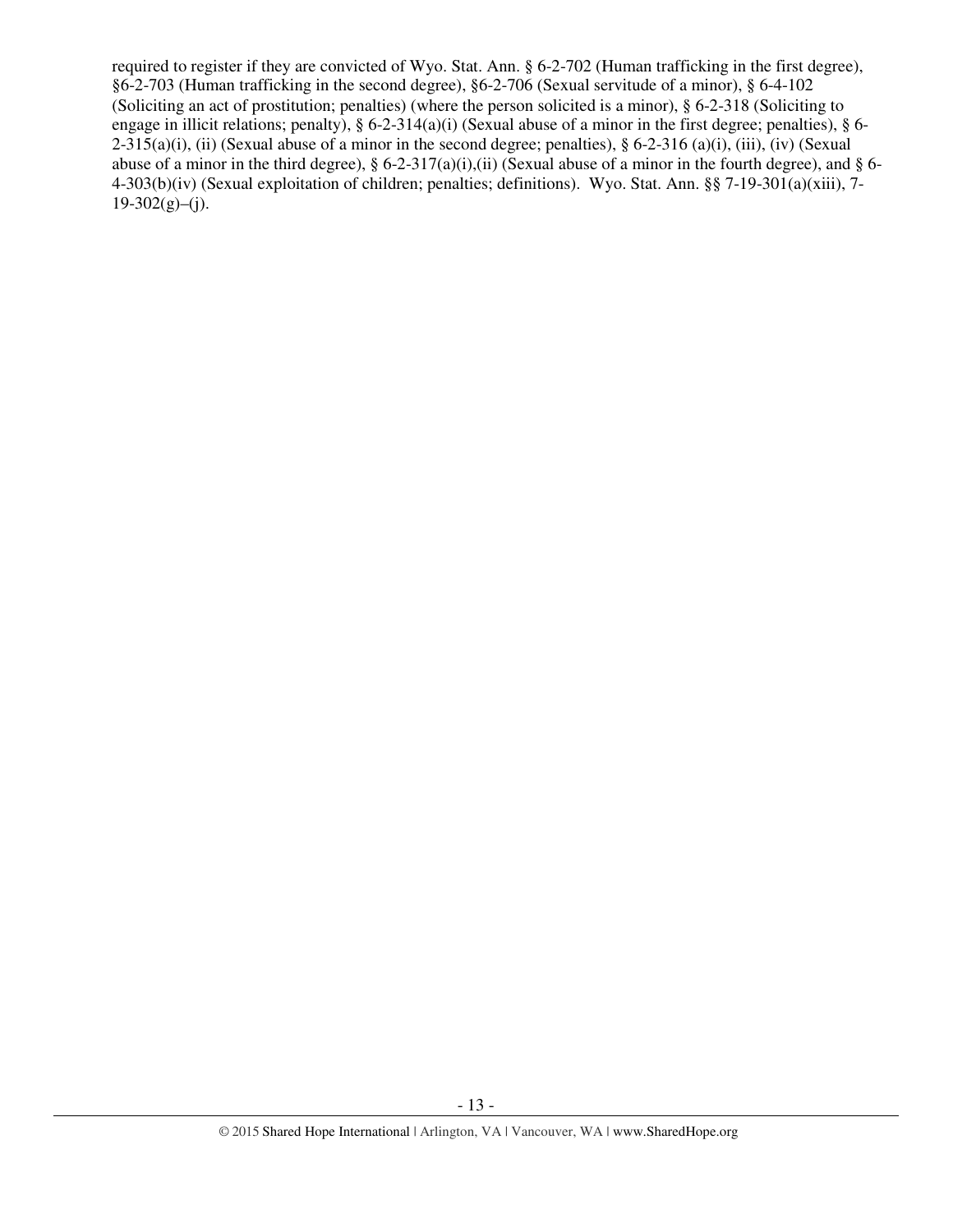required to register if they are convicted of Wyo. Stat. Ann. § 6-2-702 (Human trafficking in the first degree), §6-2-703 (Human trafficking in the second degree), §6-2-706 (Sexual servitude of a minor), § 6-4-102 (Soliciting an act of prostitution; penalties) (where the person solicited is a minor), § 6-2-318 (Soliciting to engage in illicit relations; penalty), § 6-2-314(a)(i) (Sexual abuse of a minor in the first degree; penalties), § 6-  $2-315(a)(i)$ , (ii) (Sexual abuse of a minor in the second degree; penalties), § 6-2-316 (a)(i), (iii), (iv) (Sexual abuse of a minor in the third degree),  $\S 6$ -2-317(a)(i),(ii) (Sexual abuse of a minor in the fourth degree), and  $\S 6$ -4-303(b)(iv) (Sexual exploitation of children; penalties; definitions). Wyo. Stat. Ann. §§ 7-19-301(a)(xiii), 7-  $19-302(g)$ –(j).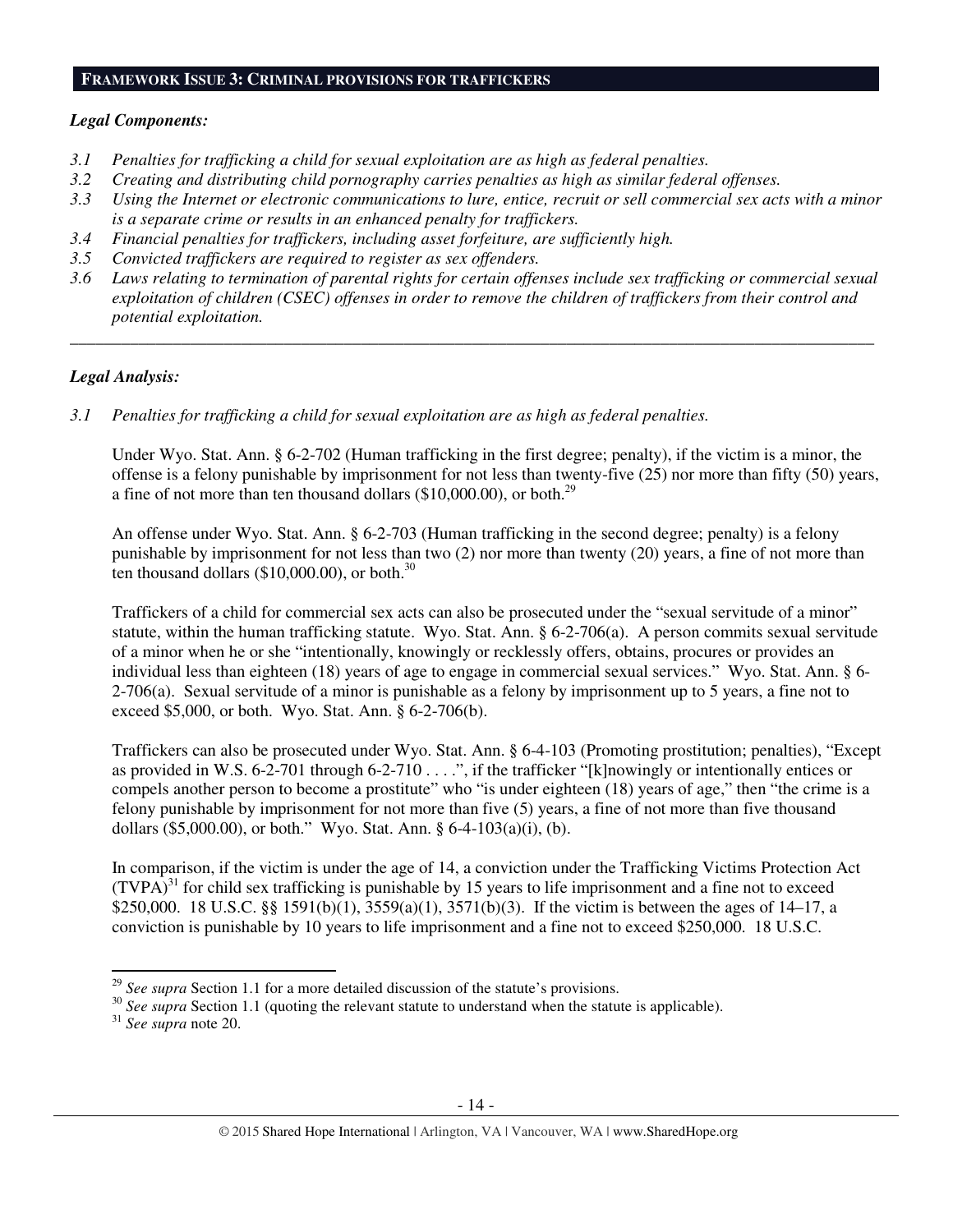#### **FRAMEWORK ISSUE 3: CRIMINAL PROVISIONS FOR TRAFFICKERS**

#### *Legal Components:*

- *3.1 Penalties for trafficking a child for sexual exploitation are as high as federal penalties.*
- *3.2 Creating and distributing child pornography carries penalties as high as similar federal offenses.*
- *3.3 Using the Internet or electronic communications to lure, entice, recruit or sell commercial sex acts with a minor is a separate crime or results in an enhanced penalty for traffickers.*
- *3.4 Financial penalties for traffickers, including asset forfeiture, are sufficiently high.*
- *3.5 Convicted traffickers are required to register as sex offenders.*
- *3.6 Laws relating to termination of parental rights for certain offenses include sex trafficking or commercial sexual exploitation of children (CSEC) offenses in order to remove the children of traffickers from their control and potential exploitation.*

*\_\_\_\_\_\_\_\_\_\_\_\_\_\_\_\_\_\_\_\_\_\_\_\_\_\_\_\_\_\_\_\_\_\_\_\_\_\_\_\_\_\_\_\_\_\_\_\_\_\_\_\_\_\_\_\_\_\_\_\_\_\_\_\_\_\_\_\_\_\_\_\_\_\_\_\_\_\_\_\_\_\_\_\_\_\_\_\_\_\_\_\_\_\_* 

## *Legal Analysis:*

*3.1 Penalties for trafficking a child for sexual exploitation are as high as federal penalties.* 

Under Wyo. Stat. Ann. § 6-2-702 (Human trafficking in the first degree; penalty), if the victim is a minor, the offense is a felony punishable by imprisonment for not less than twenty-five (25) nor more than fifty (50) years, a fine of not more than ten thousand dollars  $(\$10,000.00)$ , or both.<sup>29</sup>

An offense under Wyo. Stat. Ann. § 6-2-703 (Human trafficking in the second degree; penalty) is a felony punishable by imprisonment for not less than two (2) nor more than twenty (20) years, a fine of not more than ten thousand dollars  $(\$10,000.00)$ , or both.<sup>30</sup>

Traffickers of a child for commercial sex acts can also be prosecuted under the "sexual servitude of a minor" statute, within the human trafficking statute. Wyo. Stat. Ann. § 6-2-706(a). A person commits sexual servitude of a minor when he or she "intentionally, knowingly or recklessly offers, obtains, procures or provides an individual less than eighteen (18) years of age to engage in commercial sexual services." Wyo. Stat. Ann. § 6- 2-706(a). Sexual servitude of a minor is punishable as a felony by imprisonment up to 5 years, a fine not to exceed \$5,000, or both. Wyo. Stat. Ann. § 6-2-706(b).

Traffickers can also be prosecuted under Wyo. Stat. Ann. § 6-4-103 (Promoting prostitution; penalties), "Except as provided in W.S. 6-2-701 through 6-2-710 . . . .", if the trafficker "[k]nowingly or intentionally entices or compels another person to become a prostitute" who "is under eighteen (18) years of age," then "the crime is a felony punishable by imprisonment for not more than five (5) years, a fine of not more than five thousand dollars (\$5,000.00), or both." Wyo. Stat. Ann. § 6-4-103(a)(i), (b).

In comparison, if the victim is under the age of 14, a conviction under the Trafficking Victims Protection Act  $(TVPA)^{31}$  for child sex trafficking is punishable by 15 years to life imprisonment and a fine not to exceed \$250,000. 18 U.S.C. §§ 1591(b)(1), 3559(a)(1), 3571(b)(3). If the victim is between the ages of 14–17, a conviction is punishable by 10 years to life imprisonment and a fine not to exceed \$250,000. 18 U.S.C.

l

<sup>29</sup> *See supra* Section 1.1 for a more detailed discussion of the statute's provisions.

<sup>&</sup>lt;sup>30</sup> See supra Section 1.1 (quoting the relevant statute to understand when the statute is applicable).

<sup>31</sup> *See supra* note 20.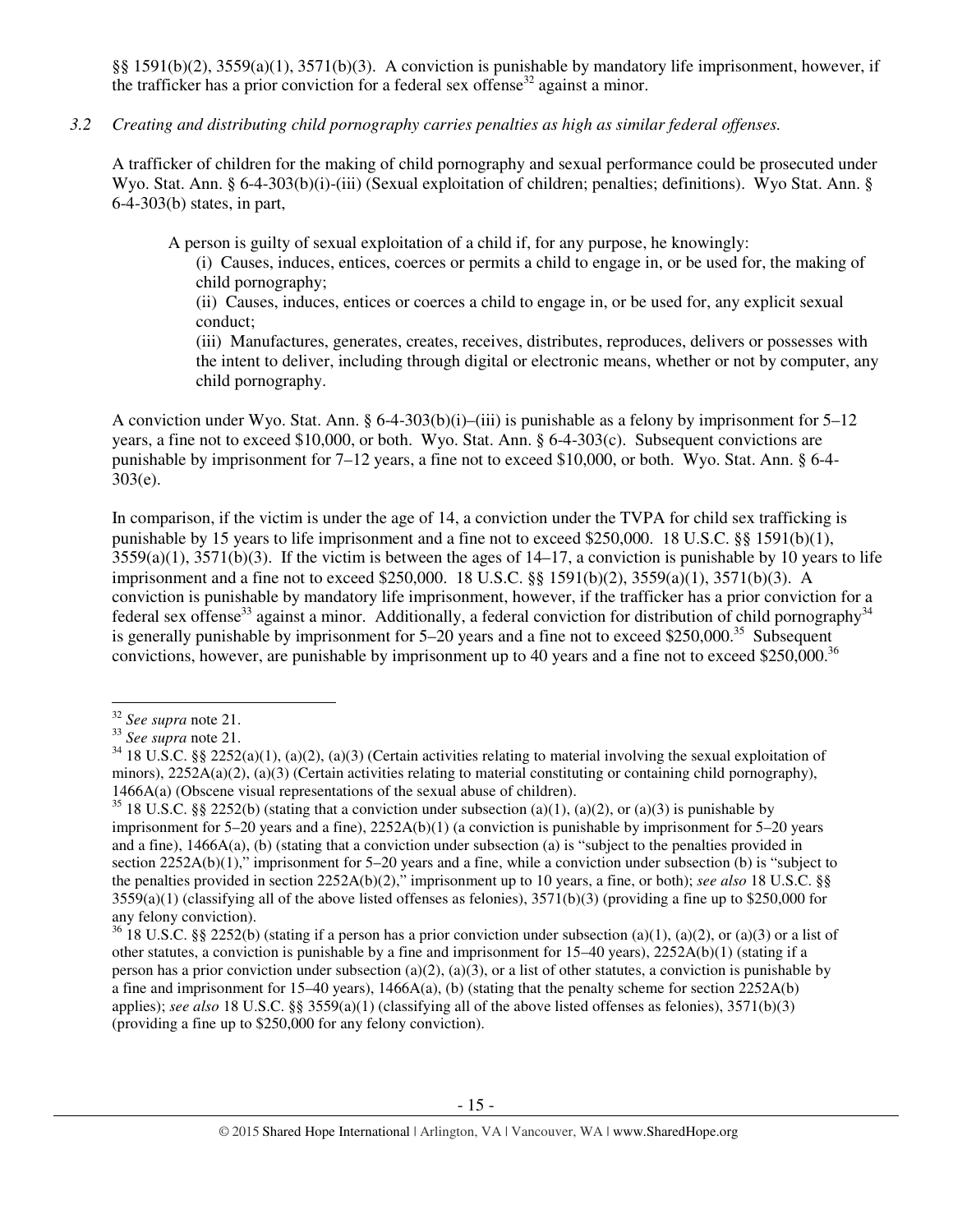§§ 1591(b)(2), 3559(a)(1), 3571(b)(3). A conviction is punishable by mandatory life imprisonment, however, if the trafficker has a prior conviction for a federal sex offense<sup>32</sup> against a minor.

## *3.2 Creating and distributing child pornography carries penalties as high as similar federal offenses.*

A trafficker of children for the making of child pornography and sexual performance could be prosecuted under Wyo. Stat. Ann. § 6-4-303(b)(i)-(iii) (Sexual exploitation of children; penalties; definitions). Wyo Stat. Ann. § 6-4-303(b) states, in part,

A person is guilty of sexual exploitation of a child if, for any purpose, he knowingly:

(i) Causes, induces, entices, coerces or permits a child to engage in, or be used for, the making of child pornography;

(ii) Causes, induces, entices or coerces a child to engage in, or be used for, any explicit sexual conduct;

(iii) Manufactures, generates, creates, receives, distributes, reproduces, delivers or possesses with the intent to deliver, including through digital or electronic means, whether or not by computer, any child pornography.

A conviction under Wyo. Stat. Ann. §  $6-4-303(b)(i)$ —(iii) is punishable as a felony by imprisonment for  $5-12$ years, a fine not to exceed \$10,000, or both. Wyo. Stat. Ann. § 6-4-303(c). Subsequent convictions are punishable by imprisonment for 7–12 years, a fine not to exceed \$10,000, or both. Wyo. Stat. Ann. § 6-4- 303(e).

In comparison, if the victim is under the age of 14, a conviction under the TVPA for child sex trafficking is punishable by 15 years to life imprisonment and a fine not to exceed \$250,000. 18 U.S.C. §§ 1591(b)(1),  $3559(a)(1)$ ,  $3571(b)(3)$ . If the victim is between the ages of  $14-17$ , a conviction is punishable by 10 years to life imprisonment and a fine not to exceed \$250,000. 18 U.S.C. §§ 1591(b)(2), 3559(a)(1), 3571(b)(3). A conviction is punishable by mandatory life imprisonment, however, if the trafficker has a prior conviction for a federal sex offense<sup>33</sup> against a minor. Additionally, a federal conviction for distribution of child pornography<sup>34</sup> is generally punishable by imprisonment for  $5-20$  years and a fine not to exceed \$250,000.<sup>35</sup> Subsequent convictions, however, are punishable by imprisonment up to 40 years and a fine not to exceed \$250,000.<sup>36</sup>

 $\overline{a}$ 

<sup>32</sup> *See supra* note 21.

<sup>33</sup> *See supra* note 21.

 $34\overline{18}$  U.S.C. §§ 2252(a)(1), (a)(2), (a)(3) (Certain activities relating to material involving the sexual exploitation of minors),  $2252A(a)(2)$ ,  $(a)(3)$  (Certain activities relating to material constituting or containing child pornography), 1466A(a) (Obscene visual representations of the sexual abuse of children).

<sup>&</sup>lt;sup>35</sup> 18 U.S.C. §§ 2252(b) (stating that a conviction under subsection (a)(1), (a)(2), or (a)(3) is punishable by imprisonment for 5–20 years and a fine), 2252A(b)(1) (a conviction is punishable by imprisonment for 5–20 years and a fine), 1466A(a), (b) (stating that a conviction under subsection (a) is "subject to the penalties provided in section 2252A(b)(1)," imprisonment for 5–20 years and a fine, while a conviction under subsection (b) is "subject to the penalties provided in section 2252A(b)(2)," imprisonment up to 10 years, a fine, or both); *see also* 18 U.S.C. §§  $3559(a)(1)$  (classifying all of the above listed offenses as felonies),  $3571(b)(3)$  (providing a fine up to \$250,000 for any felony conviction).

<sup>&</sup>lt;sup>36</sup> 18 U.S.C. §§ 2252(b) (stating if a person has a prior conviction under subsection (a)(1), (a)(2), or (a)(3) or a list of other statutes, a conviction is punishable by a fine and imprisonment for 15–40 years), 2252A(b)(1) (stating if a person has a prior conviction under subsection (a)(2), (a)(3), or a list of other statutes, a conviction is punishable by a fine and imprisonment for 15–40 years), 1466A(a), (b) (stating that the penalty scheme for section 2252A(b) applies); *see also* 18 U.S.C. §§ 3559(a)(1) (classifying all of the above listed offenses as felonies), 3571(b)(3) (providing a fine up to \$250,000 for any felony conviction).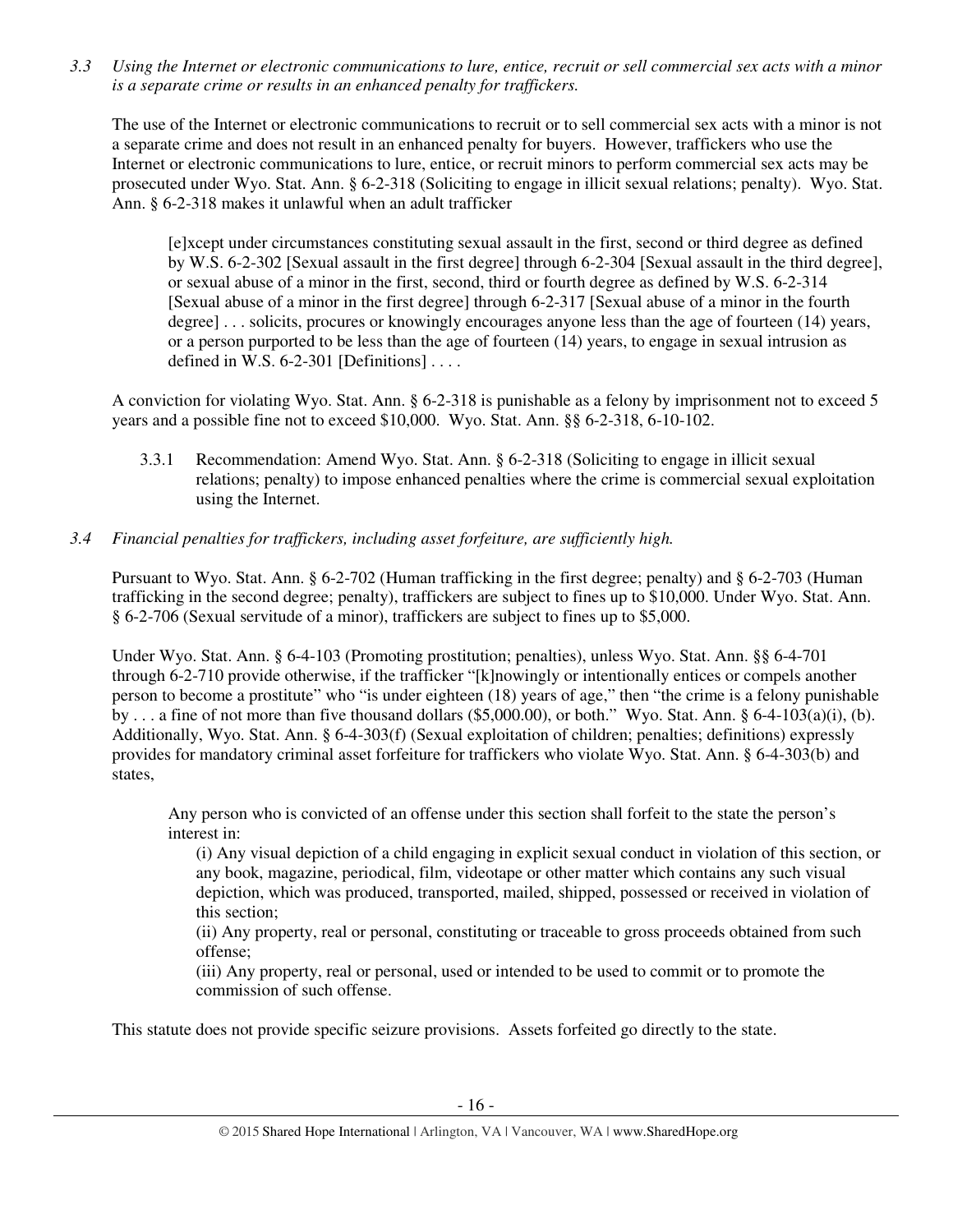*3.3 Using the Internet or electronic communications to lure, entice, recruit or sell commercial sex acts with a minor is a separate crime or results in an enhanced penalty for traffickers.* 

The use of the Internet or electronic communications to recruit or to sell commercial sex acts with a minor is not a separate crime and does not result in an enhanced penalty for buyers. However, traffickers who use the Internet or electronic communications to lure, entice, or recruit minors to perform commercial sex acts may be prosecuted under Wyo. Stat. Ann. § 6-2-318 (Soliciting to engage in illicit sexual relations; penalty). Wyo. Stat. Ann. § 6-2-318 makes it unlawful when an adult trafficker

[e]xcept under circumstances constituting sexual assault in the first, second or third degree as defined by W.S. 6-2-302 [Sexual assault in the first degree] through 6-2-304 [Sexual assault in the third degree], or sexual abuse of a minor in the first, second, third or fourth degree as defined by W.S. 6-2-314 [Sexual abuse of a minor in the first degree] through 6-2-317 [Sexual abuse of a minor in the fourth degree] . . . solicits, procures or knowingly encourages anyone less than the age of fourteen (14) years, or a person purported to be less than the age of fourteen (14) years, to engage in sexual intrusion as defined in W.S.  $6-2-301$  [Definitions] ...

A conviction for violating Wyo. Stat. Ann. § 6-2-318 is punishable as a felony by imprisonment not to exceed 5 years and a possible fine not to exceed \$10,000. Wyo. Stat. Ann. §§ 6-2-318, 6-10-102.

3.3.1 Recommendation: Amend Wyo. Stat. Ann. § 6-2-318 (Soliciting to engage in illicit sexual relations; penalty) to impose enhanced penalties where the crime is commercial sexual exploitation using the Internet.

# *3.4 Financial penalties for traffickers, including asset forfeiture, are sufficiently high.*

Pursuant to Wyo. Stat. Ann. § 6-2-702 (Human trafficking in the first degree; penalty) and § 6-2-703 (Human trafficking in the second degree; penalty), traffickers are subject to fines up to \$10,000. Under Wyo. Stat. Ann. § 6-2-706 (Sexual servitude of a minor), traffickers are subject to fines up to \$5,000.

Under Wyo. Stat. Ann. § 6-4-103 (Promoting prostitution; penalties), unless Wyo. Stat. Ann. §§ 6-4-701 through 6-2-710 provide otherwise, if the trafficker "[k]nowingly or intentionally entices or compels another person to become a prostitute" who "is under eighteen (18) years of age," then "the crime is a felony punishable by ... a fine of not more than five thousand dollars (\$5,000.00), or both." Wyo. Stat. Ann. § 6-4-103(a)(i), (b). Additionally, Wyo. Stat. Ann. § 6-4-303(f) (Sexual exploitation of children; penalties; definitions) expressly provides for mandatory criminal asset forfeiture for traffickers who violate Wyo. Stat. Ann. § 6-4-303(b) and states,

Any person who is convicted of an offense under this section shall forfeit to the state the person's interest in:

(i) Any visual depiction of a child engaging in explicit sexual conduct in violation of this section, or any book, magazine, periodical, film, videotape or other matter which contains any such visual depiction, which was produced, transported, mailed, shipped, possessed or received in violation of this section;

(ii) Any property, real or personal, constituting or traceable to gross proceeds obtained from such offense;

(iii) Any property, real or personal, used or intended to be used to commit or to promote the commission of such offense.

This statute does not provide specific seizure provisions. Assets forfeited go directly to the state.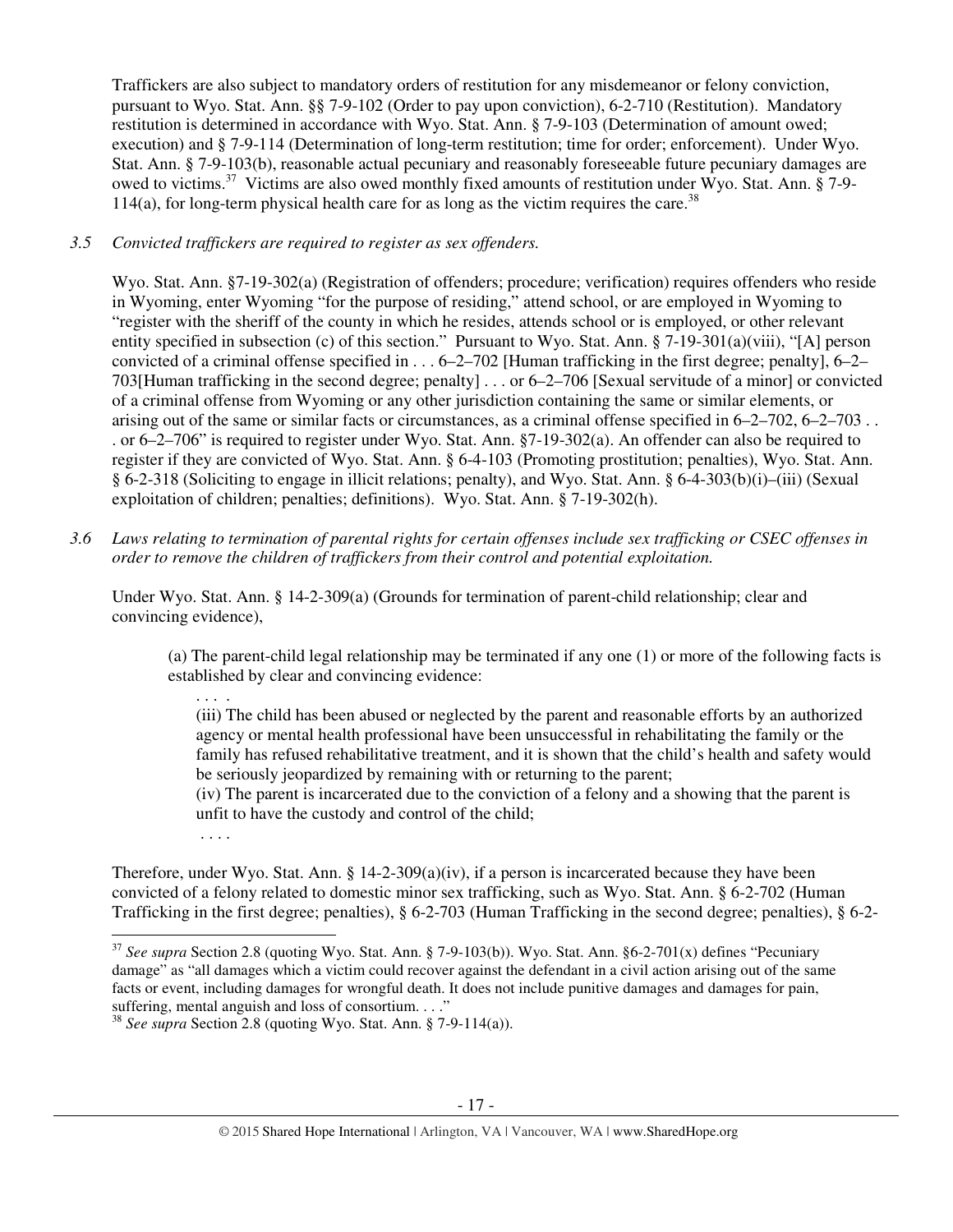Traffickers are also subject to mandatory orders of restitution for any misdemeanor or felony conviction, pursuant to Wyo. Stat. Ann. §§ 7-9-102 (Order to pay upon conviction), 6-2-710 (Restitution). Mandatory restitution is determined in accordance with Wyo. Stat. Ann. § 7-9-103 (Determination of amount owed; execution) and § 7-9-114 (Determination of long-term restitution; time for order; enforcement). Under Wyo. Stat. Ann. § 7-9-103(b), reasonable actual pecuniary and reasonably foreseeable future pecuniary damages are owed to victims.<sup>37</sup> Victims are also owed monthly fixed amounts of restitution under Wyo. Stat. Ann. § 7-9-114(a), for long-term physical health care for as long as the victim requires the care.<sup>38</sup>

## *3.5 Convicted traffickers are required to register as sex offenders.*

Wyo. Stat. Ann. §7-19-302(a) (Registration of offenders; procedure; verification) requires offenders who reside in Wyoming, enter Wyoming "for the purpose of residing," attend school, or are employed in Wyoming to "register with the sheriff of the county in which he resides, attends school or is employed, or other relevant entity specified in subsection (c) of this section." Pursuant to Wyo. Stat. Ann. § 7-19-301(a)(viii), "[A] person convicted of a criminal offense specified in  $\dots$  6–2–702 [Human trafficking in the first degree; penalty], 6–2– 703[Human trafficking in the second degree; penalty] . . . or 6–2–706 [Sexual servitude of a minor] or convicted of a criminal offense from Wyoming or any other jurisdiction containing the same or similar elements, or arising out of the same or similar facts or circumstances, as a criminal offense specified in 6–2–702, 6–2–703 . . . or 6–2–706" is required to register under Wyo. Stat. Ann. §7-19-302(a). An offender can also be required to register if they are convicted of Wyo. Stat. Ann. § 6-4-103 (Promoting prostitution; penalties), Wyo. Stat. Ann. § 6-2-318 (Soliciting to engage in illicit relations; penalty), and Wyo. Stat. Ann. § 6-4-303(b)(i)–(iii) (Sexual exploitation of children; penalties; definitions). Wyo. Stat. Ann. § 7-19-302(h).

*3.6 Laws relating to termination of parental rights for certain offenses include sex trafficking or CSEC offenses in order to remove the children of traffickers from their control and potential exploitation.* 

Under Wyo. Stat. Ann. § 14-2-309(a) (Grounds for termination of parent-child relationship; clear and convincing evidence),

(a) The parent-child legal relationship may be terminated if any one (1) or more of the following facts is established by clear and convincing evidence:

. . . .

(iii) The child has been abused or neglected by the parent and reasonable efforts by an authorized agency or mental health professional have been unsuccessful in rehabilitating the family or the family has refused rehabilitative treatment, and it is shown that the child's health and safety would be seriously jeopardized by remaining with or returning to the parent;

(iv) The parent is incarcerated due to the conviction of a felony and a showing that the parent is unfit to have the custody and control of the child;

. . . .

Therefore, under Wyo. Stat. Ann. § 14-2-309(a)(iv), if a person is incarcerated because they have been convicted of a felony related to domestic minor sex trafficking, such as Wyo. Stat. Ann. § 6-2-702 (Human Trafficking in the first degree; penalties), § 6-2-703 (Human Trafficking in the second degree; penalties), § 6-2-  $\overline{a}$ 

<sup>37</sup> *See supra* Section 2.8 (quoting Wyo. Stat. Ann. § 7-9-103(b)). Wyo. Stat. Ann. §6-2-701(x) defines "Pecuniary damage" as "all damages which a victim could recover against the defendant in a civil action arising out of the same facts or event, including damages for wrongful death. It does not include punitive damages and damages for pain, suffering, mental anguish and loss of consortium. . . ."

<sup>38</sup> *See supra* Section 2.8 (quoting Wyo. Stat. Ann. § 7-9-114(a)).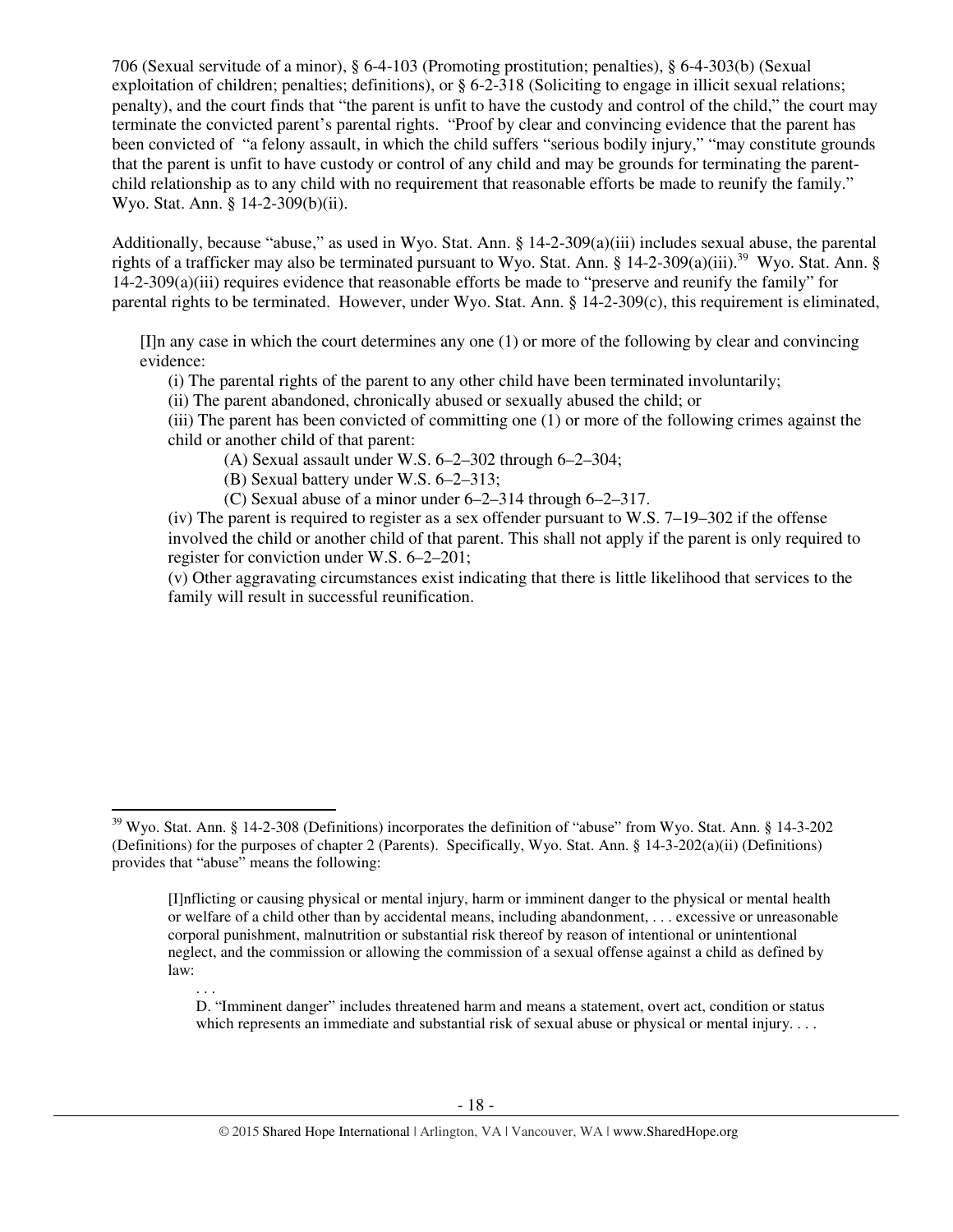706 (Sexual servitude of a minor), § 6-4-103 (Promoting prostitution; penalties), § 6-4-303(b) (Sexual exploitation of children; penalties; definitions), or § 6-2-318 (Soliciting to engage in illicit sexual relations; penalty), and the court finds that "the parent is unfit to have the custody and control of the child," the court may terminate the convicted parent's parental rights. "Proof by clear and convincing evidence that the parent has been convicted of "a felony assault, in which the child suffers "serious bodily injury," "may constitute grounds that the parent is unfit to have custody or control of any child and may be grounds for terminating the parentchild relationship as to any child with no requirement that reasonable efforts be made to reunify the family." Wyo. Stat. Ann. § 14-2-309(b)(ii).

Additionally, because "abuse," as used in Wyo. Stat. Ann. § 14-2-309(a)(iii) includes sexual abuse, the parental rights of a trafficker may also be terminated pursuant to Wyo. Stat. Ann. § 14-2-309(a)(iii).<sup>39</sup> Wyo. Stat. Ann. § 14-2-309(a)(iii) requires evidence that reasonable efforts be made to "preserve and reunify the family" for parental rights to be terminated. However, under Wyo. Stat. Ann. § 14-2-309(c), this requirement is eliminated,

[I]n any case in which the court determines any one (1) or more of the following by clear and convincing evidence:

(i) The parental rights of the parent to any other child have been terminated involuntarily;

(ii) The parent abandoned, chronically abused or sexually abused the child; or

(iii) The parent has been convicted of committing one (1) or more of the following crimes against the child or another child of that parent:

(A) Sexual assault under W.S. 6–2–302 through 6–2–304;

(B) Sexual battery under W.S. 6–2–313;

 $\overline{a}$ 

(C) Sexual abuse of a minor under 6–2–314 through 6–2–317.

(iv) The parent is required to register as a sex offender pursuant to W.S.  $7-19-302$  if the offense involved the child or another child of that parent. This shall not apply if the parent is only required to register for conviction under W.S. 6–2–201;

(v) Other aggravating circumstances exist indicating that there is little likelihood that services to the family will result in successful reunification.

. . . D. "Imminent danger" includes threatened harm and means a statement, overt act, condition or status which represents an immediate and substantial risk of sexual abuse or physical or mental injury. . . .

<sup>&</sup>lt;sup>39</sup> Wyo. Stat. Ann. § 14-2-308 (Definitions) incorporates the definition of "abuse" from Wyo. Stat. Ann. § 14-3-202 (Definitions) for the purposes of chapter 2 (Parents). Specifically, Wyo. Stat. Ann. § 14-3-202(a)(ii) (Definitions) provides that "abuse" means the following:

<sup>[</sup>I]nflicting or causing physical or mental injury, harm or imminent danger to the physical or mental health or welfare of a child other than by accidental means, including abandonment, . . . excessive or unreasonable corporal punishment, malnutrition or substantial risk thereof by reason of intentional or unintentional neglect, and the commission or allowing the commission of a sexual offense against a child as defined by law: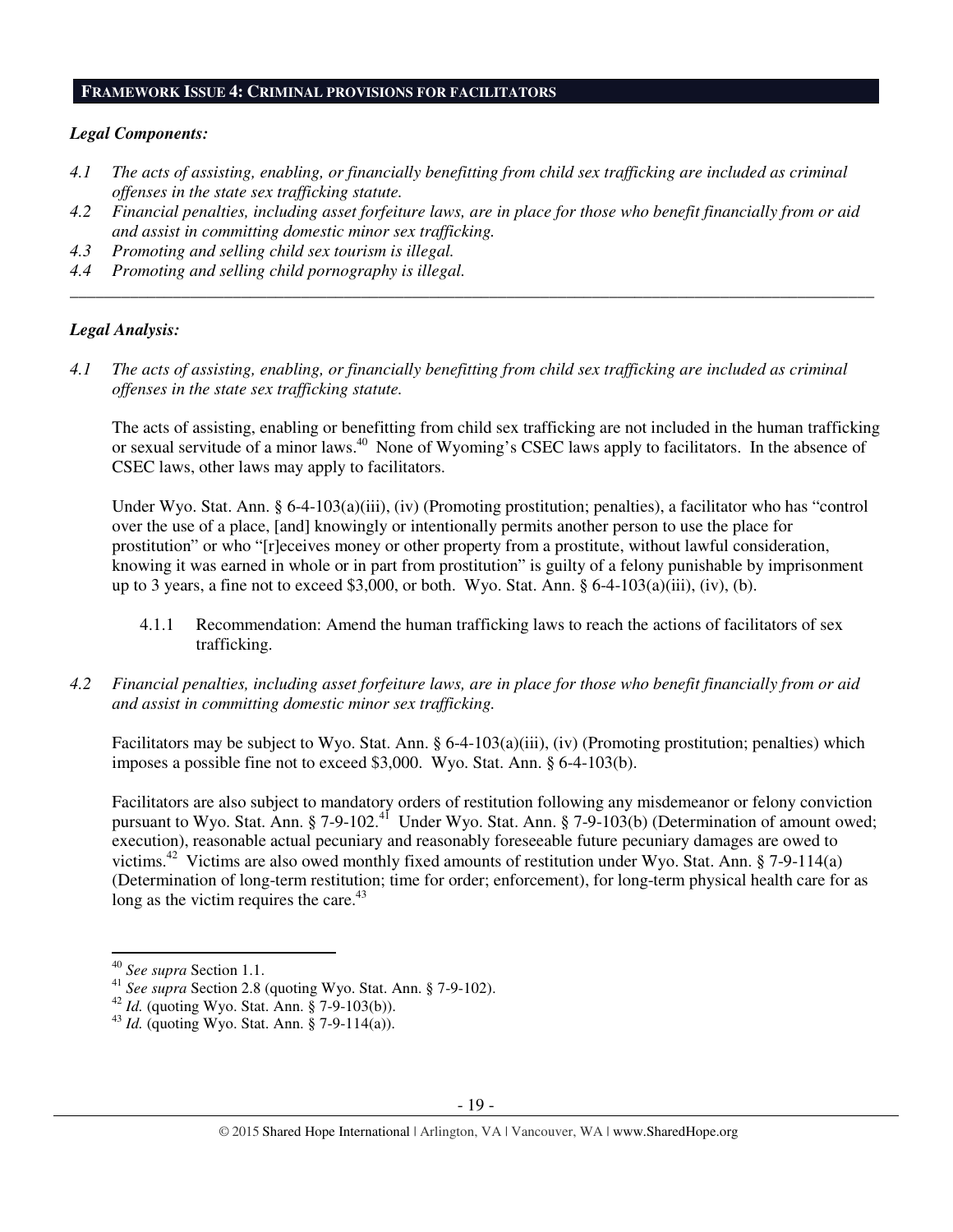#### **FRAMEWORK ISSUE 4: CRIMINAL PROVISIONS FOR FACILITATORS**

#### *Legal Components:*

- *4.1 The acts of assisting, enabling, or financially benefitting from child sex trafficking are included as criminal offenses in the state sex trafficking statute.*
- *4.2 Financial penalties, including asset forfeiture laws, are in place for those who benefit financially from or aid and assist in committing domestic minor sex trafficking.*

*\_\_\_\_\_\_\_\_\_\_\_\_\_\_\_\_\_\_\_\_\_\_\_\_\_\_\_\_\_\_\_\_\_\_\_\_\_\_\_\_\_\_\_\_\_\_\_\_\_\_\_\_\_\_\_\_\_\_\_\_\_\_\_\_\_\_\_\_\_\_\_\_\_\_\_\_\_\_\_\_\_\_\_\_\_\_\_\_\_\_\_\_\_\_* 

- *4.3 Promoting and selling child sex tourism is illegal.*
- *4.4 Promoting and selling child pornography is illegal.*

#### *Legal Analysis:*

*4.1 The acts of assisting, enabling, or financially benefitting from child sex trafficking are included as criminal offenses in the state sex trafficking statute.* 

The acts of assisting, enabling or benefitting from child sex trafficking are not included in the human trafficking or sexual servitude of a minor laws.<sup>40</sup> None of Wyoming's CSEC laws apply to facilitators. In the absence of CSEC laws, other laws may apply to facilitators.

Under Wyo. Stat. Ann. § 6-4-103(a)(iii), (iv) (Promoting prostitution; penalties), a facilitator who has "control over the use of a place, [and] knowingly or intentionally permits another person to use the place for prostitution" or who "[r]eceives money or other property from a prostitute, without lawful consideration, knowing it was earned in whole or in part from prostitution" is guilty of a felony punishable by imprisonment up to 3 years, a fine not to exceed \$3,000, or both. Wyo. Stat. Ann.  $\S 6-4-103(a)(iii)$ , (iv), (b).

- 4.1.1 Recommendation: Amend the human trafficking laws to reach the actions of facilitators of sex trafficking.
- *4.2 Financial penalties, including asset forfeiture laws, are in place for those who benefit financially from or aid and assist in committing domestic minor sex trafficking.*

Facilitators may be subject to Wyo. Stat. Ann.  $\S 6-4-103(a)(iii)$ , (iv) (Promoting prostitution; penalties) which imposes a possible fine not to exceed \$3,000. Wyo. Stat. Ann. § 6-4-103(b).

Facilitators are also subject to mandatory orders of restitution following any misdemeanor or felony conviction pursuant to Wyo. Stat. Ann. § 7-9-102.<sup>41</sup> Under Wyo. Stat. Ann. § 7-9-103(b) (Determination of amount owed; execution), reasonable actual pecuniary and reasonably foreseeable future pecuniary damages are owed to victims.<sup>42</sup> Victims are also owed monthly fixed amounts of restitution under Wyo. Stat. Ann. § 7-9-114(a) (Determination of long-term restitution; time for order; enforcement), for long-term physical health care for as long as the victim requires the care. $43$ 

 $\overline{a}$ 

<sup>40</sup> *See supra* Section 1.1.

<sup>41</sup> *See supra* Section 2.8 (quoting Wyo. Stat. Ann. § 7-9-102).

<sup>42</sup> *Id.* (quoting Wyo. Stat. Ann. § 7-9-103(b)).

<sup>43</sup> *Id.* (quoting Wyo. Stat. Ann. § 7-9-114(a)).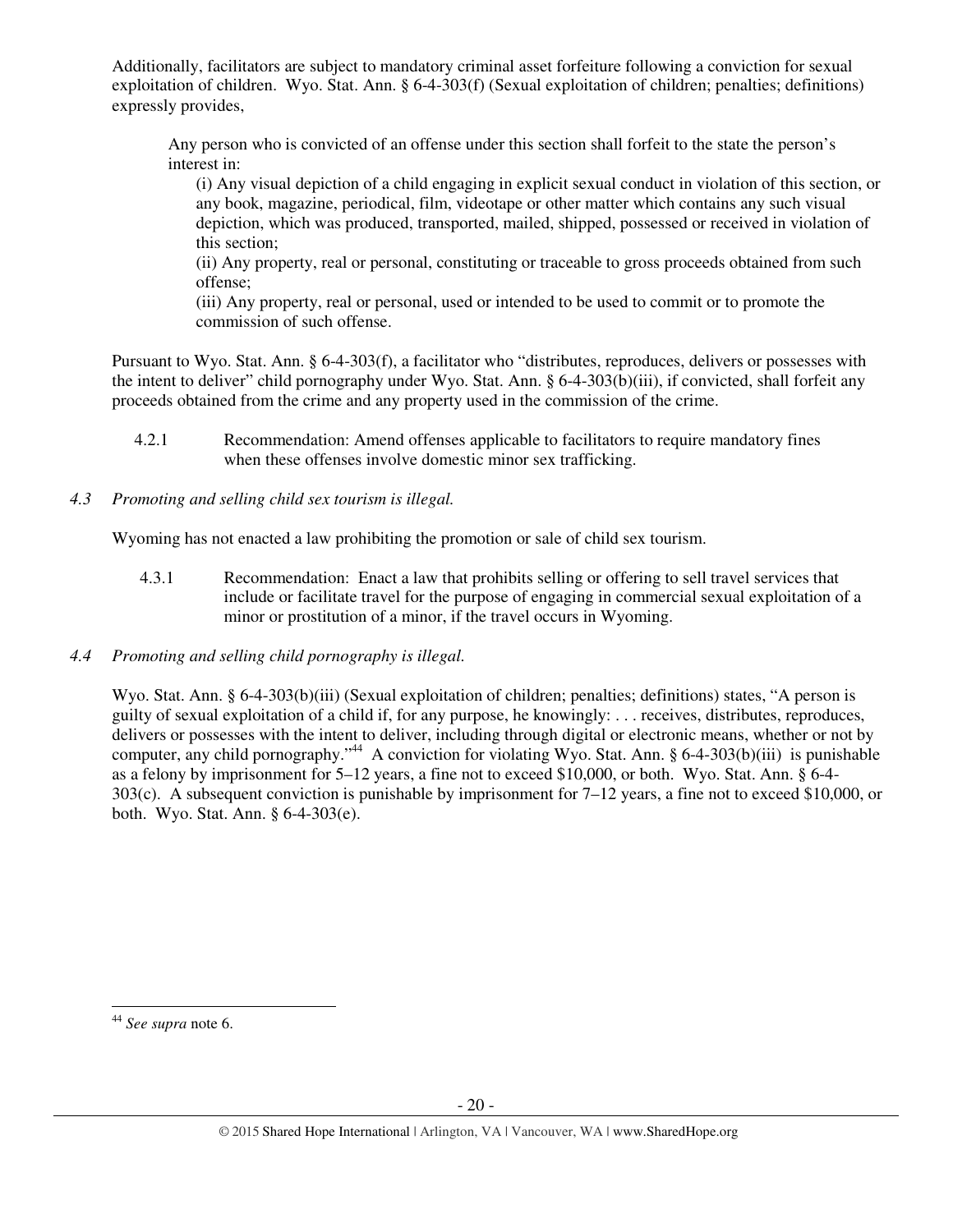Additionally, facilitators are subject to mandatory criminal asset forfeiture following a conviction for sexual exploitation of children. Wyo. Stat. Ann. § 6-4-303(f) (Sexual exploitation of children; penalties; definitions) expressly provides,

Any person who is convicted of an offense under this section shall forfeit to the state the person's interest in:

(i) Any visual depiction of a child engaging in explicit sexual conduct in violation of this section, or any book, magazine, periodical, film, videotape or other matter which contains any such visual depiction, which was produced, transported, mailed, shipped, possessed or received in violation of this section;

(ii) Any property, real or personal, constituting or traceable to gross proceeds obtained from such offense;

(iii) Any property, real or personal, used or intended to be used to commit or to promote the commission of such offense.

Pursuant to Wyo. Stat. Ann. § 6-4-303(f), a facilitator who "distributes, reproduces, delivers or possesses with the intent to deliver" child pornography under Wyo. Stat. Ann. § 6-4-303(b)(iii), if convicted, shall forfeit any proceeds obtained from the crime and any property used in the commission of the crime.

- 4.2.1 Recommendation: Amend offenses applicable to facilitators to require mandatory fines when these offenses involve domestic minor sex trafficking.
- *4.3 Promoting and selling child sex tourism is illegal.*

Wyoming has not enacted a law prohibiting the promotion or sale of child sex tourism.

- 4.3.1 Recommendation: Enact a law that prohibits selling or offering to sell travel services that include or facilitate travel for the purpose of engaging in commercial sexual exploitation of a minor or prostitution of a minor, if the travel occurs in Wyoming.
- *4.4 Promoting and selling child pornography is illegal.*

Wyo. Stat. Ann. § 6-4-303(b)(iii) (Sexual exploitation of children; penalties; definitions) states, "A person is guilty of sexual exploitation of a child if, for any purpose, he knowingly: . . . receives, distributes, reproduces, delivers or possesses with the intent to deliver, including through digital or electronic means, whether or not by computer, any child pornography."<sup>44</sup> A conviction for violating Wyo. Stat. Ann. § 6-4-303(b)(iii) is punishable as a felony by imprisonment for 5–12 years, a fine not to exceed \$10,000, or both. Wyo. Stat. Ann. § 6-4- 303(c). A subsequent conviction is punishable by imprisonment for 7–12 years, a fine not to exceed \$10,000, or both. Wyo. Stat. Ann. § 6-4-303(e).

 $\overline{a}$ 

<sup>44</sup> *See supra* note 6.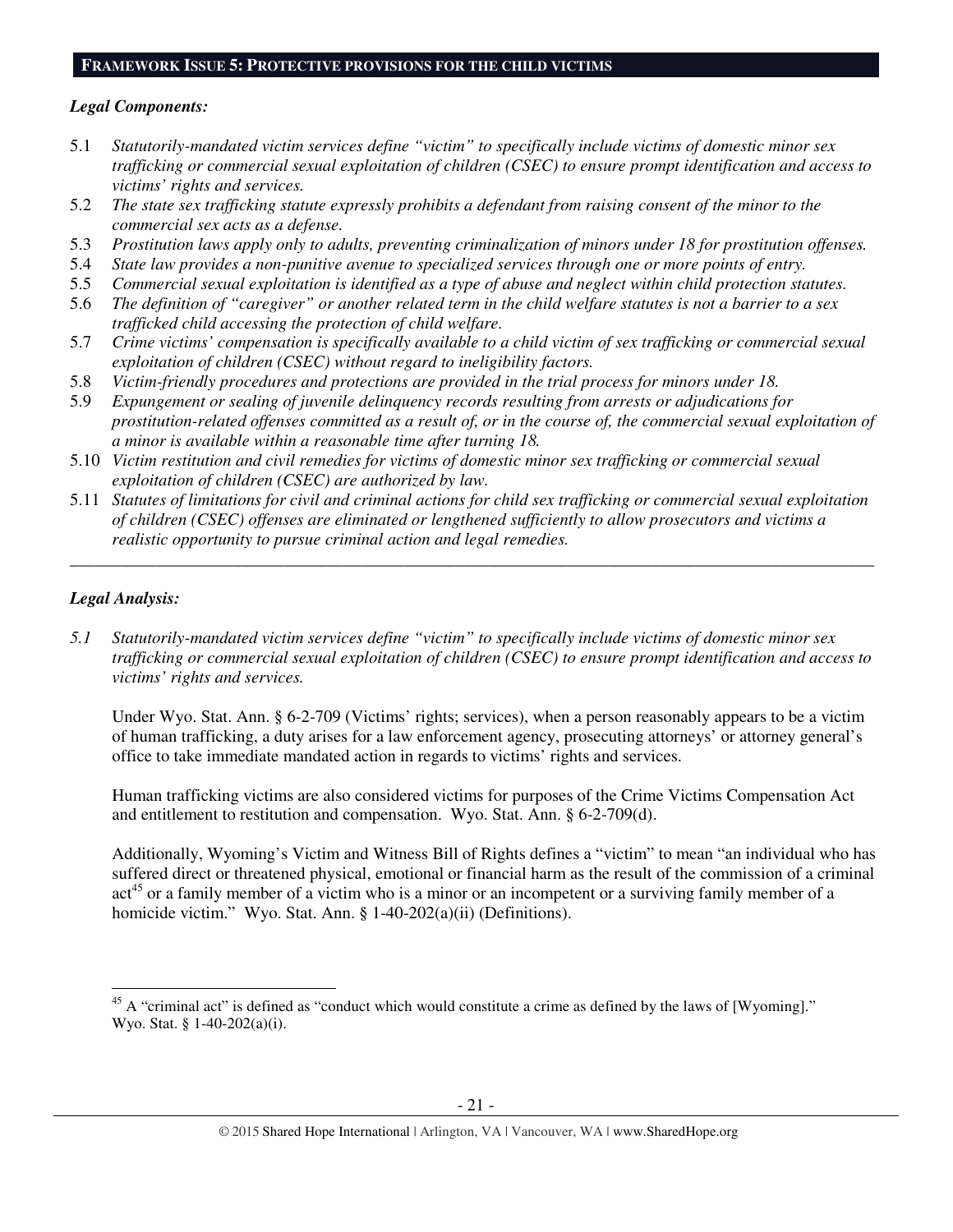#### **FRAMEWORK ISSUE 5: PROTECTIVE PROVISIONS FOR THE CHILD VICTIMS**

#### *Legal Components:*

- 5.1 *Statutorily-mandated victim services define "victim" to specifically include victims of domestic minor sex trafficking or commercial sexual exploitation of children (CSEC) to ensure prompt identification and access to victims' rights and services.*
- 5.2 *The state sex trafficking statute expressly prohibits a defendant from raising consent of the minor to the commercial sex acts as a defense.*
- 5.3 *Prostitution laws apply only to adults, preventing criminalization of minors under 18 for prostitution offenses.*
- 5.4 *State law provides a non-punitive avenue to specialized services through one or more points of entry.*
- 5.5 *Commercial sexual exploitation is identified as a type of abuse and neglect within child protection statutes.*
- 5.6 *The definition of "caregiver" or another related term in the child welfare statutes is not a barrier to a sex trafficked child accessing the protection of child welfare.*
- 5.7 *Crime victims' compensation is specifically available to a child victim of sex trafficking or commercial sexual exploitation of children (CSEC) without regard to ineligibility factors.*
- 5.8 *Victim-friendly procedures and protections are provided in the trial process for minors under 18.*
- 5.9 *Expungement or sealing of juvenile delinquency records resulting from arrests or adjudications for prostitution-related offenses committed as a result of, or in the course of, the commercial sexual exploitation of a minor is available within a reasonable time after turning 18.*
- 5.10 *Victim restitution and civil remedies for victims of domestic minor sex trafficking or commercial sexual exploitation of children (CSEC) are authorized by law.*
- 5.11 *Statutes of limitations for civil and criminal actions for child sex trafficking or commercial sexual exploitation of children (CSEC) offenses are eliminated or lengthened sufficiently to allow prosecutors and victims a realistic opportunity to pursue criminal action and legal remedies.*

*\_\_\_\_\_\_\_\_\_\_\_\_\_\_\_\_\_\_\_\_\_\_\_\_\_\_\_\_\_\_\_\_\_\_\_\_\_\_\_\_\_\_\_\_\_\_\_\_\_\_\_\_\_\_\_\_\_\_\_\_\_\_\_\_\_\_\_\_\_\_\_\_\_\_\_\_\_\_\_\_\_\_\_\_\_\_\_\_\_\_\_\_\_\_* 

## *Legal Analysis:*

l

*5.1 Statutorily-mandated victim services define "victim" to specifically include victims of domestic minor sex trafficking or commercial sexual exploitation of children (CSEC) to ensure prompt identification and access to victims' rights and services.* 

Under Wyo. Stat. Ann. § 6-2-709 (Victims' rights; services), when a person reasonably appears to be a victim of human trafficking, a duty arises for a law enforcement agency, prosecuting attorneys' or attorney general's office to take immediate mandated action in regards to victims' rights and services.

Human trafficking victims are also considered victims for purposes of the Crime Victims Compensation Act and entitlement to restitution and compensation. Wyo. Stat. Ann. § 6-2-709(d).

Additionally, Wyoming's Victim and Witness Bill of Rights defines a "victim" to mean "an individual who has suffered direct or threatened physical, emotional or financial harm as the result of the commission of a criminal act<sup>45</sup> or a family member of a victim who is a minor or an incompetent or a surviving family member of a homicide victim." Wyo. Stat. Ann. § 1-40-202(a)(ii) (Definitions).

<sup>&</sup>lt;sup>45</sup> A "criminal act" is defined as "conduct which would constitute a crime as defined by the laws of [Wyoming]." Wyo. Stat. § 1-40-202(a)(i).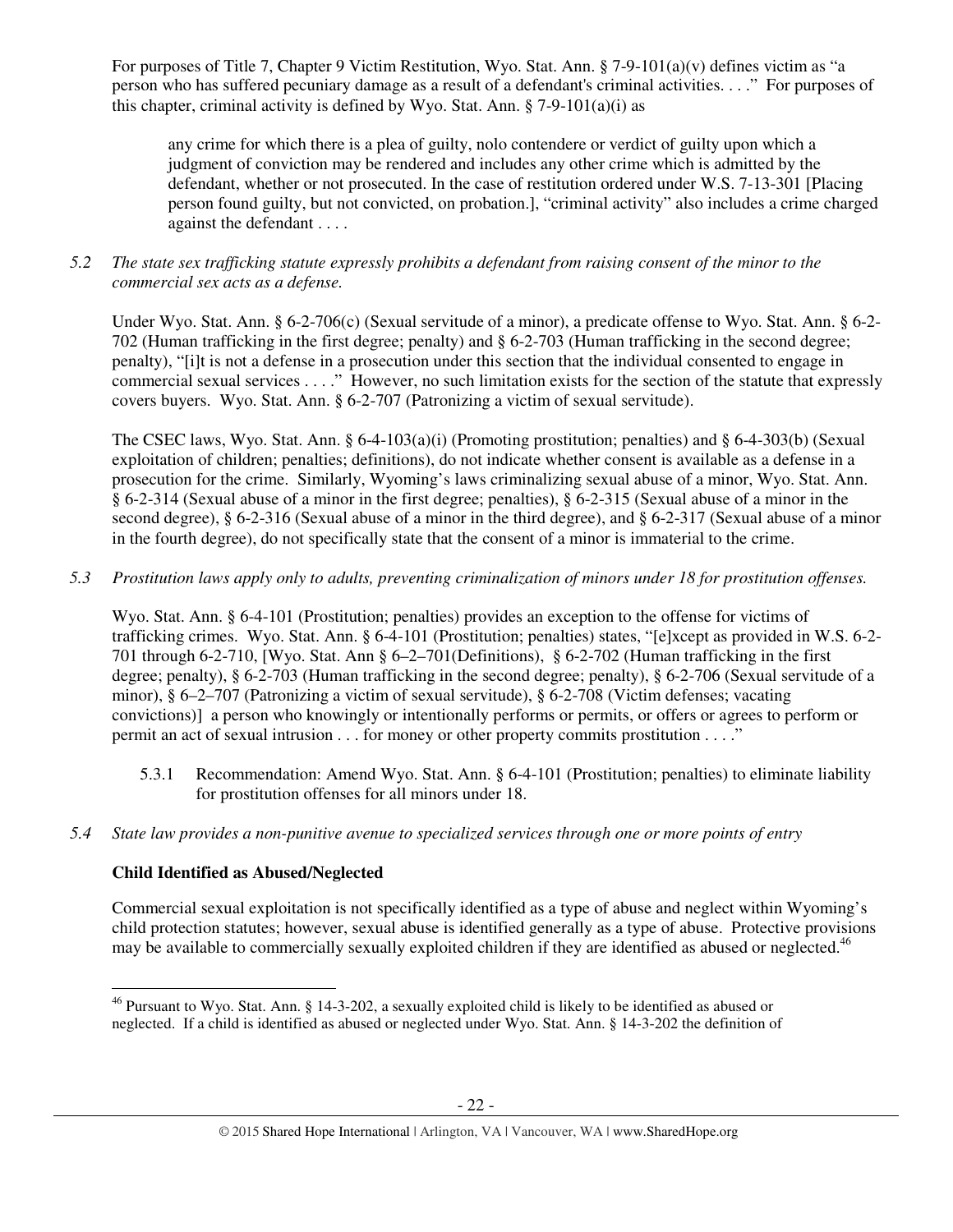For purposes of Title 7, Chapter 9 Victim Restitution, Wyo. Stat. Ann. § 7-9-101(a)(v) defines victim as "a person who has suffered pecuniary damage as a result of a defendant's criminal activities. . . ." For purposes of this chapter, criminal activity is defined by Wyo. Stat. Ann.  $\S$  7-9-101(a)(i) as

any crime for which there is a plea of guilty, nolo contendere or verdict of guilty upon which a judgment of conviction may be rendered and includes any other crime which is admitted by the defendant, whether or not prosecuted. In the case of restitution ordered under W.S. 7-13-301 [Placing person found guilty, but not convicted, on probation.], "criminal activity" also includes a crime charged against the defendant . . . .

## *5.2 The state sex trafficking statute expressly prohibits a defendant from raising consent of the minor to the commercial sex acts as a defense.*

Under Wyo. Stat. Ann. § 6-2-706(c) (Sexual servitude of a minor), a predicate offense to Wyo. Stat. Ann. § 6-2- 702 (Human trafficking in the first degree; penalty) and § 6-2-703 (Human trafficking in the second degree; penalty), "[i]t is not a defense in a prosecution under this section that the individual consented to engage in commercial sexual services . . . ." However, no such limitation exists for the section of the statute that expressly covers buyers. Wyo. Stat. Ann. § 6-2-707 (Patronizing a victim of sexual servitude).

The CSEC laws, Wyo. Stat. Ann. § 6-4-103(a)(i) (Promoting prostitution; penalties) and § 6-4-303(b) (Sexual exploitation of children; penalties; definitions), do not indicate whether consent is available as a defense in a prosecution for the crime. Similarly, Wyoming's laws criminalizing sexual abuse of a minor, Wyo. Stat. Ann. § 6-2-314 (Sexual abuse of a minor in the first degree; penalties), § 6-2-315 (Sexual abuse of a minor in the second degree), § 6-2-316 (Sexual abuse of a minor in the third degree), and § 6-2-317 (Sexual abuse of a minor in the fourth degree), do not specifically state that the consent of a minor is immaterial to the crime.

# *5.3 Prostitution laws apply only to adults, preventing criminalization of minors under 18 for prostitution offenses.*

Wyo. Stat. Ann. § 6-4-101 (Prostitution; penalties) provides an exception to the offense for victims of trafficking crimes. Wyo. Stat. Ann. § 6-4-101 (Prostitution; penalties) states, "[e]xcept as provided in W.S. 6-2- 701 through 6-2-710, [Wyo. Stat. Ann § 6–2–701(Definitions), § 6-2-702 (Human trafficking in the first degree; penalty), § 6-2-703 (Human trafficking in the second degree; penalty), § 6-2-706 (Sexual servitude of a minor), § 6–2–707 (Patronizing a victim of sexual servitude), § 6-2-708 (Victim defenses; vacating convictions)] a person who knowingly or intentionally performs or permits, or offers or agrees to perform or permit an act of sexual intrusion . . . for money or other property commits prostitution . . . ."

- 5.3.1 Recommendation: Amend Wyo. Stat. Ann. § 6-4-101 (Prostitution; penalties) to eliminate liability for prostitution offenses for all minors under 18.
- *5.4 State law provides a non-punitive avenue to specialized services through one or more points of entry*

# **Child Identified as Abused/Neglected**

 $\overline{a}$ 

Commercial sexual exploitation is not specifically identified as a type of abuse and neglect within Wyoming's child protection statutes; however, sexual abuse is identified generally as a type of abuse. Protective provisions may be available to commercially sexually exploited children if they are identified as abused or neglected.<sup>46</sup>

<sup>&</sup>lt;sup>46</sup> Pursuant to Wyo. Stat. Ann. § 14-3-202, a sexually exploited child is likely to be identified as abused or neglected. If a child is identified as abused or neglected under Wyo. Stat. Ann. § 14-3-202 the definition of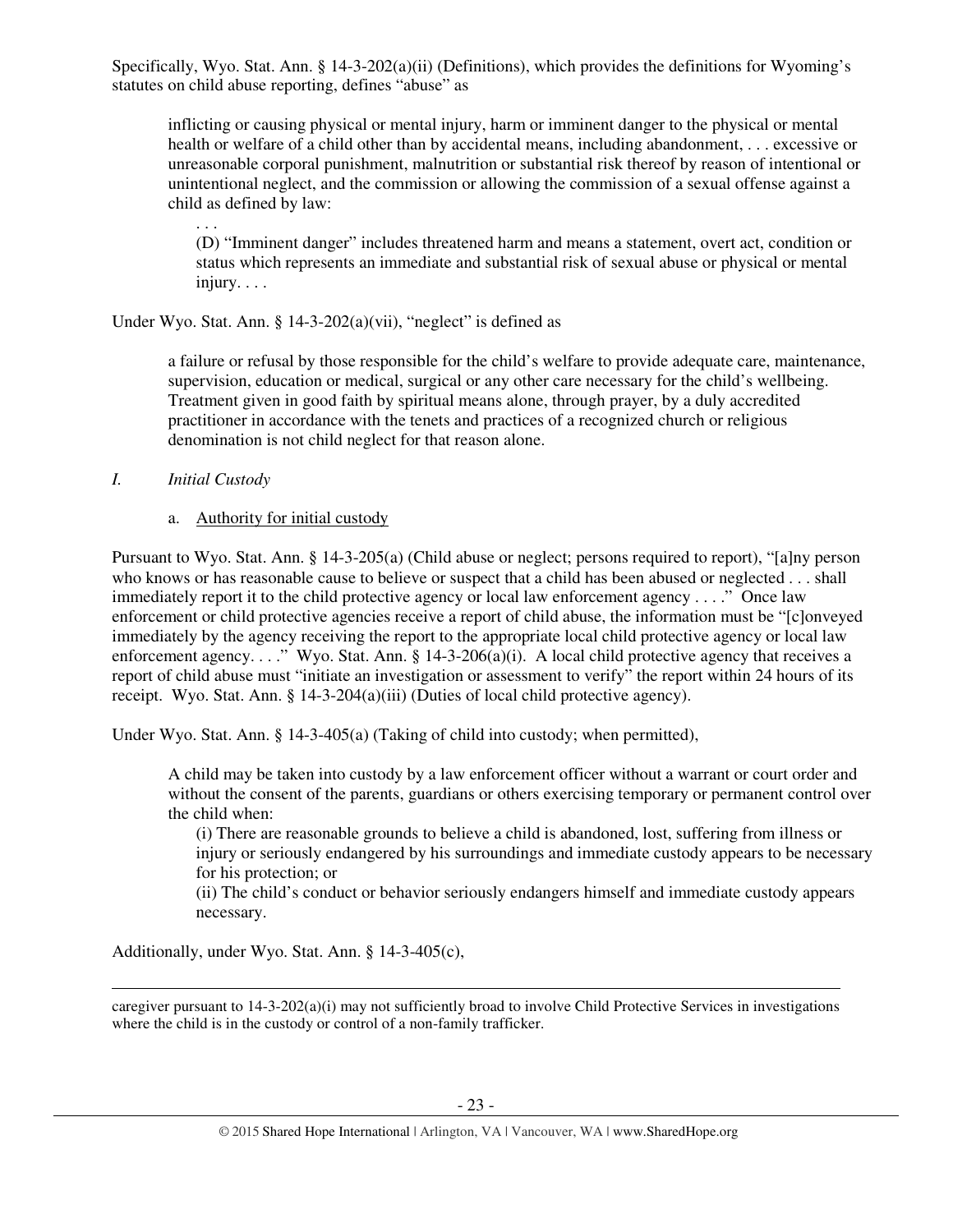Specifically, Wyo. Stat. Ann. § 14-3-202(a)(ii) (Definitions), which provides the definitions for Wyoming's statutes on child abuse reporting, defines "abuse" as

inflicting or causing physical or mental injury, harm or imminent danger to the physical or mental health or welfare of a child other than by accidental means, including abandonment, . . . excessive or unreasonable corporal punishment, malnutrition or substantial risk thereof by reason of intentional or unintentional neglect, and the commission or allowing the commission of a sexual offense against a child as defined by law:

(D) "Imminent danger" includes threatened harm and means a statement, overt act, condition or status which represents an immediate and substantial risk of sexual abuse or physical or mental injury. . . .

Under Wyo. Stat. Ann.  $\S$  14-3-202(a)(vii), "neglect" is defined as

a failure or refusal by those responsible for the child's welfare to provide adequate care, maintenance, supervision, education or medical, surgical or any other care necessary for the child's wellbeing. Treatment given in good faith by spiritual means alone, through prayer, by a duly accredited practitioner in accordance with the tenets and practices of a recognized church or religious denomination is not child neglect for that reason alone.

## *I. Initial Custody*

l

. . .

## a. Authority for initial custody

Pursuant to Wyo. Stat. Ann. § 14-3-205(a) (Child abuse or neglect; persons required to report), "[a]ny person who knows or has reasonable cause to believe or suspect that a child has been abused or neglected . . . shall immediately report it to the child protective agency or local law enforcement agency . . . ." Once law enforcement or child protective agencies receive a report of child abuse, the information must be "[c]onveyed immediately by the agency receiving the report to the appropriate local child protective agency or local law enforcement agency. . . ." Wyo. Stat. Ann. § 14-3-206(a)(i). A local child protective agency that receives a report of child abuse must "initiate an investigation or assessment to verify" the report within 24 hours of its receipt. Wyo. Stat. Ann. § 14-3-204(a)(iii) (Duties of local child protective agency).

Under Wyo. Stat. Ann. § 14-3-405(a) (Taking of child into custody; when permitted),

A child may be taken into custody by a law enforcement officer without a warrant or court order and without the consent of the parents, guardians or others exercising temporary or permanent control over the child when:

(i) There are reasonable grounds to believe a child is abandoned, lost, suffering from illness or injury or seriously endangered by his surroundings and immediate custody appears to be necessary for his protection; or

(ii) The child's conduct or behavior seriously endangers himself and immediate custody appears necessary.

Additionally, under Wyo. Stat. Ann. § 14-3-405(c),

caregiver pursuant to 14-3-202(a)(i) may not sufficiently broad to involve Child Protective Services in investigations where the child is in the custody or control of a non-family trafficker.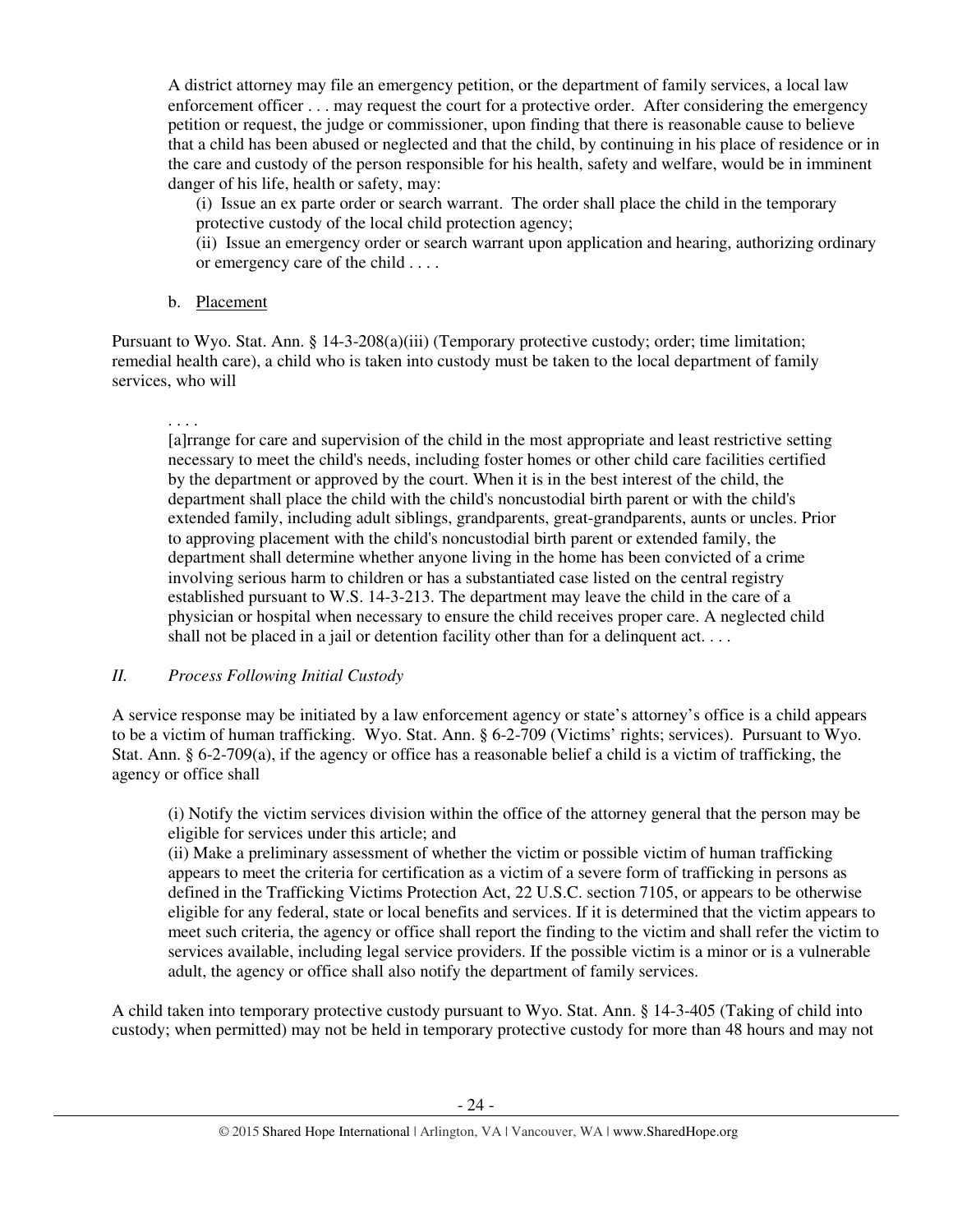A district attorney may file an emergency petition, or the department of family services, a local law enforcement officer . . . may request the court for a protective order. After considering the emergency petition or request, the judge or commissioner, upon finding that there is reasonable cause to believe that a child has been abused or neglected and that the child, by continuing in his place of residence or in the care and custody of the person responsible for his health, safety and welfare, would be in imminent danger of his life, health or safety, may:

(i) Issue an ex parte order or search warrant. The order shall place the child in the temporary protective custody of the local child protection agency;

(ii) Issue an emergency order or search warrant upon application and hearing, authorizing ordinary or emergency care of the child . . . .

## b. Placement

Pursuant to Wyo. Stat. Ann. § 14-3-208(a)(iii) (Temporary protective custody; order; time limitation; remedial health care), a child who is taken into custody must be taken to the local department of family services, who will

. . . . [a]rrange for care and supervision of the child in the most appropriate and least restrictive setting necessary to meet the child's needs, including foster homes or other child care facilities certified by the department or approved by the court. When it is in the best interest of the child, the department shall place the child with the child's noncustodial birth parent or with the child's extended family, including adult siblings, grandparents, great-grandparents, aunts or uncles. Prior to approving placement with the child's noncustodial birth parent or extended family, the department shall determine whether anyone living in the home has been convicted of a crime involving serious harm to children or has a substantiated case listed on the central registry established pursuant to W.S. 14-3-213. The department may leave the child in the care of a physician or hospital when necessary to ensure the child receives proper care. A neglected child shall not be placed in a jail or detention facility other than for a delinquent act...

# *II. Process Following Initial Custody*

A service response may be initiated by a law enforcement agency or state's attorney's office is a child appears to be a victim of human trafficking. Wyo. Stat. Ann. § 6-2-709 (Victims' rights; services). Pursuant to Wyo. Stat. Ann. § 6-2-709(a), if the agency or office has a reasonable belief a child is a victim of trafficking, the agency or office shall

(i) Notify the victim services division within the office of the attorney general that the person may be eligible for services under this article; and

(ii) Make a preliminary assessment of whether the victim or possible victim of human trafficking appears to meet the criteria for certification as a victim of a severe form of trafficking in persons as defined in the Trafficking Victims Protection Act, 22 U.S.C. section 7105, or appears to be otherwise eligible for any federal, state or local benefits and services. If it is determined that the victim appears to meet such criteria, the agency or office shall report the finding to the victim and shall refer the victim to services available, including legal service providers. If the possible victim is a minor or is a vulnerable adult, the agency or office shall also notify the department of family services.

A child taken into temporary protective custody pursuant to Wyo. Stat. Ann. § 14-3-405 (Taking of child into custody; when permitted) may not be held in temporary protective custody for more than 48 hours and may not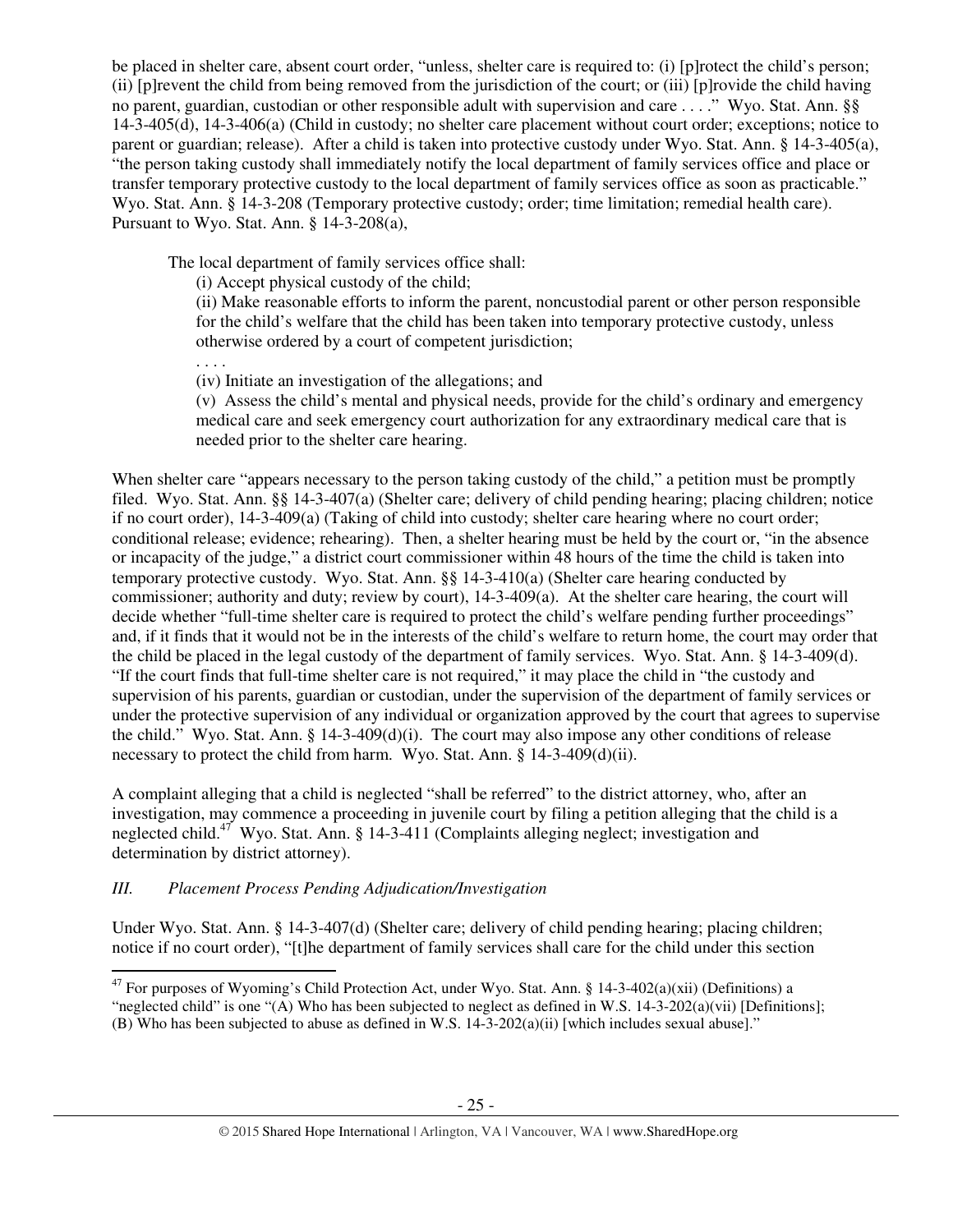be placed in shelter care, absent court order, "unless, shelter care is required to: (i) [p]rotect the child's person; (ii) [p]revent the child from being removed from the jurisdiction of the court; or (iii) [p]rovide the child having no parent, guardian, custodian or other responsible adult with supervision and care . . . ." Wyo. Stat. Ann. §§ 14-3-405(d), 14-3-406(a) (Child in custody; no shelter care placement without court order; exceptions; notice to parent or guardian; release). After a child is taken into protective custody under Wyo. Stat. Ann. § 14-3-405(a), "the person taking custody shall immediately notify the local department of family services office and place or transfer temporary protective custody to the local department of family services office as soon as practicable." Wyo. Stat. Ann. § 14-3-208 (Temporary protective custody; order; time limitation; remedial health care). Pursuant to Wyo. Stat. Ann. § 14-3-208(a),

The local department of family services office shall:

(i) Accept physical custody of the child;

(ii) Make reasonable efforts to inform the parent, noncustodial parent or other person responsible for the child's welfare that the child has been taken into temporary protective custody, unless otherwise ordered by a court of competent jurisdiction;

. . . .

(iv) Initiate an investigation of the allegations; and

(v) Assess the child's mental and physical needs, provide for the child's ordinary and emergency medical care and seek emergency court authorization for any extraordinary medical care that is needed prior to the shelter care hearing.

When shelter care "appears necessary to the person taking custody of the child," a petition must be promptly filed. Wyo. Stat. Ann. §§ 14-3-407(a) (Shelter care; delivery of child pending hearing; placing children; notice if no court order), 14-3-409(a) (Taking of child into custody; shelter care hearing where no court order; conditional release; evidence; rehearing). Then, a shelter hearing must be held by the court or, "in the absence or incapacity of the judge," a district court commissioner within 48 hours of the time the child is taken into temporary protective custody. Wyo. Stat. Ann. §§ 14-3-410(a) (Shelter care hearing conducted by commissioner; authority and duty; review by court), 14-3-409(a). At the shelter care hearing, the court will decide whether "full-time shelter care is required to protect the child's welfare pending further proceedings" and, if it finds that it would not be in the interests of the child's welfare to return home, the court may order that the child be placed in the legal custody of the department of family services. Wyo. Stat. Ann. § 14-3-409(d). "If the court finds that full-time shelter care is not required," it may place the child in "the custody and supervision of his parents, guardian or custodian, under the supervision of the department of family services or under the protective supervision of any individual or organization approved by the court that agrees to supervise the child." Wyo. Stat. Ann. § 14-3-409(d)(i). The court may also impose any other conditions of release necessary to protect the child from harm. Wyo. Stat. Ann. § 14-3-409(d)(ii).

A complaint alleging that a child is neglected "shall be referred" to the district attorney, who, after an investigation, may commence a proceeding in juvenile court by filing a petition alleging that the child is a neglected child.<sup>47</sup> Wyo. Stat. Ann. § 14-3-411 (Complaints alleging neglect; investigation and determination by district attorney).

# *III. Placement Process Pending Adjudication/Investigation*

Under Wyo. Stat. Ann. § 14-3-407(d) (Shelter care; delivery of child pending hearing; placing children; notice if no court order), "[t]he department of family services shall care for the child under this section  $\overline{a}$ 

<sup>&</sup>lt;sup>47</sup> For purposes of Wyoming's Child Protection Act, under Wyo. Stat. Ann. § 14-3-402(a)(xii) (Definitions) a "neglected child" is one "(A) Who has been subjected to neglect as defined in W.S.  $14-3-202(a)(vii)$  [Definitions]; (B) Who has been subjected to abuse as defined in W.S. 14-3-202(a)(ii) [which includes sexual abuse]."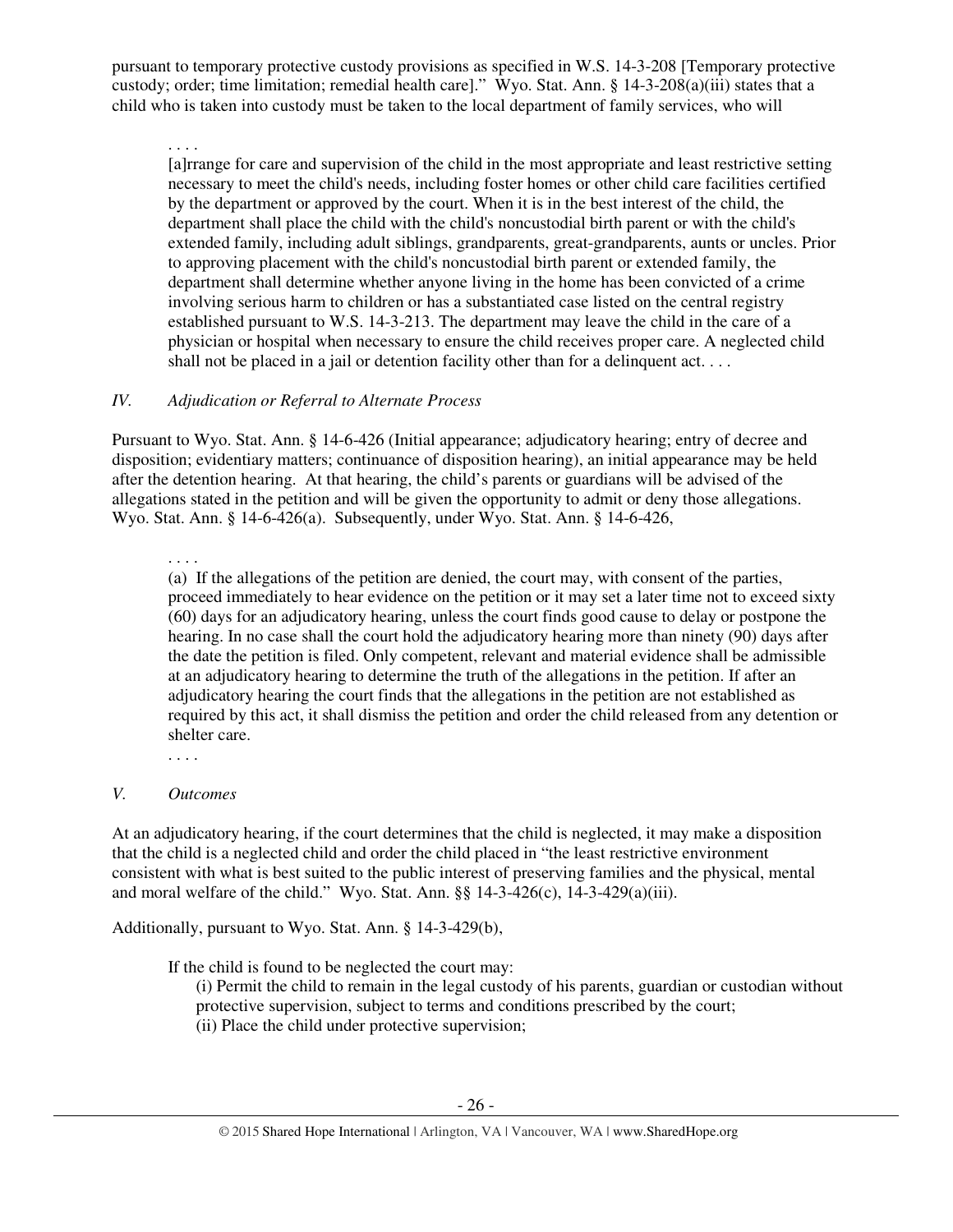pursuant to temporary protective custody provisions as specified in W.S. 14-3-208 [Temporary protective custody; order; time limitation; remedial health care]." Wyo. Stat. Ann. § 14-3-208(a)(iii) states that a child who is taken into custody must be taken to the local department of family services, who will

. . . .

[a]rrange for care and supervision of the child in the most appropriate and least restrictive setting necessary to meet the child's needs, including foster homes or other child care facilities certified by the department or approved by the court. When it is in the best interest of the child, the department shall place the child with the child's noncustodial birth parent or with the child's extended family, including adult siblings, grandparents, great-grandparents, aunts or uncles. Prior to approving placement with the child's noncustodial birth parent or extended family, the department shall determine whether anyone living in the home has been convicted of a crime involving serious harm to children or has a substantiated case listed on the central registry established pursuant to W.S. 14-3-213. The department may leave the child in the care of a physician or hospital when necessary to ensure the child receives proper care. A neglected child shall not be placed in a jail or detention facility other than for a delinguent act. . . .

## *IV. Adjudication or Referral to Alternate Process*

Pursuant to Wyo. Stat. Ann. § 14-6-426 (Initial appearance; adjudicatory hearing; entry of decree and disposition; evidentiary matters; continuance of disposition hearing), an initial appearance may be held after the detention hearing. At that hearing, the child's parents or guardians will be advised of the allegations stated in the petition and will be given the opportunity to admit or deny those allegations. Wyo. Stat. Ann. § 14-6-426(a). Subsequently, under Wyo. Stat. Ann. § 14-6-426,

. . . .

(a) If the allegations of the petition are denied, the court may, with consent of the parties, proceed immediately to hear evidence on the petition or it may set a later time not to exceed sixty (60) days for an adjudicatory hearing, unless the court finds good cause to delay or postpone the hearing. In no case shall the court hold the adjudicatory hearing more than ninety (90) days after the date the petition is filed. Only competent, relevant and material evidence shall be admissible at an adjudicatory hearing to determine the truth of the allegations in the petition. If after an adjudicatory hearing the court finds that the allegations in the petition are not established as required by this act, it shall dismiss the petition and order the child released from any detention or shelter care.

. . . .

## *V. Outcomes*

At an adjudicatory hearing, if the court determines that the child is neglected, it may make a disposition that the child is a neglected child and order the child placed in "the least restrictive environment consistent with what is best suited to the public interest of preserving families and the physical, mental and moral welfare of the child." Wyo. Stat. Ann. §§ 14-3-426(c), 14-3-429(a)(iii).

Additionally, pursuant to Wyo. Stat. Ann. § 14-3-429(b),

If the child is found to be neglected the court may:

(i) Permit the child to remain in the legal custody of his parents, guardian or custodian without protective supervision, subject to terms and conditions prescribed by the court; (ii) Place the child under protective supervision;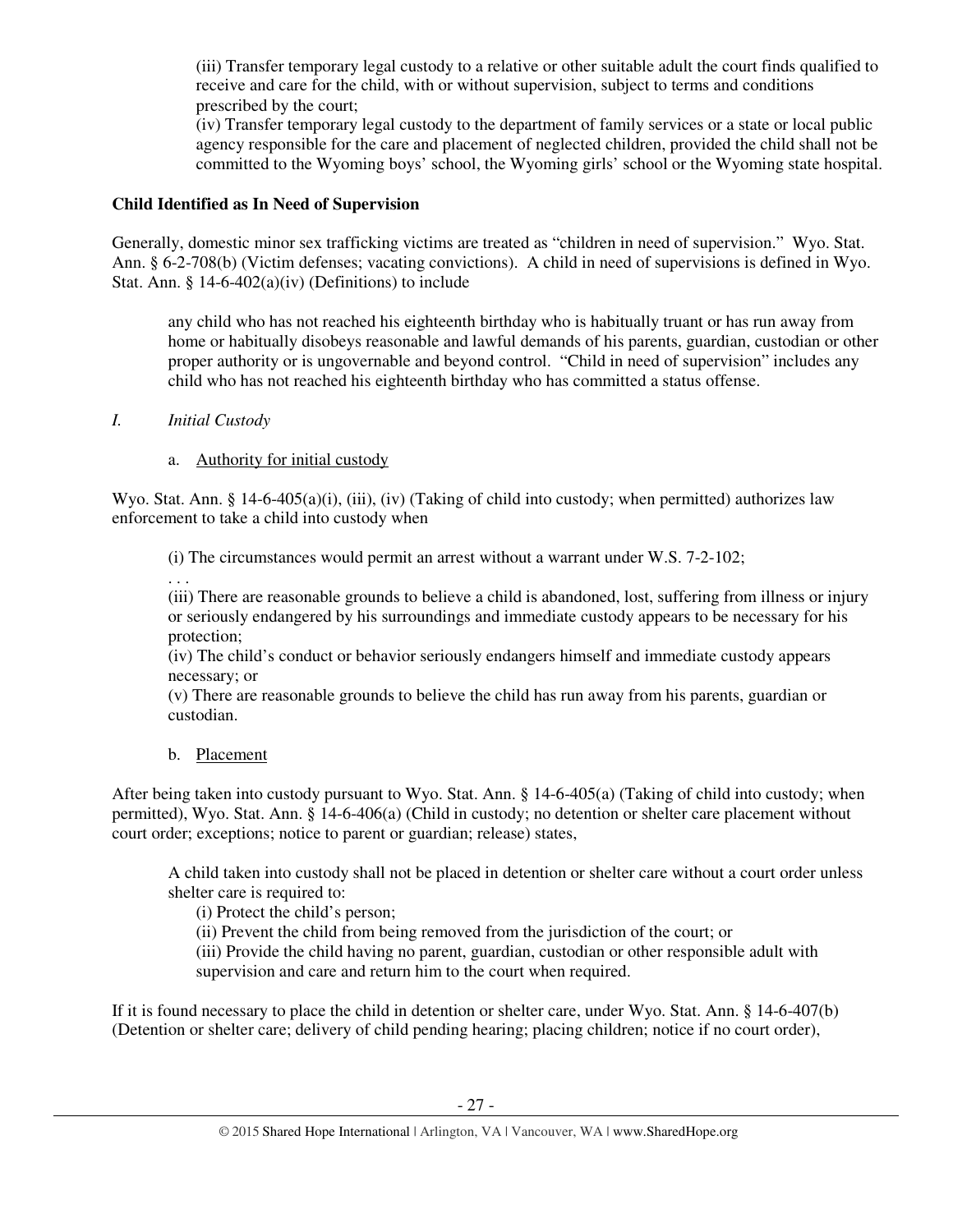(iii) Transfer temporary legal custody to a relative or other suitable adult the court finds qualified to receive and care for the child, with or without supervision, subject to terms and conditions prescribed by the court;

(iv) Transfer temporary legal custody to the department of family services or a state or local public agency responsible for the care and placement of neglected children, provided the child shall not be committed to the Wyoming boys' school, the Wyoming girls' school or the Wyoming state hospital.

## **Child Identified as In Need of Supervision**

Generally, domestic minor sex trafficking victims are treated as "children in need of supervision." Wyo. Stat. Ann. § 6-2-708(b) (Victim defenses; vacating convictions). A child in need of supervisions is defined in Wyo. Stat. Ann.  $\S$  14-6-402(a)(iv) (Definitions) to include

any child who has not reached his eighteenth birthday who is habitually truant or has run away from home or habitually disobeys reasonable and lawful demands of his parents, guardian, custodian or other proper authority or is ungovernable and beyond control. "Child in need of supervision" includes any child who has not reached his eighteenth birthday who has committed a status offense.

*I. Initial Custody* 

# a. Authority for initial custody

Wyo. Stat. Ann. § 14-6-405(a)(i), (iii), (iv) (Taking of child into custody; when permitted) authorizes law enforcement to take a child into custody when

(i) The circumstances would permit an arrest without a warrant under W.S. 7-2-102;

. . .

(iii) There are reasonable grounds to believe a child is abandoned, lost, suffering from illness or injury or seriously endangered by his surroundings and immediate custody appears to be necessary for his protection;

(iv) The child's conduct or behavior seriously endangers himself and immediate custody appears necessary; or

(v) There are reasonable grounds to believe the child has run away from his parents, guardian or custodian.

b. Placement

After being taken into custody pursuant to Wyo. Stat. Ann. § 14-6-405(a) (Taking of child into custody; when permitted), Wyo. Stat. Ann. § 14-6-406(a) (Child in custody; no detention or shelter care placement without court order; exceptions; notice to parent or guardian; release) states,

A child taken into custody shall not be placed in detention or shelter care without a court order unless shelter care is required to:

(i) Protect the child's person;

(ii) Prevent the child from being removed from the jurisdiction of the court; or

(iii) Provide the child having no parent, guardian, custodian or other responsible adult with supervision and care and return him to the court when required.

If it is found necessary to place the child in detention or shelter care, under Wyo. Stat. Ann. § 14-6-407(b) (Detention or shelter care; delivery of child pending hearing; placing children; notice if no court order),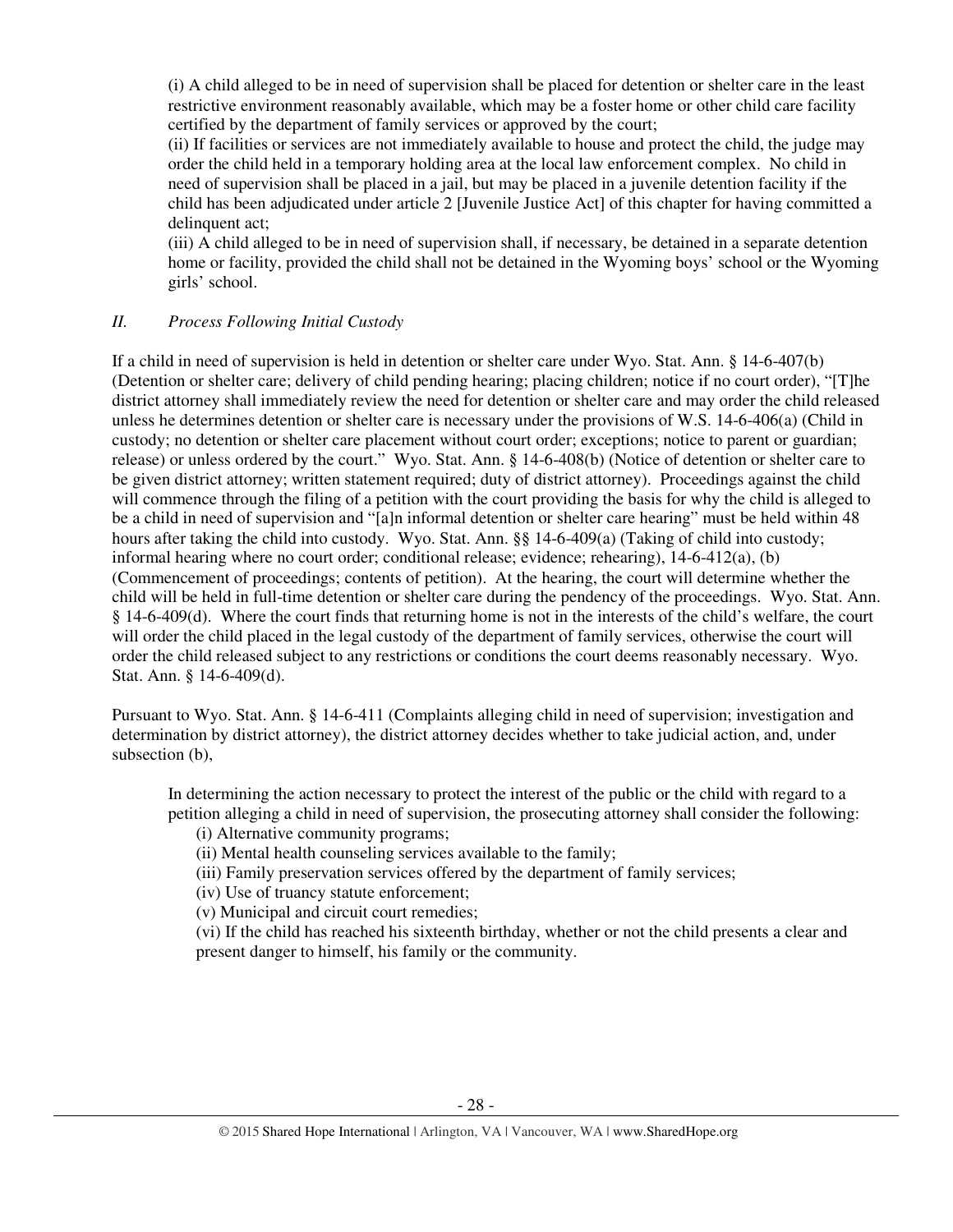(i) A child alleged to be in need of supervision shall be placed for detention or shelter care in the least restrictive environment reasonably available, which may be a foster home or other child care facility certified by the department of family services or approved by the court;

(ii) If facilities or services are not immediately available to house and protect the child, the judge may order the child held in a temporary holding area at the local law enforcement complex. No child in need of supervision shall be placed in a jail, but may be placed in a juvenile detention facility if the child has been adjudicated under article 2 [Juvenile Justice Act] of this chapter for having committed a delinquent act;

(iii) A child alleged to be in need of supervision shall, if necessary, be detained in a separate detention home or facility, provided the child shall not be detained in the Wyoming boys' school or the Wyoming girls' school.

## *II. Process Following Initial Custody*

If a child in need of supervision is held in detention or shelter care under Wyo. Stat. Ann. § 14-6-407(b) (Detention or shelter care; delivery of child pending hearing; placing children; notice if no court order), "[T]he district attorney shall immediately review the need for detention or shelter care and may order the child released unless he determines detention or shelter care is necessary under the provisions of W.S. 14-6-406(a) (Child in custody; no detention or shelter care placement without court order; exceptions; notice to parent or guardian; release) or unless ordered by the court." Wyo. Stat. Ann. § 14-6-408(b) (Notice of detention or shelter care to be given district attorney; written statement required; duty of district attorney). Proceedings against the child will commence through the filing of a petition with the court providing the basis for why the child is alleged to be a child in need of supervision and "[a]n informal detention or shelter care hearing" must be held within 48 hours after taking the child into custody. Wyo. Stat. Ann. §§ 14-6-409(a) (Taking of child into custody; informal hearing where no court order; conditional release; evidence; rehearing), 14-6-412(a), (b) (Commencement of proceedings; contents of petition). At the hearing, the court will determine whether the child will be held in full-time detention or shelter care during the pendency of the proceedings. Wyo. Stat. Ann. § 14-6-409(d). Where the court finds that returning home is not in the interests of the child's welfare, the court will order the child placed in the legal custody of the department of family services, otherwise the court will order the child released subject to any restrictions or conditions the court deems reasonably necessary. Wyo. Stat. Ann. § 14-6-409(d).

Pursuant to Wyo. Stat. Ann. § 14-6-411 (Complaints alleging child in need of supervision; investigation and determination by district attorney), the district attorney decides whether to take judicial action, and, under subsection (b),

In determining the action necessary to protect the interest of the public or the child with regard to a petition alleging a child in need of supervision, the prosecuting attorney shall consider the following:

(i) Alternative community programs;

(ii) Mental health counseling services available to the family;

(iii) Family preservation services offered by the department of family services;

(iv) Use of truancy statute enforcement;

(v) Municipal and circuit court remedies;

(vi) If the child has reached his sixteenth birthday, whether or not the child presents a clear and present danger to himself, his family or the community.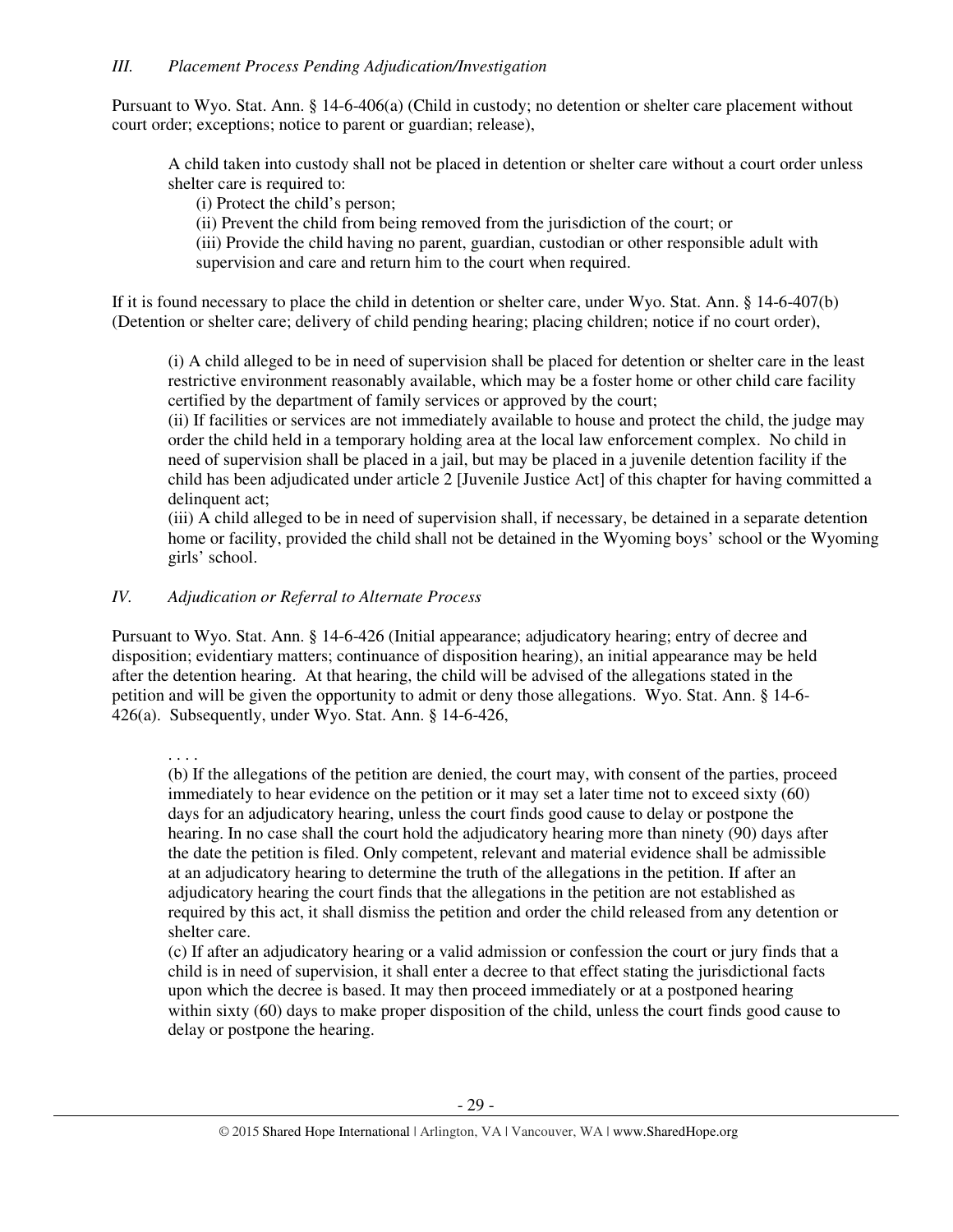Pursuant to Wyo. Stat. Ann. § 14-6-406(a) (Child in custody; no detention or shelter care placement without court order; exceptions; notice to parent or guardian; release),

A child taken into custody shall not be placed in detention or shelter care without a court order unless shelter care is required to:

(i) Protect the child's person;

(ii) Prevent the child from being removed from the jurisdiction of the court; or

(iii) Provide the child having no parent, guardian, custodian or other responsible adult with supervision and care and return him to the court when required.

If it is found necessary to place the child in detention or shelter care, under Wyo. Stat. Ann. § 14-6-407(b) (Detention or shelter care; delivery of child pending hearing; placing children; notice if no court order),

(i) A child alleged to be in need of supervision shall be placed for detention or shelter care in the least restrictive environment reasonably available, which may be a foster home or other child care facility certified by the department of family services or approved by the court;

(ii) If facilities or services are not immediately available to house and protect the child, the judge may order the child held in a temporary holding area at the local law enforcement complex. No child in need of supervision shall be placed in a jail, but may be placed in a juvenile detention facility if the child has been adjudicated under article 2 [Juvenile Justice Act] of this chapter for having committed a delinquent act;

(iii) A child alleged to be in need of supervision shall, if necessary, be detained in a separate detention home or facility, provided the child shall not be detained in the Wyoming boys' school or the Wyoming girls' school.

# *IV. Adjudication or Referral to Alternate Process*

Pursuant to Wyo. Stat. Ann. § 14-6-426 (Initial appearance; adjudicatory hearing; entry of decree and disposition; evidentiary matters; continuance of disposition hearing), an initial appearance may be held after the detention hearing. At that hearing, the child will be advised of the allegations stated in the petition and will be given the opportunity to admit or deny those allegations. Wyo. Stat. Ann. § 14-6- 426(a). Subsequently, under Wyo. Stat. Ann. § 14-6-426,

. . . . (b) If the allegations of the petition are denied, the court may, with consent of the parties, proceed immediately to hear evidence on the petition or it may set a later time not to exceed sixty (60) days for an adjudicatory hearing, unless the court finds good cause to delay or postpone the hearing. In no case shall the court hold the adjudicatory hearing more than ninety (90) days after the date the petition is filed. Only competent, relevant and material evidence shall be admissible at an adjudicatory hearing to determine the truth of the allegations in the petition. If after an adjudicatory hearing the court finds that the allegations in the petition are not established as required by this act, it shall dismiss the petition and order the child released from any detention or shelter care.

(c) If after an adjudicatory hearing or a valid admission or confession the court or jury finds that a child is in need of supervision, it shall enter a decree to that effect stating the jurisdictional facts upon which the decree is based. It may then proceed immediately or at a postponed hearing within sixty (60) days to make proper disposition of the child, unless the court finds good cause to delay or postpone the hearing.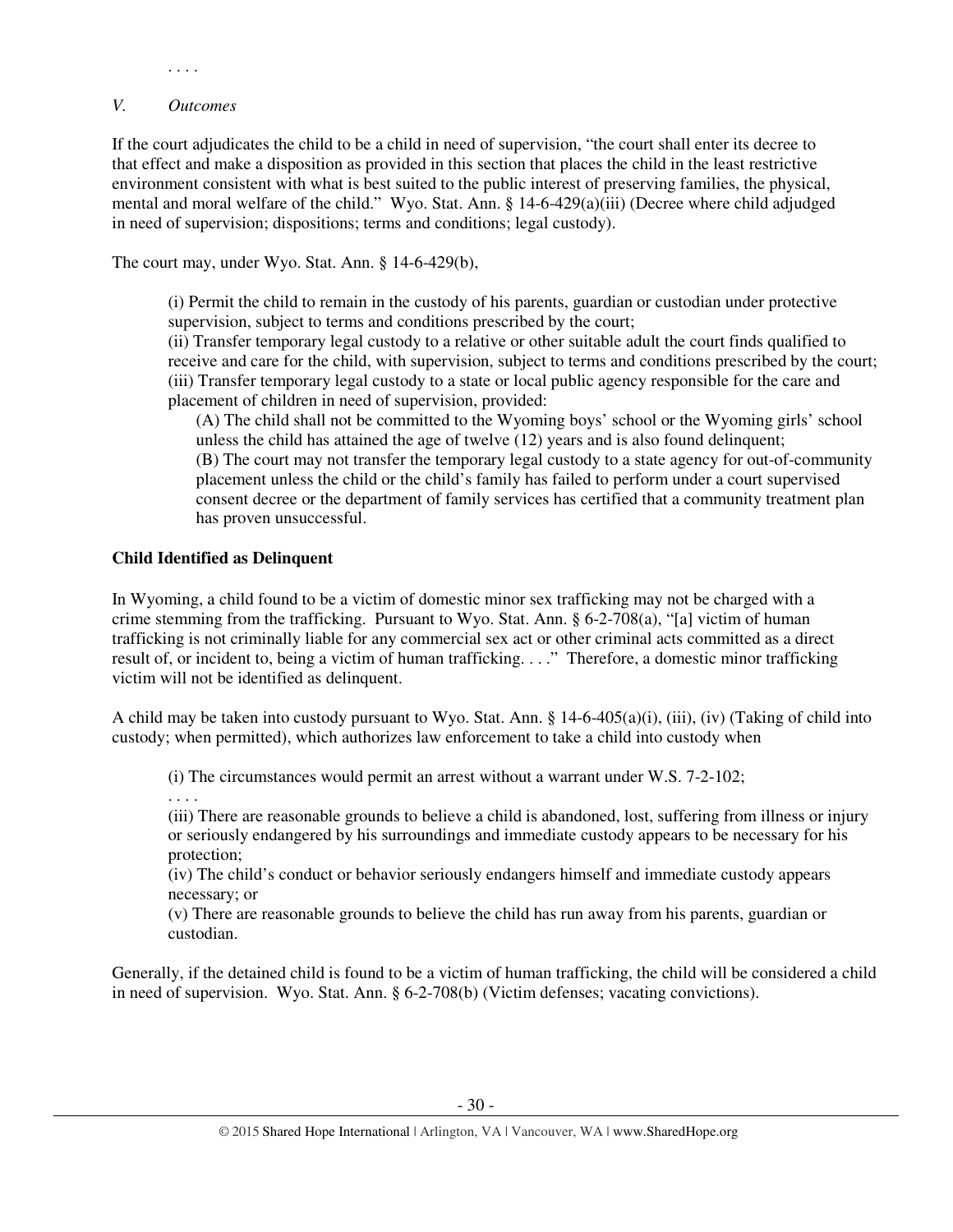. . . .

#### *V. Outcomes*

If the court adjudicates the child to be a child in need of supervision, "the court shall enter its decree to that effect and make a disposition as provided in this section that places the child in the least restrictive environment consistent with what is best suited to the public interest of preserving families, the physical, mental and moral welfare of the child." Wyo. Stat. Ann. § 14-6-429(a)(iii) (Decree where child adjudged in need of supervision; dispositions; terms and conditions; legal custody).

The court may, under Wyo. Stat. Ann. § 14-6-429(b),

(i) Permit the child to remain in the custody of his parents, guardian or custodian under protective supervision, subject to terms and conditions prescribed by the court;

(ii) Transfer temporary legal custody to a relative or other suitable adult the court finds qualified to receive and care for the child, with supervision, subject to terms and conditions prescribed by the court; (iii) Transfer temporary legal custody to a state or local public agency responsible for the care and placement of children in need of supervision, provided:

(A) The child shall not be committed to the Wyoming boys' school or the Wyoming girls' school unless the child has attained the age of twelve (12) years and is also found delinquent; (B) The court may not transfer the temporary legal custody to a state agency for out-of-community placement unless the child or the child's family has failed to perform under a court supervised consent decree or the department of family services has certified that a community treatment plan has proven unsuccessful.

## **Child Identified as Delinquent**

In Wyoming, a child found to be a victim of domestic minor sex trafficking may not be charged with a crime stemming from the trafficking. Pursuant to Wyo. Stat. Ann. § 6-2-708(a), "[a] victim of human trafficking is not criminally liable for any commercial sex act or other criminal acts committed as a direct result of, or incident to, being a victim of human trafficking. . . ." Therefore, a domestic minor trafficking victim will not be identified as delinquent.

A child may be taken into custody pursuant to Wyo. Stat. Ann.  $\S$  14-6-405(a)(i), (iii), (iv) (Taking of child into custody; when permitted), which authorizes law enforcement to take a child into custody when

(i) The circumstances would permit an arrest without a warrant under W.S. 7-2-102;

. . . .

(iii) There are reasonable grounds to believe a child is abandoned, lost, suffering from illness or injury or seriously endangered by his surroundings and immediate custody appears to be necessary for his protection;

(iv) The child's conduct or behavior seriously endangers himself and immediate custody appears necessary; or

(v) There are reasonable grounds to believe the child has run away from his parents, guardian or custodian.

Generally, if the detained child is found to be a victim of human trafficking, the child will be considered a child in need of supervision. Wyo. Stat. Ann. § 6-2-708(b) (Victim defenses; vacating convictions).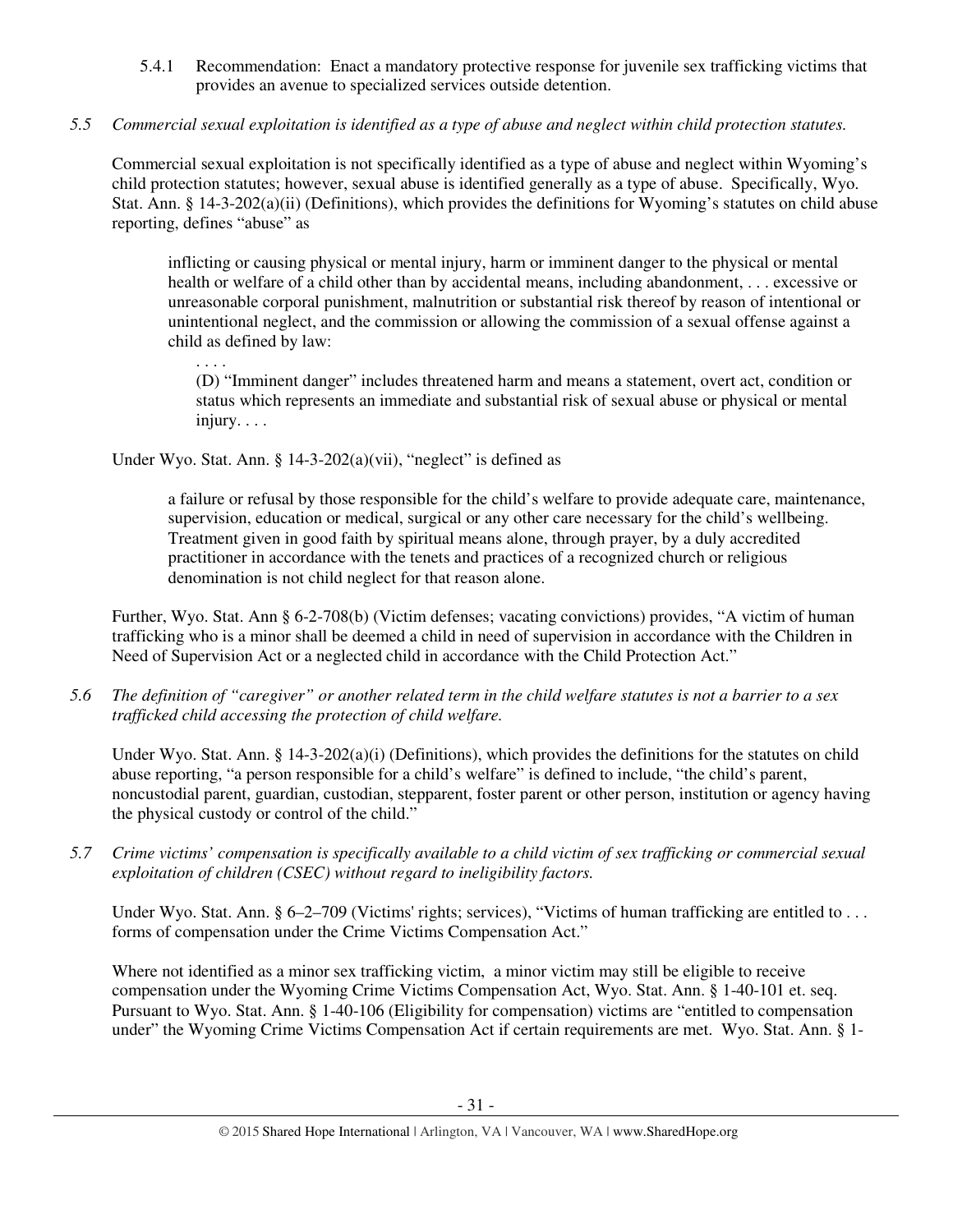5.4.1 Recommendation: Enact a mandatory protective response for juvenile sex trafficking victims that provides an avenue to specialized services outside detention.

# *5.5 Commercial sexual exploitation is identified as a type of abuse and neglect within child protection statutes.*

Commercial sexual exploitation is not specifically identified as a type of abuse and neglect within Wyoming's child protection statutes; however, sexual abuse is identified generally as a type of abuse. Specifically, Wyo. Stat. Ann. § 14-3-202(a)(ii) (Definitions), which provides the definitions for Wyoming's statutes on child abuse reporting, defines "abuse" as

inflicting or causing physical or mental injury, harm or imminent danger to the physical or mental health or welfare of a child other than by accidental means, including abandonment, . . . excessive or unreasonable corporal punishment, malnutrition or substantial risk thereof by reason of intentional or unintentional neglect, and the commission or allowing the commission of a sexual offense against a child as defined by law:

. . . .

(D) "Imminent danger" includes threatened harm and means a statement, overt act, condition or status which represents an immediate and substantial risk of sexual abuse or physical or mental injury. . . .

Under Wyo. Stat. Ann.  $\S$  14-3-202(a)(vii), "neglect" is defined as

a failure or refusal by those responsible for the child's welfare to provide adequate care, maintenance, supervision, education or medical, surgical or any other care necessary for the child's wellbeing. Treatment given in good faith by spiritual means alone, through prayer, by a duly accredited practitioner in accordance with the tenets and practices of a recognized church or religious denomination is not child neglect for that reason alone.

Further, Wyo. Stat. Ann § 6-2-708(b) (Victim defenses; vacating convictions) provides, "A victim of human trafficking who is a minor shall be deemed a child in need of supervision in accordance with the Children in Need of Supervision Act or a neglected child in accordance with the Child Protection Act."

*5.6 The definition of "caregiver" or another related term in the child welfare statutes is not a barrier to a sex trafficked child accessing the protection of child welfare.* 

Under Wyo. Stat. Ann. §  $14-3-202(a)(i)$  (Definitions), which provides the definitions for the statutes on child abuse reporting, "a person responsible for a child's welfare" is defined to include, "the child's parent, noncustodial parent, guardian, custodian, stepparent, foster parent or other person, institution or agency having the physical custody or control of the child."

*5.7 Crime victims' compensation is specifically available to a child victim of sex trafficking or commercial sexual exploitation of children (CSEC) without regard to ineligibility factors.* 

Under Wyo. Stat. Ann. §  $6-2-709$  (Victims' rights; services), "Victims of human trafficking are entitled to ... forms of compensation under the Crime Victims Compensation Act."

Where not identified as a minor sex trafficking victim, a minor victim may still be eligible to receive compensation under the Wyoming Crime Victims Compensation Act, Wyo. Stat. Ann. § 1-40-101 et. seq. Pursuant to Wyo. Stat. Ann. § 1-40-106 (Eligibility for compensation) victims are "entitled to compensation under" the Wyoming Crime Victims Compensation Act if certain requirements are met. Wyo. Stat. Ann. § 1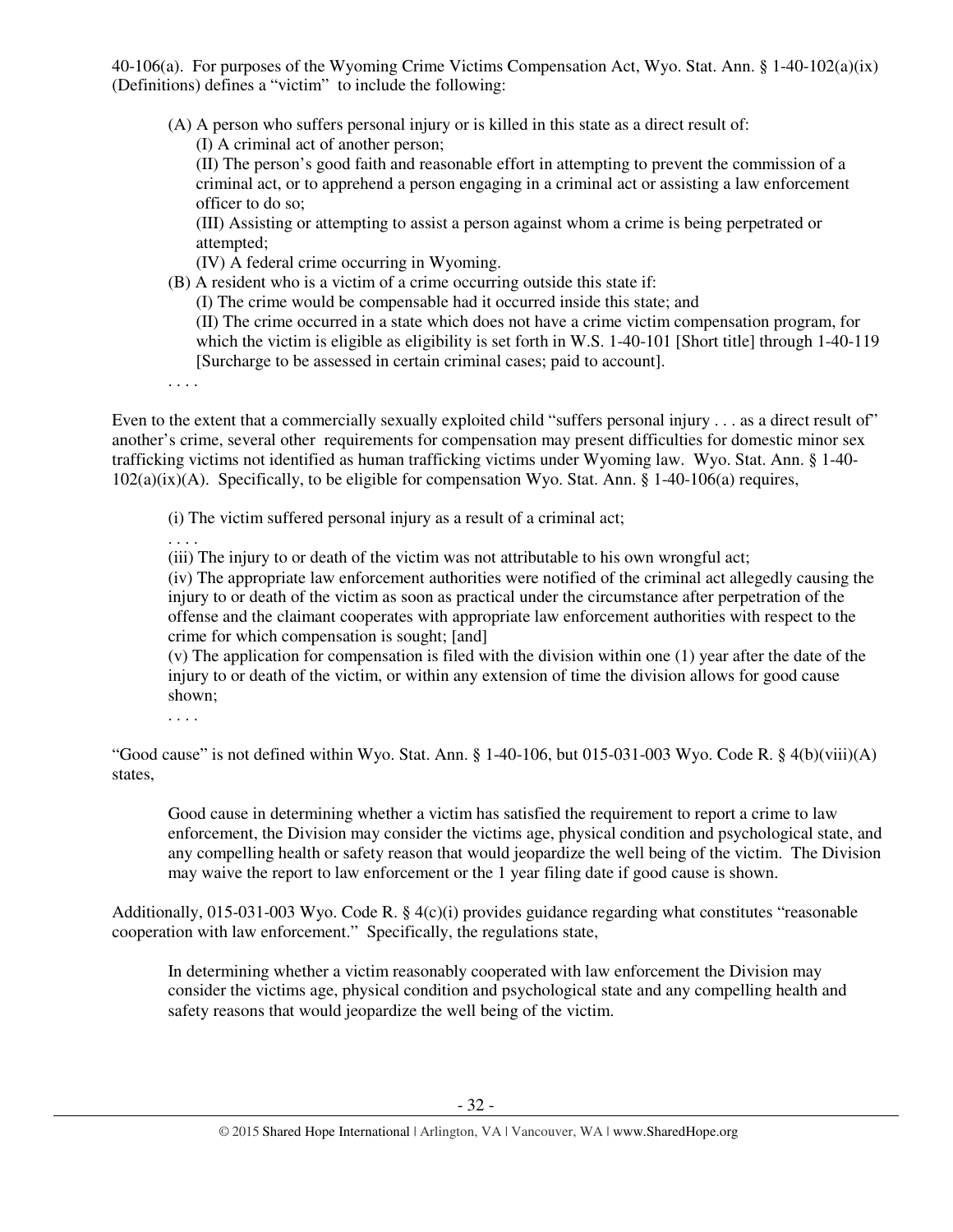40-106(a). For purposes of the Wyoming Crime Victims Compensation Act, Wyo. Stat. Ann. § 1-40-102(a)(ix) (Definitions) defines a "victim" to include the following:

(A) A person who suffers personal injury or is killed in this state as a direct result of: (I) A criminal act of another person;

(II) The person's good faith and reasonable effort in attempting to prevent the commission of a criminal act, or to apprehend a person engaging in a criminal act or assisting a law enforcement officer to do so;

(III) Assisting or attempting to assist a person against whom a crime is being perpetrated or attempted;

(IV) A federal crime occurring in Wyoming.

(B) A resident who is a victim of a crime occurring outside this state if:

(I) The crime would be compensable had it occurred inside this state; and

(II) The crime occurred in a state which does not have a crime victim compensation program, for which the victim is eligible as eligibility is set forth in W.S. 1-40-101 [Short title] through 1-40-119 [Surcharge to be assessed in certain criminal cases; paid to account].

. . . .

Even to the extent that a commercially sexually exploited child "suffers personal injury . . . as a direct result of" another's crime, several other requirements for compensation may present difficulties for domestic minor sex trafficking victims not identified as human trafficking victims under Wyoming law. Wyo. Stat. Ann. § 1-40- 102(a)(ix)(A). Specifically, to be eligible for compensation Wyo. Stat. Ann. § 1-40-106(a) requires,

(i) The victim suffered personal injury as a result of a criminal act;

. . . .

(iii) The injury to or death of the victim was not attributable to his own wrongful act;

(iv) The appropriate law enforcement authorities were notified of the criminal act allegedly causing the injury to or death of the victim as soon as practical under the circumstance after perpetration of the offense and the claimant cooperates with appropriate law enforcement authorities with respect to the crime for which compensation is sought; [and]

(v) The application for compensation is filed with the division within one (1) year after the date of the injury to or death of the victim, or within any extension of time the division allows for good cause shown;

. . . .

"Good cause" is not defined within Wyo. Stat. Ann. § 1-40-106, but 015-031-003 Wyo. Code R. § 4(b)(viii)(A) states,

Good cause in determining whether a victim has satisfied the requirement to report a crime to law enforcement, the Division may consider the victims age, physical condition and psychological state, and any compelling health or safety reason that would jeopardize the well being of the victim. The Division may waive the report to law enforcement or the 1 year filing date if good cause is shown.

Additionally, 015-031-003 Wyo. Code R. § 4(c)(i) provides guidance regarding what constitutes "reasonable cooperation with law enforcement." Specifically, the regulations state,

In determining whether a victim reasonably cooperated with law enforcement the Division may consider the victims age, physical condition and psychological state and any compelling health and safety reasons that would jeopardize the well being of the victim.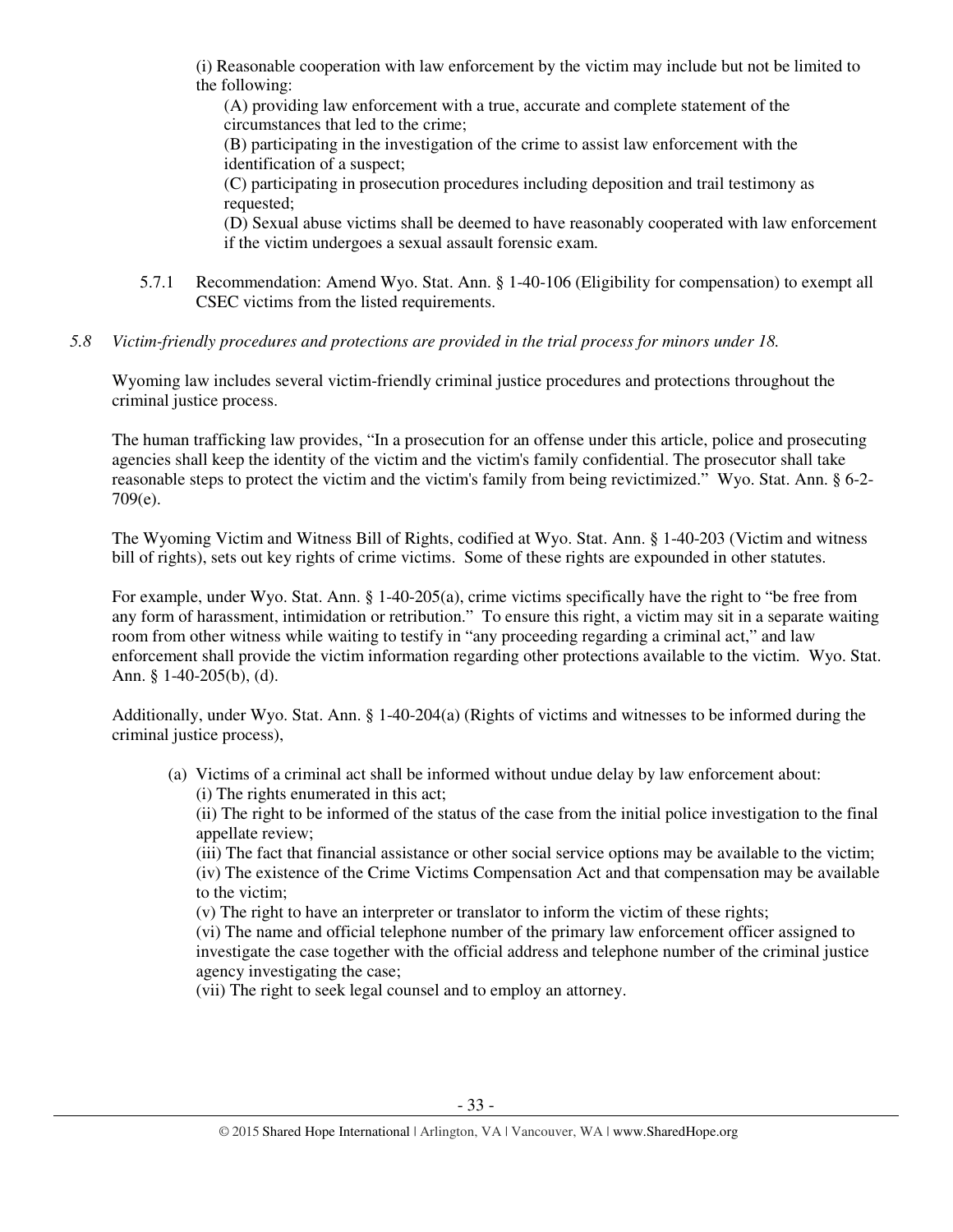(i) Reasonable cooperation with law enforcement by the victim may include but not be limited to the following:

(A) providing law enforcement with a true, accurate and complete statement of the circumstances that led to the crime;

(B) participating in the investigation of the crime to assist law enforcement with the identification of a suspect;

(C) participating in prosecution procedures including deposition and trail testimony as requested;

(D) Sexual abuse victims shall be deemed to have reasonably cooperated with law enforcement if the victim undergoes a sexual assault forensic exam.

- 5.7.1 Recommendation: Amend Wyo. Stat. Ann. § 1-40-106 (Eligibility for compensation) to exempt all CSEC victims from the listed requirements.
- *5.8 Victim-friendly procedures and protections are provided in the trial process for minors under 18.*

Wyoming law includes several victim-friendly criminal justice procedures and protections throughout the criminal justice process.

The human trafficking law provides, "In a prosecution for an offense under this article, police and prosecuting agencies shall keep the identity of the victim and the victim's family confidential. The prosecutor shall take reasonable steps to protect the victim and the victim's family from being revictimized." Wyo. Stat. Ann. § 6-2- 709(e).

The Wyoming Victim and Witness Bill of Rights, codified at Wyo. Stat. Ann. § 1-40-203 (Victim and witness bill of rights), sets out key rights of crime victims. Some of these rights are expounded in other statutes.

For example, under Wyo. Stat. Ann. § 1-40-205(a), crime victims specifically have the right to "be free from any form of harassment, intimidation or retribution." To ensure this right, a victim may sit in a separate waiting room from other witness while waiting to testify in "any proceeding regarding a criminal act," and law enforcement shall provide the victim information regarding other protections available to the victim. Wyo. Stat. Ann. § 1-40-205(b), (d).

Additionally, under Wyo. Stat. Ann. § 1-40-204(a) (Rights of victims and witnesses to be informed during the criminal justice process),

(a) Victims of a criminal act shall be informed without undue delay by law enforcement about: (i) The rights enumerated in this act;

(ii) The right to be informed of the status of the case from the initial police investigation to the final appellate review;

(iii) The fact that financial assistance or other social service options may be available to the victim; (iv) The existence of the Crime Victims Compensation Act and that compensation may be available to the victim;

(v) The right to have an interpreter or translator to inform the victim of these rights;

(vi) The name and official telephone number of the primary law enforcement officer assigned to investigate the case together with the official address and telephone number of the criminal justice agency investigating the case;

(vii) The right to seek legal counsel and to employ an attorney.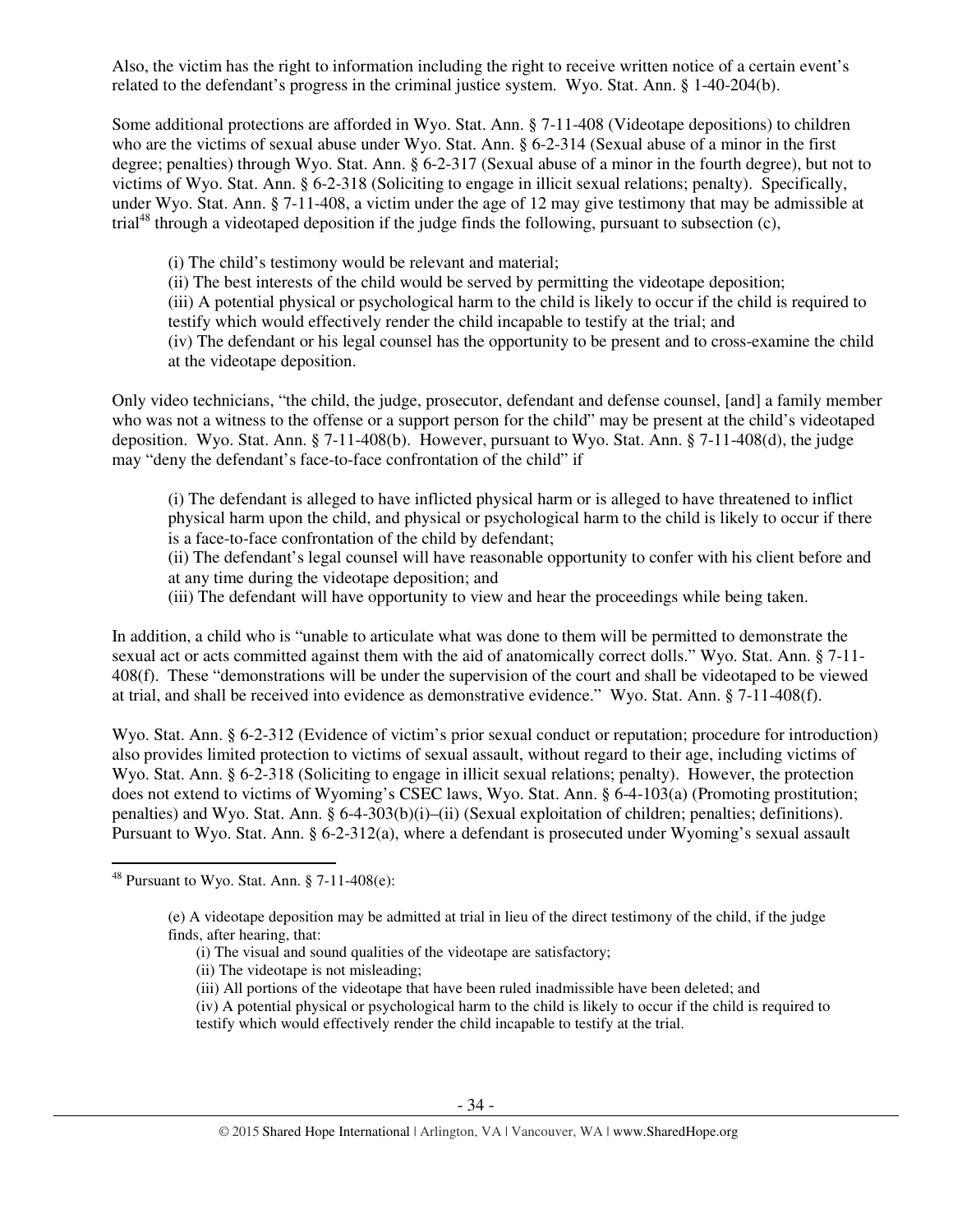Also, the victim has the right to information including the right to receive written notice of a certain event's related to the defendant's progress in the criminal justice system. Wyo. Stat. Ann. § 1-40-204(b).

Some additional protections are afforded in Wyo. Stat. Ann. § 7-11-408 (Videotape depositions) to children who are the victims of sexual abuse under Wyo. Stat. Ann. § 6-2-314 (Sexual abuse of a minor in the first degree; penalties) through Wyo. Stat. Ann. § 6-2-317 (Sexual abuse of a minor in the fourth degree), but not to victims of Wyo. Stat. Ann. § 6-2-318 (Soliciting to engage in illicit sexual relations; penalty). Specifically, under Wyo. Stat. Ann. § 7-11-408, a victim under the age of 12 may give testimony that may be admissible at trial<sup>48</sup> through a videotaped deposition if the judge finds the following, pursuant to subsection  $(c)$ ,

(i) The child's testimony would be relevant and material;

(ii) The best interests of the child would be served by permitting the videotape deposition;

(iii) A potential physical or psychological harm to the child is likely to occur if the child is required to testify which would effectively render the child incapable to testify at the trial; and

(iv) The defendant or his legal counsel has the opportunity to be present and to cross-examine the child at the videotape deposition.

Only video technicians, "the child, the judge, prosecutor, defendant and defense counsel, [and] a family member who was not a witness to the offense or a support person for the child" may be present at the child's videotaped deposition. Wyo. Stat. Ann. § 7-11-408(b). However, pursuant to Wyo. Stat. Ann. § 7-11-408(d), the judge may "deny the defendant's face-to-face confrontation of the child" if

(i) The defendant is alleged to have inflicted physical harm or is alleged to have threatened to inflict physical harm upon the child, and physical or psychological harm to the child is likely to occur if there is a face-to-face confrontation of the child by defendant;

(ii) The defendant's legal counsel will have reasonable opportunity to confer with his client before and at any time during the videotape deposition; and

(iii) The defendant will have opportunity to view and hear the proceedings while being taken.

In addition, a child who is "unable to articulate what was done to them will be permitted to demonstrate the sexual act or acts committed against them with the aid of anatomically correct dolls." Wyo. Stat. Ann. § 7-11- 408(f). These "demonstrations will be under the supervision of the court and shall be videotaped to be viewed at trial, and shall be received into evidence as demonstrative evidence." Wyo. Stat. Ann. § 7-11-408(f).

Wyo. Stat. Ann. § 6-2-312 (Evidence of victim's prior sexual conduct or reputation; procedure for introduction) also provides limited protection to victims of sexual assault, without regard to their age, including victims of Wyo. Stat. Ann. § 6-2-318 (Soliciting to engage in illicit sexual relations; penalty). However, the protection does not extend to victims of Wyoming's CSEC laws, Wyo. Stat. Ann. § 6-4-103(a) (Promoting prostitution; penalties) and Wyo. Stat. Ann. § 6-4-303(b)(i)–(ii) (Sexual exploitation of children; penalties; definitions). Pursuant to Wyo. Stat. Ann. § 6-2-312(a), where a defendant is prosecuted under Wyoming's sexual assault

 $\overline{a}$ 

(ii) The videotape is not misleading;

(iii) All portions of the videotape that have been ruled inadmissible have been deleted; and

(iv) A potential physical or psychological harm to the child is likely to occur if the child is required to testify which would effectively render the child incapable to testify at the trial.

<sup>&</sup>lt;sup>48</sup> Pursuant to Wyo. Stat. Ann.  $\S$  7-11-408(e):

<sup>(</sup>e) A videotape deposition may be admitted at trial in lieu of the direct testimony of the child, if the judge finds, after hearing, that:

<sup>(</sup>i) The visual and sound qualities of the videotape are satisfactory;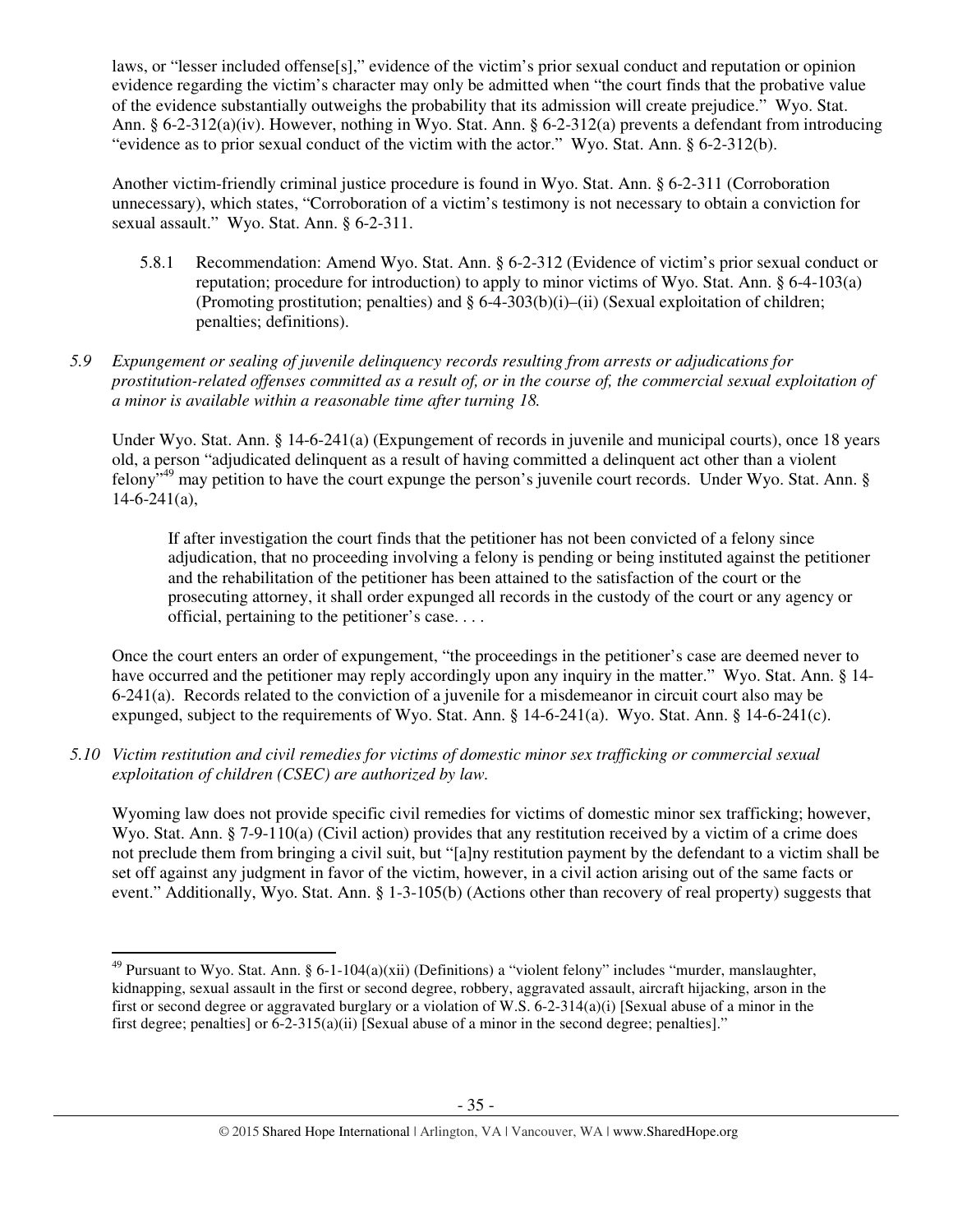laws, or "lesser included offense[s]," evidence of the victim's prior sexual conduct and reputation or opinion evidence regarding the victim's character may only be admitted when "the court finds that the probative value of the evidence substantially outweighs the probability that its admission will create prejudice." Wyo. Stat. Ann. § 6-2-312(a)(iv). However, nothing in Wyo. Stat. Ann. § 6-2-312(a) prevents a defendant from introducing "evidence as to prior sexual conduct of the victim with the actor." Wyo. Stat. Ann. § 6-2-312(b).

Another victim-friendly criminal justice procedure is found in Wyo. Stat. Ann. § 6-2-311 (Corroboration unnecessary), which states, "Corroboration of a victim's testimony is not necessary to obtain a conviction for sexual assault." Wyo. Stat. Ann. § 6-2-311.

5.8.1 Recommendation: Amend Wyo. Stat. Ann. § 6-2-312 (Evidence of victim's prior sexual conduct or reputation; procedure for introduction) to apply to minor victims of Wyo. Stat. Ann. § 6-4-103(a) (Promoting prostitution; penalties) and  $\S 6-4-303(b)(i)$ –(ii) (Sexual exploitation of children; penalties; definitions).

## *5.9 Expungement or sealing of juvenile delinquency records resulting from arrests or adjudications for prostitution-related offenses committed as a result of, or in the course of, the commercial sexual exploitation of a minor is available within a reasonable time after turning 18.*

Under Wyo. Stat. Ann. § 14-6-241(a) (Expungement of records in juvenile and municipal courts), once 18 years old, a person "adjudicated delinquent as a result of having committed a delinquent act other than a violent felony"<sup>49</sup> may petition to have the court expunge the person's juvenile court records. Under Wyo. Stat. Ann. §  $14-6-241(a)$ ,

If after investigation the court finds that the petitioner has not been convicted of a felony since adjudication, that no proceeding involving a felony is pending or being instituted against the petitioner and the rehabilitation of the petitioner has been attained to the satisfaction of the court or the prosecuting attorney, it shall order expunged all records in the custody of the court or any agency or official, pertaining to the petitioner's case. . . .

Once the court enters an order of expungement, "the proceedings in the petitioner's case are deemed never to have occurred and the petitioner may reply accordingly upon any inquiry in the matter." Wyo. Stat. Ann. § 14-6-241(a). Records related to the conviction of a juvenile for a misdemeanor in circuit court also may be expunged, subject to the requirements of Wyo. Stat. Ann. § 14-6-241(a). Wyo. Stat. Ann. § 14-6-241(c).

*5.10 Victim restitution and civil remedies for victims of domestic minor sex trafficking or commercial sexual exploitation of children (CSEC) are authorized by law.* 

Wyoming law does not provide specific civil remedies for victims of domestic minor sex trafficking; however, Wyo. Stat. Ann. § 7-9-110(a) (Civil action) provides that any restitution received by a victim of a crime does not preclude them from bringing a civil suit, but "[a]ny restitution payment by the defendant to a victim shall be set off against any judgment in favor of the victim, however, in a civil action arising out of the same facts or event." Additionally, Wyo. Stat. Ann. § 1-3-105(b) (Actions other than recovery of real property) suggests that

 $\overline{a}$ 

 $49$  Pursuant to Wyo. Stat. Ann. § 6-1-104(a)(xii) (Definitions) a "violent felony" includes "murder, manslaughter, kidnapping, sexual assault in the first or second degree, robbery, aggravated assault, aircraft hijacking, arson in the first or second degree or aggravated burglary or a violation of W.S. 6-2-314(a)(i) [Sexual abuse of a minor in the first degree; penalties] or 6-2-315(a)(ii) [Sexual abuse of a minor in the second degree; penalties]."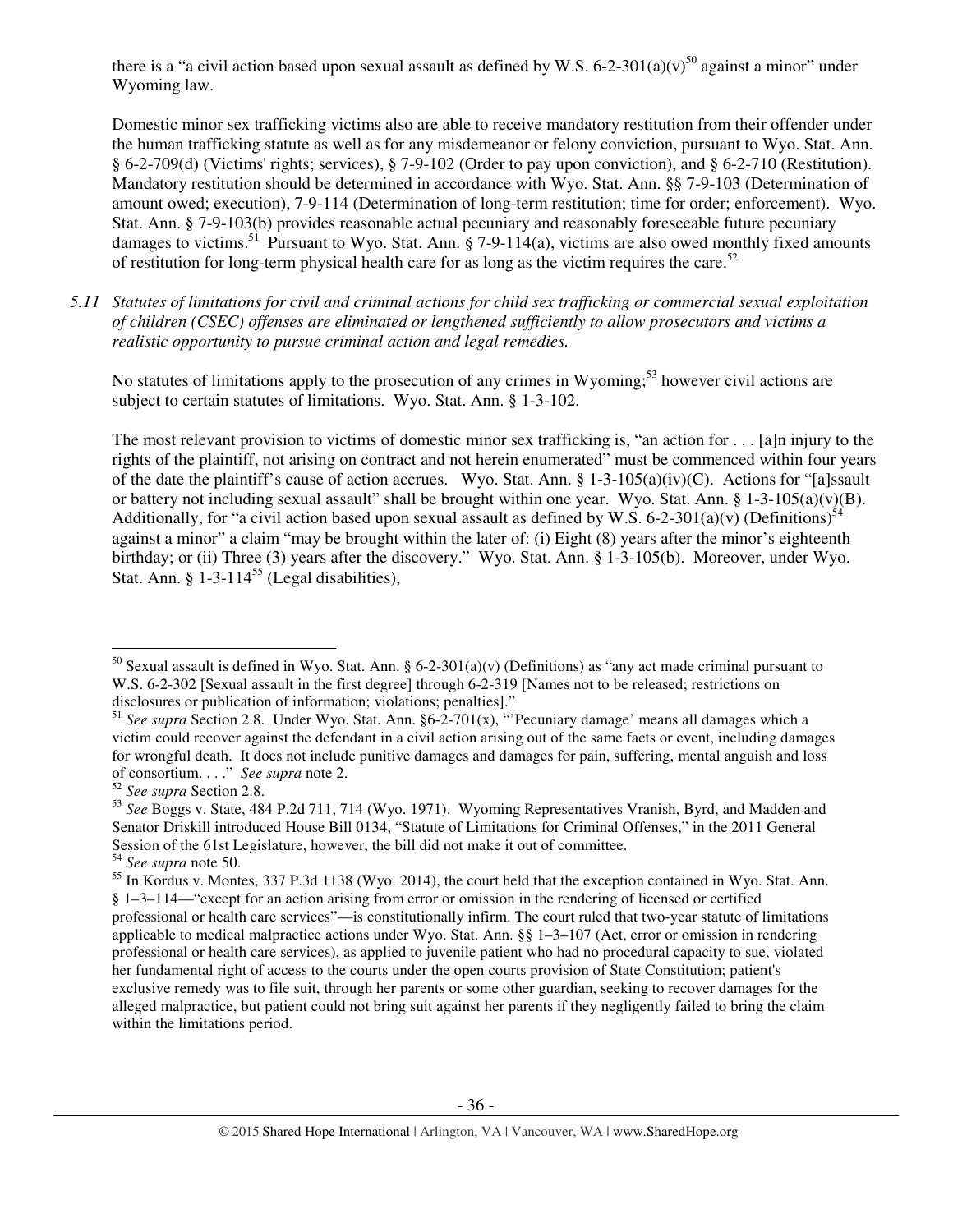there is a "a civil action based upon sexual assault as defined by W.S. 6-2-301(a)(v)<sup>50</sup> against a minor" under Wyoming law.

Domestic minor sex trafficking victims also are able to receive mandatory restitution from their offender under the human trafficking statute as well as for any misdemeanor or felony conviction, pursuant to Wyo. Stat. Ann. § 6-2-709(d) (Victims' rights; services), § 7-9-102 (Order to pay upon conviction), and § 6-2-710 (Restitution). Mandatory restitution should be determined in accordance with Wyo. Stat. Ann. §§ 7-9-103 (Determination of amount owed; execution), 7-9-114 (Determination of long-term restitution; time for order; enforcement). Wyo. Stat. Ann. § 7-9-103(b) provides reasonable actual pecuniary and reasonably foreseeable future pecuniary damages to victims.<sup>51</sup> Pursuant to Wyo. Stat. Ann.  $\S$  7-9-114(a), victims are also owed monthly fixed amounts of restitution for long-term physical health care for as long as the victim requires the care.<sup>52</sup>

*5.11 Statutes of limitations for civil and criminal actions for child sex trafficking or commercial sexual exploitation of children (CSEC) offenses are eliminated or lengthened sufficiently to allow prosecutors and victims a realistic opportunity to pursue criminal action and legal remedies.* 

No statutes of limitations apply to the prosecution of any crimes in Wyoming;<sup>53</sup> however civil actions are subject to certain statutes of limitations. Wyo. Stat. Ann. § 1-3-102.

The most relevant provision to victims of domestic minor sex trafficking is, "an action for . . . [a]n injury to the rights of the plaintiff, not arising on contract and not herein enumerated" must be commenced within four years of the date the plaintiff's cause of action accrues. Wyo. Stat. Ann. § 1-3-105(a)(iv)(C). Actions for "[a]ssault or battery not including sexual assault" shall be brought within one year. Wyo. Stat. Ann. § 1-3-105(a)(v)(B). Additionally, for "a civil action based upon sexual assault as defined by W.S. 6-2-301(a)(v) (Definitions)<sup>54</sup> against a minor" a claim "may be brought within the later of: (i) Eight (8) years after the minor's eighteenth birthday; or (ii) Three (3) years after the discovery." Wyo. Stat. Ann. § 1-3-105(b). Moreover, under Wyo. Stat. Ann. §  $1-3-114^{55}$  (Legal disabilities),

 $\overline{a}$ 

<sup>&</sup>lt;sup>50</sup> Sexual assault is defined in Wyo. Stat. Ann. § 6-2-301(a)(v) (Definitions) as "any act made criminal pursuant to W.S. 6-2-302 [Sexual assault in the first degree] through 6-2-319 [Names not to be released; restrictions on disclosures or publication of information; violations; penalties]."

<sup>&</sup>lt;sup>51</sup> See supra Section 2.8. Under Wyo. Stat. Ann. §6-2-701(x), "'Pecuniary damage' means all damages which a victim could recover against the defendant in a civil action arising out of the same facts or event, including damages for wrongful death. It does not include punitive damages and damages for pain, suffering, mental anguish and loss of consortium. . . ." *See supra* note 2.

<sup>52</sup> *See supra* Section 2.8.

<sup>53</sup> *See* Boggs v. State, 484 P.2d 711, 714 (Wyo. 1971). Wyoming Representatives Vranish, Byrd, and Madden and Senator Driskill introduced House Bill 0134, "Statute of Limitations for Criminal Offenses," in the 2011 General Session of the 61st Legislature, however, the bill did not make it out of committee.

<sup>54</sup> *See supra* note 50.

<sup>&</sup>lt;sup>55</sup> In Kordus v. Montes, 337 P.3d 1138 (Wyo. 2014), the court held that the exception contained in Wyo. Stat. Ann. § 1–3–114—"except for an action arising from error or omission in the rendering of licensed or certified professional or health care services"—is constitutionally infirm. The court ruled that two-year statute of limitations applicable to medical malpractice actions under Wyo. Stat. Ann. §§ 1–3–107 (Act, error or omission in rendering professional or health care services), as applied to juvenile patient who had no procedural capacity to sue, violated her fundamental right of access to the courts under the open courts provision of State Constitution; patient's exclusive remedy was to file suit, through her parents or some other guardian, seeking to recover damages for the alleged malpractice, but patient could not bring suit against her parents if they negligently failed to bring the claim within the limitations period.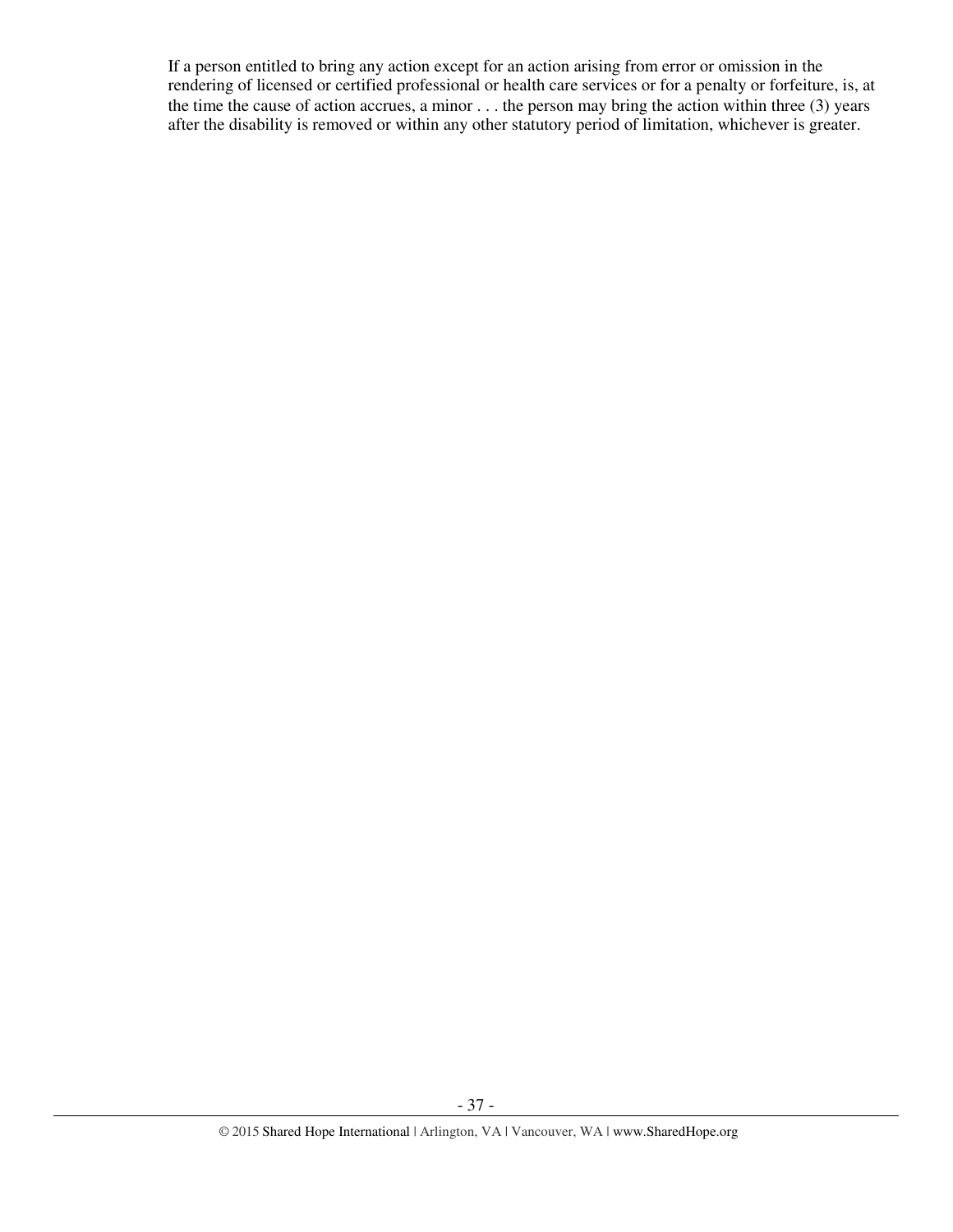If a person entitled to bring any action except for an action arising from error or omission in the rendering of licensed or certified professional or health care services or for a penalty or forfeiture, is, at the time the cause of action accrues, a minor . . . the person may bring the action within three (3) years after the disability is removed or within any other statutory period of limitation, whichever is greater.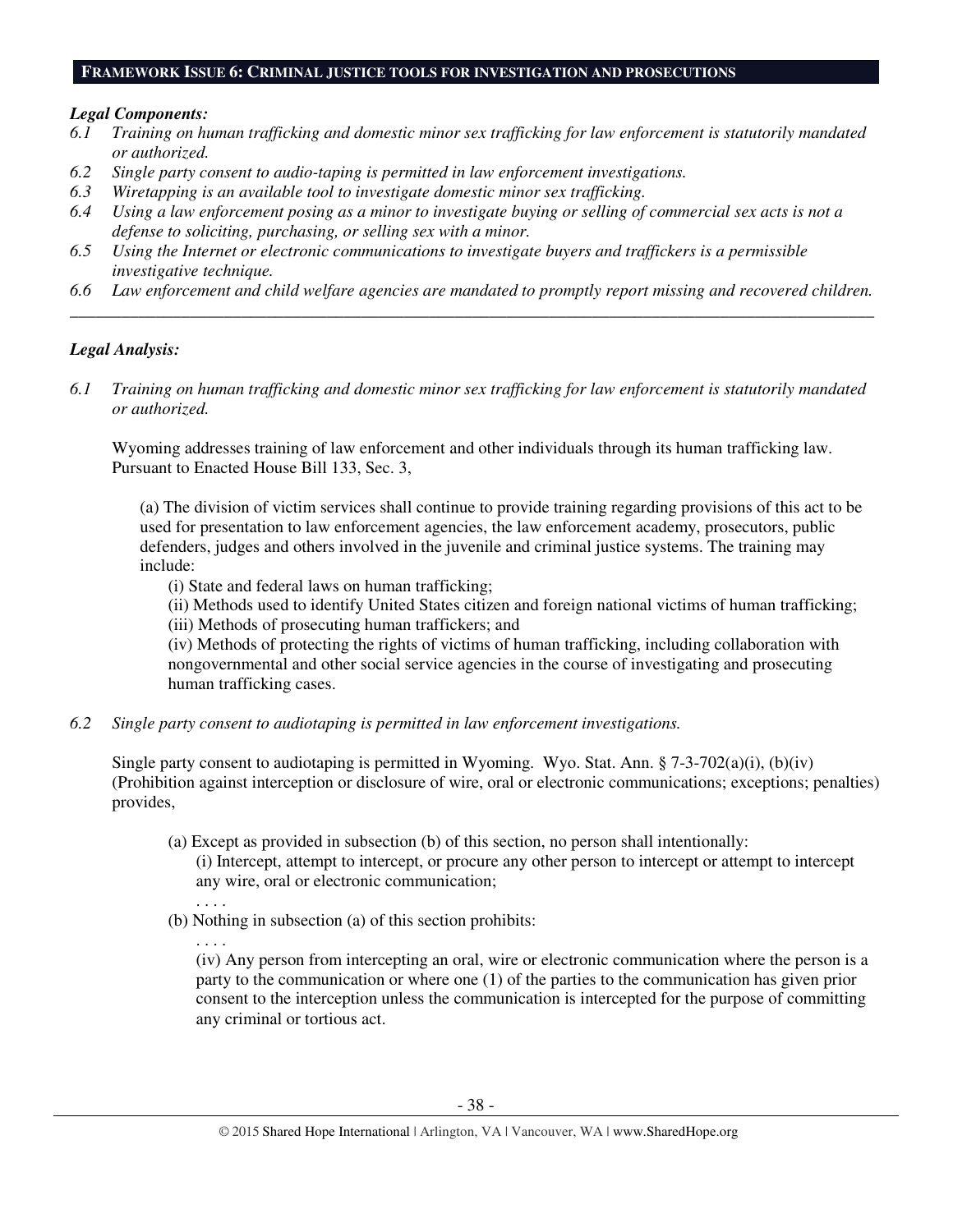#### **FRAMEWORK ISSUE 6: CRIMINAL JUSTICE TOOLS FOR INVESTIGATION AND PROSECUTIONS**

#### *Legal Components:*

- *6.1 Training on human trafficking and domestic minor sex trafficking for law enforcement is statutorily mandated or authorized.*
- *6.2 Single party consent to audio-taping is permitted in law enforcement investigations.*
- *6.3 Wiretapping is an available tool to investigate domestic minor sex trafficking.*
- *6.4 Using a law enforcement posing as a minor to investigate buying or selling of commercial sex acts is not a defense to soliciting, purchasing, or selling sex with a minor.*
- *6.5 Using the Internet or electronic communications to investigate buyers and traffickers is a permissible investigative technique.*
- *6.6 Law enforcement and child welfare agencies are mandated to promptly report missing and recovered children. \_\_\_\_\_\_\_\_\_\_\_\_\_\_\_\_\_\_\_\_\_\_\_\_\_\_\_\_\_\_\_\_\_\_\_\_\_\_\_\_\_\_\_\_\_\_\_\_\_\_\_\_\_\_\_\_\_\_\_\_\_\_\_\_\_\_\_\_\_\_\_\_\_\_\_\_\_\_\_\_\_\_\_\_\_\_\_\_\_\_\_\_\_\_*

## *Legal Analysis:*

*6.1 Training on human trafficking and domestic minor sex trafficking for law enforcement is statutorily mandated or authorized.* 

Wyoming addresses training of law enforcement and other individuals through its human trafficking law. Pursuant to Enacted House Bill 133, Sec. 3,

(a) The division of victim services shall continue to provide training regarding provisions of this act to be used for presentation to law enforcement agencies, the law enforcement academy, prosecutors, public defenders, judges and others involved in the juvenile and criminal justice systems. The training may include:

(i) State and federal laws on human trafficking;

(ii) Methods used to identify United States citizen and foreign national victims of human trafficking;

(iii) Methods of prosecuting human traffickers; and

(iv) Methods of protecting the rights of victims of human trafficking, including collaboration with nongovernmental and other social service agencies in the course of investigating and prosecuting human trafficking cases.

*6.2 Single party consent to audiotaping is permitted in law enforcement investigations.* 

Single party consent to audiotaping is permitted in Wyoming. Wyo. Stat. Ann.  $\S$  7-3-702(a)(i), (b)(iv) (Prohibition against interception or disclosure of wire, oral or electronic communications; exceptions; penalties) provides,

- (a) Except as provided in subsection (b) of this section, no person shall intentionally: (i) Intercept, attempt to intercept, or procure any other person to intercept or attempt to intercept any wire, oral or electronic communication;
- . . . . (b) Nothing in subsection (a) of this section prohibits:

. . . . (iv) Any person from intercepting an oral, wire or electronic communication where the person is a party to the communication or where one (1) of the parties to the communication has given prior consent to the interception unless the communication is intercepted for the purpose of committing any criminal or tortious act.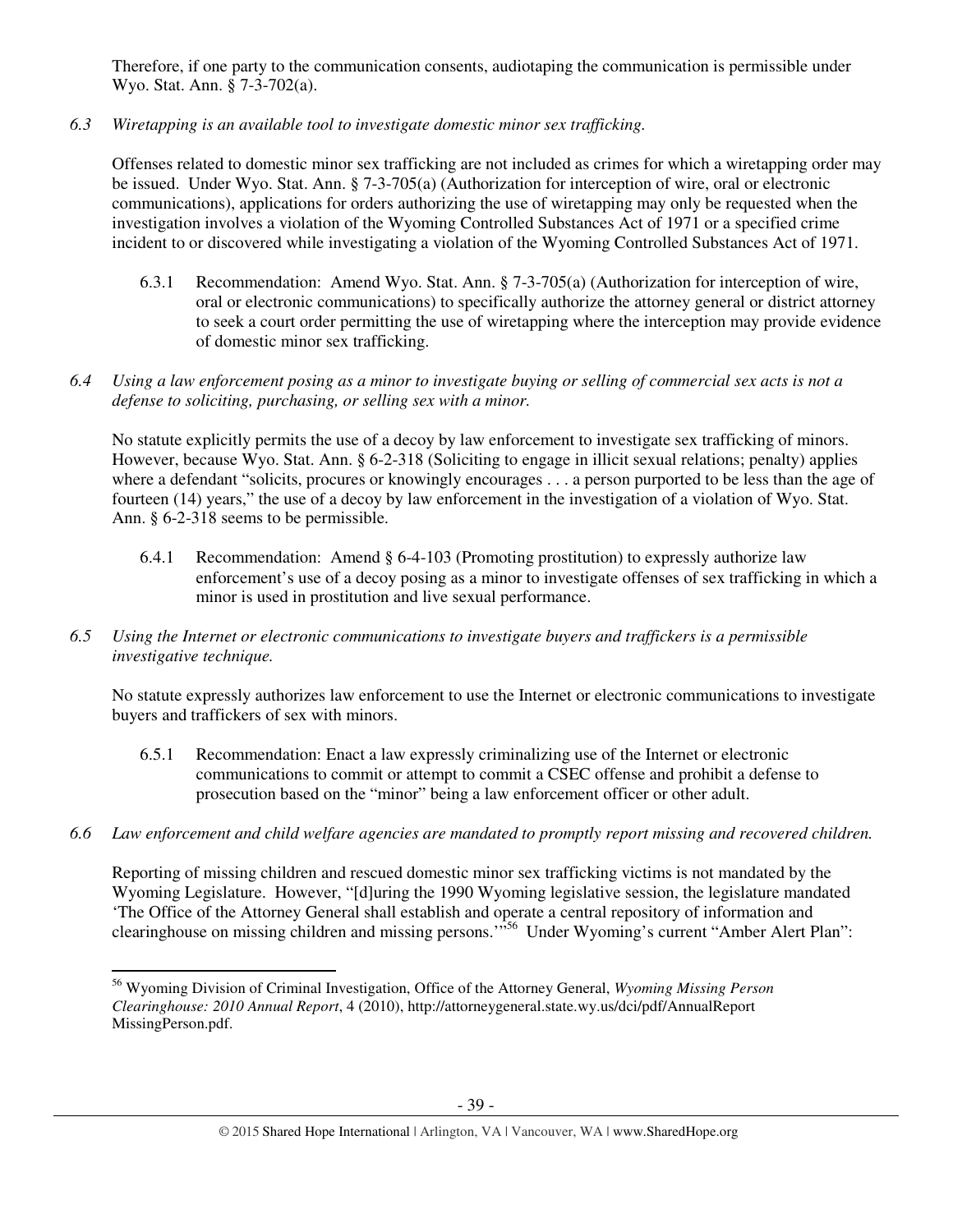Therefore, if one party to the communication consents, audiotaping the communication is permissible under Wyo. Stat. Ann. § 7-3-702(a).

*6.3 Wiretapping is an available tool to investigate domestic minor sex trafficking.* 

Offenses related to domestic minor sex trafficking are not included as crimes for which a wiretapping order may be issued. Under Wyo. Stat. Ann. § 7-3-705(a) (Authorization for interception of wire, oral or electronic communications), applications for orders authorizing the use of wiretapping may only be requested when the investigation involves a violation of the Wyoming Controlled Substances Act of 1971 or a specified crime incident to or discovered while investigating a violation of the Wyoming Controlled Substances Act of 1971.

- 6.3.1 Recommendation: Amend Wyo. Stat. Ann. § 7-3-705(a) (Authorization for interception of wire, oral or electronic communications) to specifically authorize the attorney general or district attorney to seek a court order permitting the use of wiretapping where the interception may provide evidence of domestic minor sex trafficking.
- *6.4 Using a law enforcement posing as a minor to investigate buying or selling of commercial sex acts is not a defense to soliciting, purchasing, or selling sex with a minor.*

No statute explicitly permits the use of a decoy by law enforcement to investigate sex trafficking of minors. However, because Wyo. Stat. Ann. § 6-2-318 (Soliciting to engage in illicit sexual relations; penalty) applies where a defendant "solicits, procures or knowingly encourages . . . a person purported to be less than the age of fourteen (14) years," the use of a decoy by law enforcement in the investigation of a violation of Wyo. Stat. Ann. § 6-2-318 seems to be permissible.

- 6.4.1 Recommendation: Amend § 6-4-103 (Promoting prostitution) to expressly authorize law enforcement's use of a decoy posing as a minor to investigate offenses of sex trafficking in which a minor is used in prostitution and live sexual performance.
- *6.5 Using the Internet or electronic communications to investigate buyers and traffickers is a permissible investigative technique.*

No statute expressly authorizes law enforcement to use the Internet or electronic communications to investigate buyers and traffickers of sex with minors.

- 6.5.1 Recommendation: Enact a law expressly criminalizing use of the Internet or electronic communications to commit or attempt to commit a CSEC offense and prohibit a defense to prosecution based on the "minor" being a law enforcement officer or other adult.
- *6.6 Law enforcement and child welfare agencies are mandated to promptly report missing and recovered children.*

Reporting of missing children and rescued domestic minor sex trafficking victims is not mandated by the Wyoming Legislature. However, "[d]uring the 1990 Wyoming legislative session, the legislature mandated 'The Office of the Attorney General shall establish and operate a central repository of information and clearinghouse on missing children and missing persons."<sup>556</sup> Under Wyoming's current "Amber Alert Plan":

 $\overline{a}$ 

<sup>56</sup> Wyoming Division of Criminal Investigation, Office of the Attorney General, *Wyoming Missing Person Clearinghouse: 2010 Annual Report*, 4 (2010), http://attorneygeneral.state.wy.us/dci/pdf/AnnualReport MissingPerson.pdf.